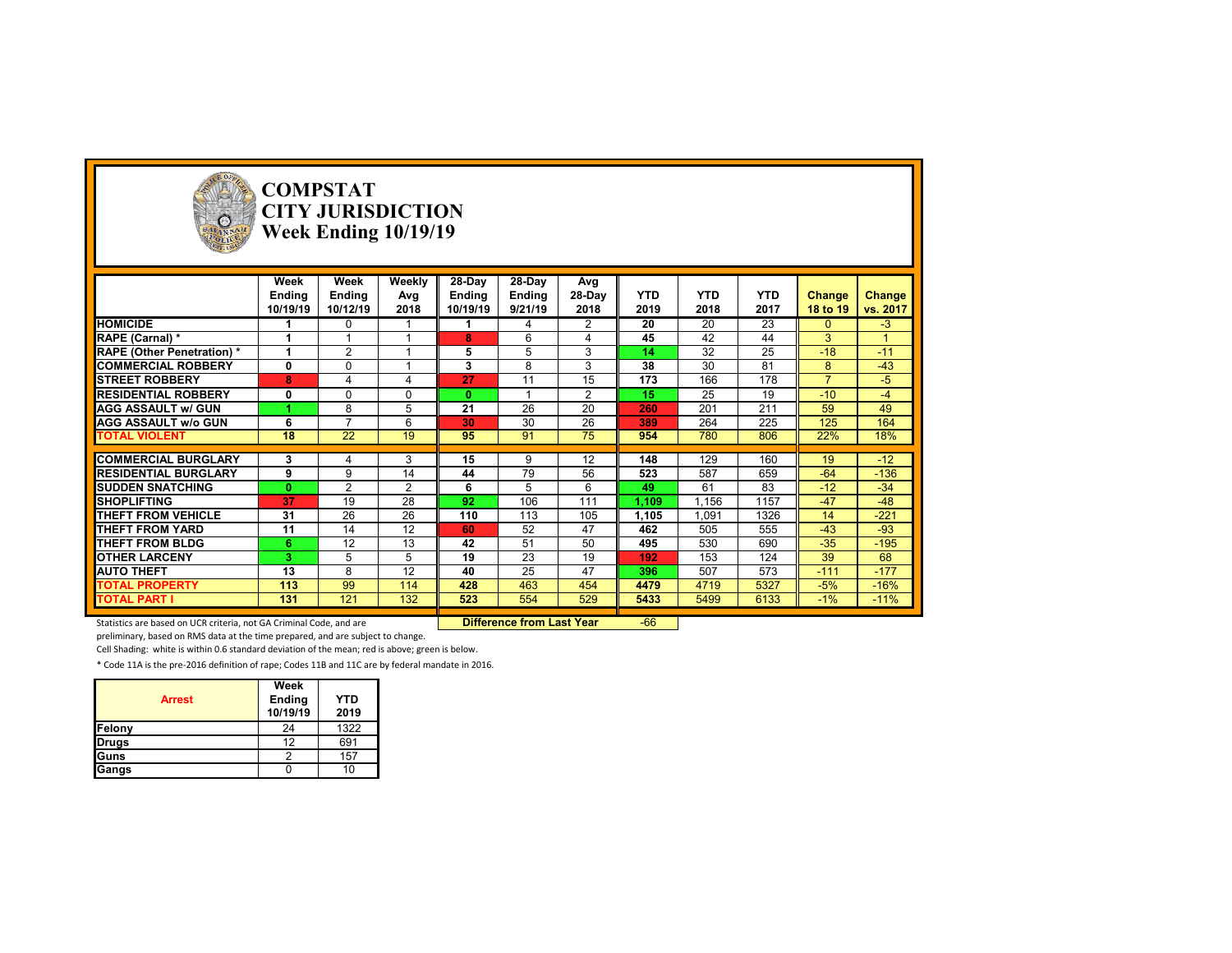

# **COMPSTAT CITY JURISDICTION Week Ending 10/19/19**

|                                  | Week         | Week           | Weekly   | 28-Day        | 28-Day        | Avg            |            |            |            |                |          |
|----------------------------------|--------------|----------------|----------|---------------|---------------|----------------|------------|------------|------------|----------------|----------|
|                                  | Ending       | <b>Ending</b>  | Avg      | <b>Ending</b> | <b>Ending</b> | 28-Day         | <b>YTD</b> | <b>YTD</b> | <b>YTD</b> | Change         | Change   |
|                                  | 10/19/19     | 10/12/19       | 2018     | 10/19/19      | 9/21/19       | 2018           | 2019       | 2018       | 2017       | 18 to 19       | vs. 2017 |
| <b>HOMICIDE</b>                  |              | $\Omega$       |          |               | 4             | 2              | 20         | 20         | 23         | $\Omega$       | $-3$     |
| RAPE (Carnal) *                  |              |                |          | 8             | 6             |                | 45         | 42         | 44         | 3              |          |
| <b>RAPE (Other Penetration)*</b> |              | 2              |          | 5             | 5             | 3              | 14         | 32         | 25         | $-18$          | $-11$    |
| <b>COMMERCIAL ROBBERY</b>        | 0            | 0              |          | 3             | 8             | 3              | 38         | 30         | 81         | 8              | $-43$    |
| <b>STREET ROBBERY</b>            | 8            |                |          | 27            | 11            | 15             | 173        | 166        | 178        | $\overline{ }$ | $-5$     |
| <b>RESIDENTIAL ROBBERY</b>       | $\mathbf{0}$ | $\Omega$       | $\Omega$ | $\bf{0}$      |               | $\overline{2}$ | 15         | 25         | 19         | $-10$          | $-4$     |
| <b>AGG ASSAULT w/ GUN</b>        |              | 8              | 5        | 21            | 26            | 20             | 260        | 201        | 211        | 59             | 49       |
| <b>AGG ASSAULT w/o GUN</b>       | 6            | $\overline{ }$ | 6        | 30            | 30            | 26             | 389        | 264        | 225        | 125            | 164      |
| <b>TOTAL VIOLENT</b>             | 18           | 22             | 19       | 95            | 91            | 75             | 954        | 780        | 806        | 22%            | 18%      |
|                                  |              |                |          |               |               |                |            |            |            |                |          |
| <b>COMMERCIAL BURGLARY</b>       | 3            |                | 3        | 15            | 9             | 12             | 148        | 129        | 160        | 19             | $-12$    |
| <b>RESIDENTIAL BURGLARY</b>      | 9            | 9              | 14       | 44            | 79            | 56             | 523        | 587        | 659        | $-64$          | $-136$   |
| <b>ISUDDEN SNATCHING</b>         | $\mathbf{0}$ | 2              | 2        | 6             | 5             | 6              | 49         | 61         | 83         | $-12$          | $-34$    |
| <b>SHOPLIFTING</b>               | 37           | 19             | 28       | 92            | 106           | 111            | 1,109      | .156       | 1157       | $-47$          | $-48$    |
| <b>THEFT FROM VEHICLE</b>        | 31           | 26             | 26       | 110           | 113           | 105            | 1,105      | 1,091      | 1326       | 14             | $-221$   |
| THEFT FROM YARD                  | 11           | 14             | 12       | 60            | 52            | 47             | 462        | 505        | 555        | $-43$          | $-93$    |
| <b>THEFT FROM BLDG</b>           | 6            | 12             | 13       | 42            | 51            | 50             | 495        | 530        | 690        | $-35$          | $-195$   |
| <b>OTHER LARCENY</b>             | 3.           | 5              | 5        | 19            | 23            | 19             | 192        | 153        | 124        | 39             | 68       |
| <b>AUTO THEFT</b>                | 13           | 8              | 12       | 40            | 25            | 47             | 396        | 507        | 573        | $-111$         | $-177$   |
| <b>TOTAL PROPERTY</b>            | 113          | 99             | 114      | 428           | 463           | 454            | 4479       | 4719       | 5327       | $-5%$          | $-16%$   |
| <b>TOTAL PART I</b>              | 131          | 121            | 132      | 523           | 554           | 529            | 5433       | 5499       | 6133       | $-1\%$         | $-11%$   |

Statistics are based on UCR criteria, not GA Criminal Code, and are **Difference from Last Year** -66

preliminary, based on RMS data at the time prepared, and are subject to change.

Cell Shading: white is within 0.6 standard deviation of the mean; red is above; green is below.

| <b>Arrest</b> | Week<br><b>Ending</b><br>10/19/19 | <b>YTD</b><br>2019 |
|---------------|-----------------------------------|--------------------|
| Felony        | 24                                | 1322               |
| <b>Drugs</b>  | 12                                | 691                |
| Guns          |                                   | 157                |
| Gangs         |                                   |                    |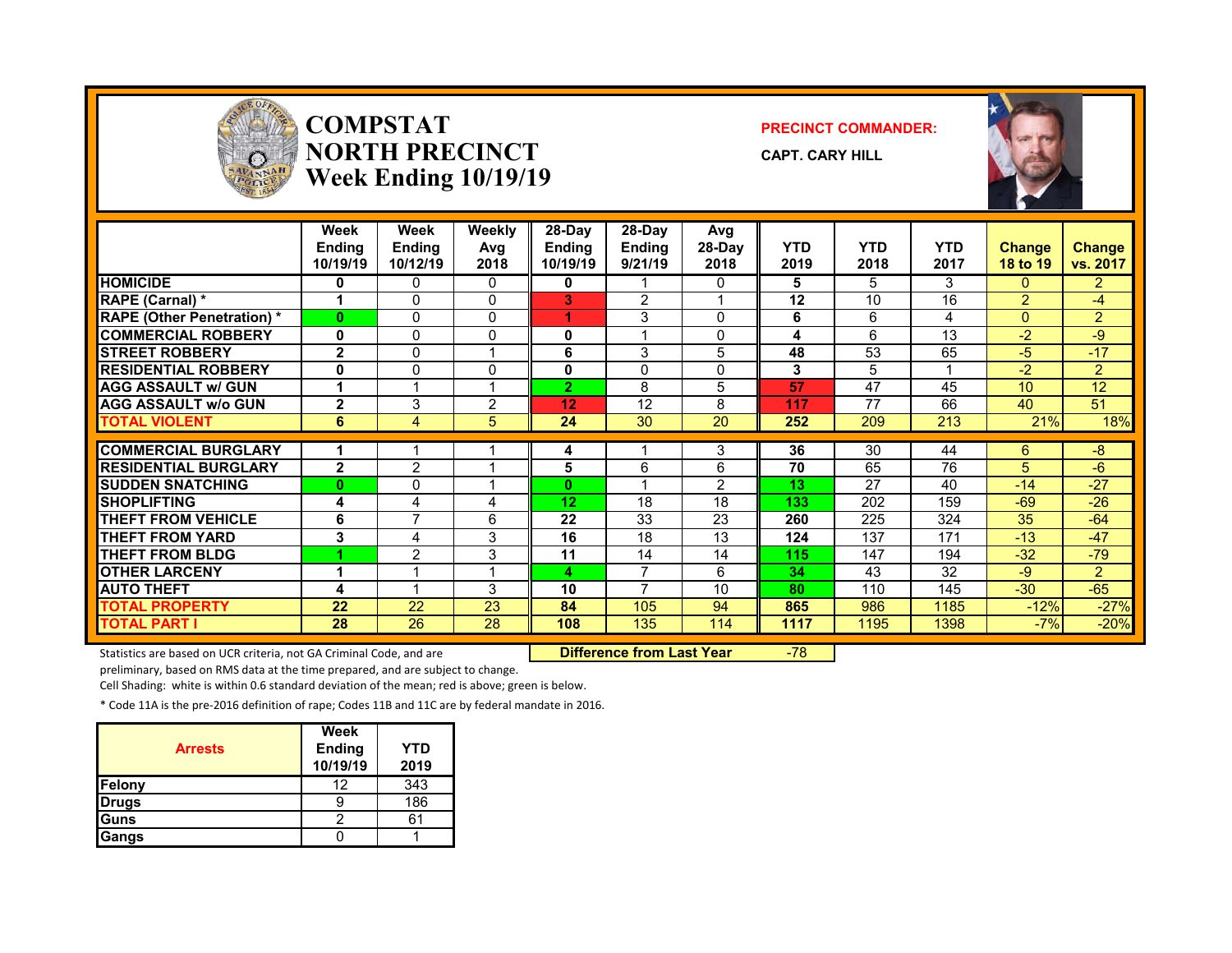

#### **COMPSTATNORTH PRECINCTWeek Ending 10/19/19**

#### **PRECINCT COMMANDER:**

**CAPT. CARY HILL**



|                                   | Week<br><b>Ending</b><br>10/19/19 | Week<br><b>Ending</b><br>10/12/19 | <b>Weekly</b><br>Avg<br>2018 | 28-Day<br><b>Ending</b><br>10/19/19 | $28-Dav$<br><b>Ending</b><br>9/21/19 | Avg<br>28-Day<br>2018 | <b>YTD</b><br>2019 | <b>YTD</b><br>2018 | <b>YTD</b><br>2017 | <b>Change</b><br>18 to 19 | <b>Change</b><br>vs. 2017 |
|-----------------------------------|-----------------------------------|-----------------------------------|------------------------------|-------------------------------------|--------------------------------------|-----------------------|--------------------|--------------------|--------------------|---------------------------|---------------------------|
| <b>HOMICIDE</b>                   | 0                                 | 0                                 | $\mathbf{0}$                 | 0                                   |                                      | 0                     | 5                  | 5                  | 3                  | $\Omega$                  | $\overline{2}$            |
| RAPE (Carnal) *                   | 1                                 | 0                                 | $\Omega$                     | 3                                   | $\overline{2}$                       |                       | 12                 | 10                 | 16                 | $\overline{2}$            | $-4$                      |
| <b>RAPE (Other Penetration) *</b> | $\bf{0}$                          | 0                                 | $\Omega$                     |                                     | 3                                    | $\mathbf{0}$          | 6                  | 6                  | 4                  | $\Omega$                  | $\overline{2}$            |
| <b>COMMERCIAL ROBBERY</b>         | 0                                 | 0                                 | $\Omega$                     | 0                                   |                                      | 0                     | 4                  | 6                  | 13                 | $-2$                      | $-9$                      |
| <b>STREET ROBBERY</b>             | $\overline{2}$                    | 0                                 |                              | 6                                   | 3                                    | 5                     | 48                 | 53                 | 65                 | $-5$                      | $-17$                     |
| <b>RESIDENTIAL ROBBERY</b>        | 0                                 | 0                                 | $\Omega$                     | 0                                   | $\Omega$                             | 0                     | 3                  | 5                  |                    | $-2$                      | $\overline{2}$            |
| <b>AGG ASSAULT w/ GUN</b>         | 1                                 |                                   |                              | $\overline{2}$                      | 8                                    | 5                     | 57                 | 47                 | 45                 | 10                        | $\overline{12}$           |
| <b>AGG ASSAULT w/o GUN</b>        | $\overline{2}$                    | 3                                 | 2                            | 12                                  | 12                                   | 8                     | 117                | 77                 | 66                 | 40                        | 51                        |
| <b>TOTAL VIOLENT</b>              | 6                                 | 4                                 | 5                            | 24                                  | 30                                   | 20                    | 252                | 209                | 213                | 21%                       | 18%                       |
|                                   |                                   |                                   |                              |                                     |                                      |                       |                    |                    |                    |                           |                           |
| <b>COMMERCIAL BURGLARY</b>        | 1                                 |                                   |                              | 4                                   |                                      | 3                     | 36                 | $\overline{30}$    | 44                 | 6                         | $-8$                      |
| <b>RESIDENTIAL BURGLARY</b>       | $\overline{2}$                    | 2                                 |                              | 5                                   | 6                                    | 6                     | 70                 | 65                 | 76                 | 5                         | $-6$                      |
| <b>ISUDDEN SNATCHING</b>          | $\bf{0}$                          | 0                                 |                              | 0                                   |                                      | $\mathcal{P}$         | 13                 | 27                 | 40                 | $-14$                     | $-27$                     |
| <b>SHOPLIFTING</b>                | 4                                 | 4                                 | 4                            | 12                                  | 18                                   | 18                    | 133                | 202                | 159                | $-69$                     | $-26$                     |
| <b>THEFT FROM VEHICLE</b>         | 6                                 | 7                                 | 6                            | 22                                  | 33                                   | 23                    | 260                | 225                | 324                | 35                        | $-64$                     |
| <b>THEFT FROM YARD</b>            | 3                                 | 4                                 | 3                            | 16                                  | 18                                   | 13                    | 124                | 137                | 171                | $-13$                     | $-47$                     |
| <b>THEFT FROM BLDG</b>            |                                   | $\overline{2}$                    | 3                            | 11                                  | 14                                   | 14                    | 115                | 147                | 194                | $-32$                     | $-79$                     |
| <b>OTHER LARCENY</b>              | 4                                 |                                   |                              | 4                                   | 7                                    | 6                     | 34                 | 43                 | 32                 | -9                        | $\overline{2}$            |
| <b>AUTO THEFT</b>                 | 4                                 |                                   | 3                            | 10                                  | 7                                    | 10                    | 80                 | 110                | 145                | $-30$                     | $-65$                     |
| <b>TOTAL PROPERTY</b>             | 22                                | 22                                | 23                           | 84                                  | 105                                  | 94                    | 865                | 986                | 1185               | $-12%$                    | $-27%$                    |
| <b>TOTAL PART I</b>               | 28                                | 26                                | 28                           | 108                                 | 135                                  | 114                   | 1117               | 1195               | 1398               | $-7%$                     | $-20%$                    |

Statistics are based on UCR criteria, not GA Criminal Code, and are **Difference from Last Year** -78

preliminary, based on RMS data at the time prepared, and are subject to change.

Cell Shading: white is within 0.6 standard deviation of the mean; red is above; green is below.

| <b>Arrests</b> | Week<br><b>Ending</b><br>10/19/19 | YTD<br>2019 |
|----------------|-----------------------------------|-------------|
| <b>Felony</b>  | 12                                | 343         |
| <b>Drugs</b>   |                                   | 186         |
| <b>Guns</b>    |                                   |             |
| Gangs          |                                   |             |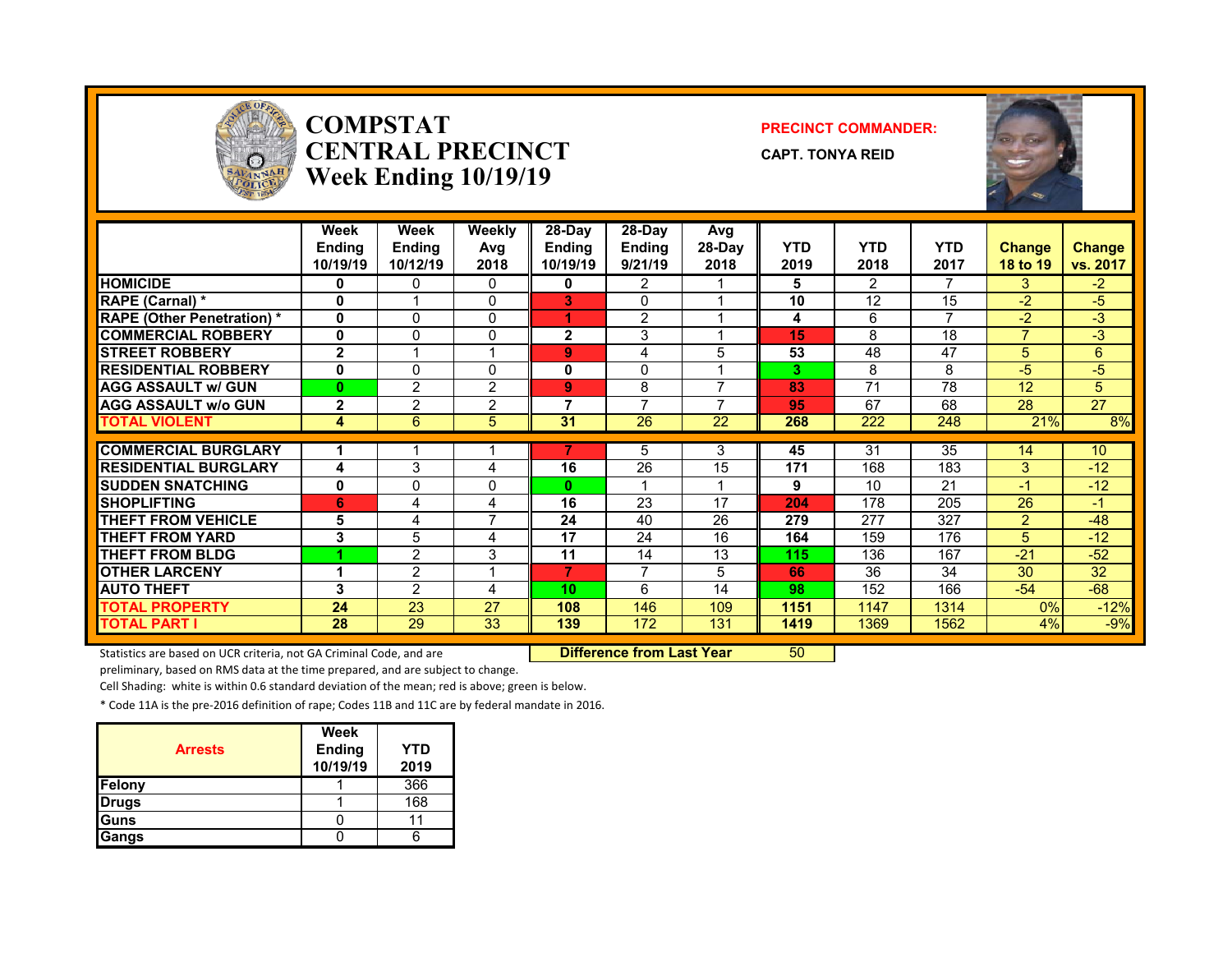

#### **COMPSTATCENTRAL PRECINCTWeek Ending 10/19/19**

#### **PRECINCT COMMANDER:**

**CAPT. TONYA REID**



|                                  | Week<br><b>Ending</b><br>10/19/19 | <b>Week</b><br><b>Endina</b><br>10/12/19 | Weekly<br>Avg<br>2018 | 28-Day<br><b>Ending</b><br>10/19/19 | 28-Dav<br><b>Ending</b><br>9/21/19 | Avg<br>28-Day<br>2018 | <b>YTD</b><br>2019 | <b>YTD</b><br>2018 | <b>YTD</b><br>2017 | <b>Change</b><br>18 to 19 | <b>Change</b><br>vs. 2017 |
|----------------------------------|-----------------------------------|------------------------------------------|-----------------------|-------------------------------------|------------------------------------|-----------------------|--------------------|--------------------|--------------------|---------------------------|---------------------------|
| <b>HOMICIDE</b>                  | 0                                 | 0                                        | 0                     | 0                                   | 2                                  |                       | 5                  | $\overline{2}$     | 7                  | 3                         | $-2$                      |
| RAPE (Carnal) *                  | O                                 |                                          | $\Omega$              | 3                                   | $\Omega$                           |                       | 10                 | 12                 | 15                 | $-2$                      | $-5$                      |
| <b>RAPE (Other Penetration)*</b> | $\mathbf{0}$                      | $\Omega$                                 | $\mathbf{0}$          | 4                                   | $\overline{2}$                     |                       | 4                  | 6                  | ⇁                  | $-2$                      | -3                        |
| <b>COMMERCIAL ROBBERY</b>        | 0                                 | 0                                        | $\Omega$              | $\mathbf{2}$                        | 3                                  |                       | 15                 | 8                  | 18                 | $\overline{7}$            | $-3$                      |
| <b>STREET ROBBERY</b>            | $\overline{2}$                    |                                          | 4                     | 9                                   | 4                                  | 5                     | 53                 | 48                 | 47                 | 5                         | 6                         |
| <b>RESIDENTIAL ROBBERY</b>       | 0                                 | 0                                        | 0                     | 0                                   | 0                                  |                       | 3                  | 8                  | 8                  | -5                        | $-5$                      |
| <b>AGG ASSAULT w/ GUN</b>        | $\bf{0}$                          | 2                                        | $\overline{2}$        | 9                                   | 8                                  | ⇁                     | 83                 | 71                 | 78                 | 12                        | 5                         |
| <b>AGG ASSAULT w/o GUN</b>       | $\mathbf{2}$                      | $\overline{2}$                           | $\overline{2}$        | 7                                   | $\overline{ }$                     |                       | 95                 | 67                 | 68                 | 28                        | 27                        |
| <b>TOTAL VIOLENT</b>             | 4                                 | 6                                        | 5                     | 31                                  | 26                                 | 22                    | 268                | 222                | 248                | 21%                       | 8%                        |
|                                  |                                   |                                          |                       |                                     |                                    |                       |                    |                    |                    |                           |                           |
| <b>COMMERCIAL BURGLARY</b>       |                                   |                                          |                       |                                     | 5                                  | 3                     | 45                 | 31                 | 35                 | 14                        | 10                        |
| <b>RESIDENTIAL BURGLARY</b>      | 4                                 | 3                                        | 4                     | 16                                  | 26                                 | 15                    | 171                | 168                | 183                | 3                         | $-12$                     |
| <b>SUDDEN SNATCHING</b>          | 0                                 | 0                                        | $\mathbf{0}$          | $\mathbf{0}$                        |                                    |                       | 9                  | 10                 | 21                 | -1                        | $-12$                     |
| <b>SHOPLIFTING</b>               | 6                                 | 4                                        | 4                     | 16                                  | 23                                 | 17                    | 204                | 178                | 205                | 26                        | $-1$                      |
| <b>THEFT FROM VEHICLE</b>        | 5                                 | 4                                        | 7                     | 24                                  | 40                                 | 26                    | 279                | 277                | 327                | 2                         | $-48$                     |
| <b>THEFT FROM YARD</b>           | 3                                 | 5                                        | 4                     | 17                                  | 24                                 | 16                    | 164                | 159                | 176                | 5                         | $-12$                     |
| <b>THEFT FROM BLDG</b>           |                                   | $\overline{2}$                           | 3                     | 11                                  | 14                                 | 13                    | 115                | 136                | 167                | $-21$                     | $-52$                     |
| <b>OTHER LARCENY</b>             | 4                                 | $\overline{2}$                           | 4                     | 7                                   | $\overline{7}$                     | 5                     | 66                 | 36                 | 34                 | 30                        | 32                        |
| <b>AUTO THEFT</b>                | 3                                 | $\mathcal{P}$                            | 4                     | 10                                  | 6                                  | 14                    | 98                 | 152                | 166                | $-54$                     | $-68$                     |
| <b>TOTAL PROPERTY</b>            | 24                                | 23                                       | 27                    | 108                                 | 146                                | 109                   | 1151               | 1147               | 1314               | $0\%$                     | $-12%$                    |
| <b>TOTAL PART I</b>              | 28                                | 29                                       | 33                    | 139                                 | 172                                | 131                   | 1419               | 1369               | 1562               | 4%                        | $-9%$                     |

Statistics are based on UCR criteria, not GA Criminal Code, and are **Difference from Last Year** 50

preliminary, based on RMS data at the time prepared, and are subject to change.

Cell Shading: white is within 0.6 standard deviation of the mean; red is above; green is below.

| <b>Arrests</b> | Week<br><b>Ending</b><br>10/19/19 | <b>YTD</b><br>2019 |
|----------------|-----------------------------------|--------------------|
| Felony         |                                   | 366                |
| <b>Drugs</b>   |                                   | 168                |
| Guns           |                                   |                    |
| Gangs          |                                   |                    |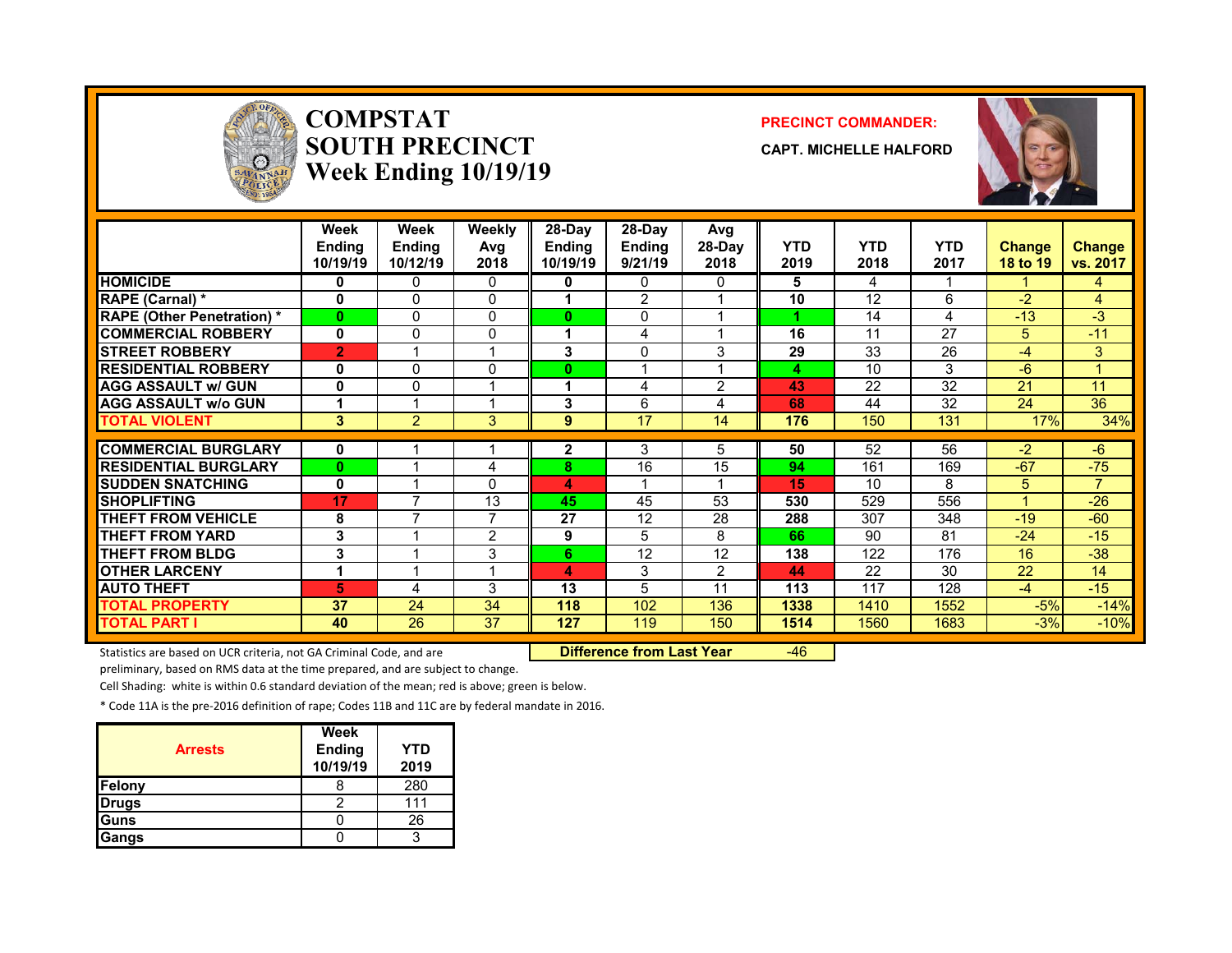

#### **COMPSTATSOUTH PRECINCTWeek Ending 10/19/19**

#### **PRECINCT COMMANDER:**

**CAPT. MICHELLE HALFORD**



|                                   | Week<br><b>Ending</b><br>10/19/19 | Week<br><b>Ending</b><br>10/12/19 | Weekly<br>Avg<br>2018   | $28-Dav$<br><b>Ending</b><br>10/19/19 | 28-Dav<br><b>Ending</b><br>9/21/19 | Avg<br>28-Day<br>2018 | <b>YTD</b><br>2019 | <b>YTD</b><br>2018 | <b>YTD</b><br>2017 | <b>Change</b><br>18 to 19 | Change<br>vs. 2017 |
|-----------------------------------|-----------------------------------|-----------------------------------|-------------------------|---------------------------------------|------------------------------------|-----------------------|--------------------|--------------------|--------------------|---------------------------|--------------------|
| <b>HOMICIDE</b>                   | 0                                 | 0                                 | $\mathbf{0}$            | 0                                     | $\mathbf{0}$                       | $\Omega$              | 5                  | 4                  |                    |                           | 4                  |
| <b>RAPE (Carnal) *</b>            | 0                                 | $\Omega$                          | 0                       |                                       | $\overline{2}$                     |                       | 10                 | 12                 | 6                  | $-2$                      | 4                  |
| <b>RAPE (Other Penetration) *</b> | $\bf{0}$                          | $\Omega$                          | $\Omega$                | $\bf{0}$                              | 0                                  |                       |                    | 14                 | 4                  | $-13$                     | $-3$               |
| <b>COMMERCIAL ROBBERY</b>         | 0                                 | 0                                 | $\mathbf{0}$            |                                       | 4                                  |                       | 16                 | 11                 | 27                 | 5.                        | $-11$              |
| <b>ISTREET ROBBERY</b>            | $\overline{2}$                    |                                   | 1                       | 3                                     | 0                                  | 3                     | 29                 | 33                 | 26                 | $-4$                      | 3                  |
| <b>RESIDENTIAL ROBBERY</b>        | 0                                 | $\Omega$                          | $\Omega$                | $\bf{0}$                              |                                    |                       | 4                  | 10                 | 3                  | $-6$                      |                    |
| <b>AGG ASSAULT w/ GUN</b>         | 0                                 | 0                                 | 1                       | 1                                     | 4                                  | 2                     | 43                 | 22                 | 32                 | 21                        | 11                 |
| <b>AGG ASSAULT w/o GUN</b>        |                                   |                                   | 1                       | 3                                     | 6                                  | 4                     | 68                 | 44                 | 32                 | 24                        | 36                 |
| <b>TOTAL VIOLENT</b>              | 3                                 | $\overline{2}$                    | 3                       | 9                                     | 17                                 | 14                    | 176                | 150                | 131                | 17%                       | 34%                |
|                                   |                                   |                                   |                         |                                       |                                    |                       |                    | 52                 | 56                 | $-2$                      |                    |
| <b>COMMERCIAL BURGLARY</b>        | 0                                 |                                   |                         | 2                                     | 3                                  | 5.                    | 50                 |                    |                    |                           | $-6$               |
| <b>RESIDENTIAL BURGLARY</b>       | $\bf{0}$                          |                                   | 4                       | 8                                     | 16                                 | 15                    | 94                 | 161                | 169                | $-67$                     | $-75$              |
| <b>ISUDDEN SNATCHING</b>          | $\bf{0}$                          |                                   | 0                       | 4                                     |                                    |                       | 15                 | 10                 | 8                  | 5.                        | $\overline{7}$     |
| <b>SHOPLIFTING</b>                | 17                                | $\overline{\phantom{a}}$          | 13                      | 45                                    | 45                                 | 53                    | 530                | 529                | 556                | 4                         | $-26$              |
| THEFT FROM VEHICLE                | 8                                 | ⇁                                 | 7                       | 27                                    | 12                                 | 28                    | 288                | 307                | 348                | $-19$                     | $-60$              |
| <b>THEFT FROM YARD</b>            | 3                                 |                                   | $\overline{2}$          | 9                                     | 5                                  | 8                     | 66                 | 90                 | 81                 | $-24$                     | $-15$              |
| <b>THEFT FROM BLDG</b>            | 3                                 |                                   | 3                       | 6                                     | 12                                 | 12                    | 138                | 122                | 176                | 16                        | $-38$              |
| <b>OTHER LARCENY</b>              | 1                                 |                                   | $\overline{\mathbf{A}}$ | 4                                     | 3                                  | 2                     | 44                 | 22                 | 30                 | 22                        | 14                 |
| <b>AUTO THEFT</b>                 | 5                                 | 4                                 | 3                       | 13                                    | 5                                  | 11                    | 113                | 117                | 128                | $-4$                      | $-15$              |
| <b>TOTAL PROPERTY</b>             | 37                                | 24                                | 34                      | 118                                   | 102                                | 136                   | 1338               | 1410               | 1552               | $-5%$                     | $-14%$             |
| <b>TOTAL PART I</b>               | 40                                | 26                                | 37                      | 127                                   | 119                                | 150                   | 1514               | 1560               | 1683               | $-3%$                     | $-10%$             |

Statistics are based on UCR criteria, not GA Criminal Code, and are **Difference from Last Year** -46

preliminary, based on RMS data at the time prepared, and are subject to change.

Cell Shading: white is within 0.6 standard deviation of the mean; red is above; green is below.

| <b>Arrests</b> | <b>Week</b><br><b>Ending</b><br>10/19/19 | YTD<br>2019 |
|----------------|------------------------------------------|-------------|
| Felony         |                                          | 280         |
| <b>Drugs</b>   |                                          | 111         |
| Guns           |                                          | 26          |
| Gangs          |                                          |             |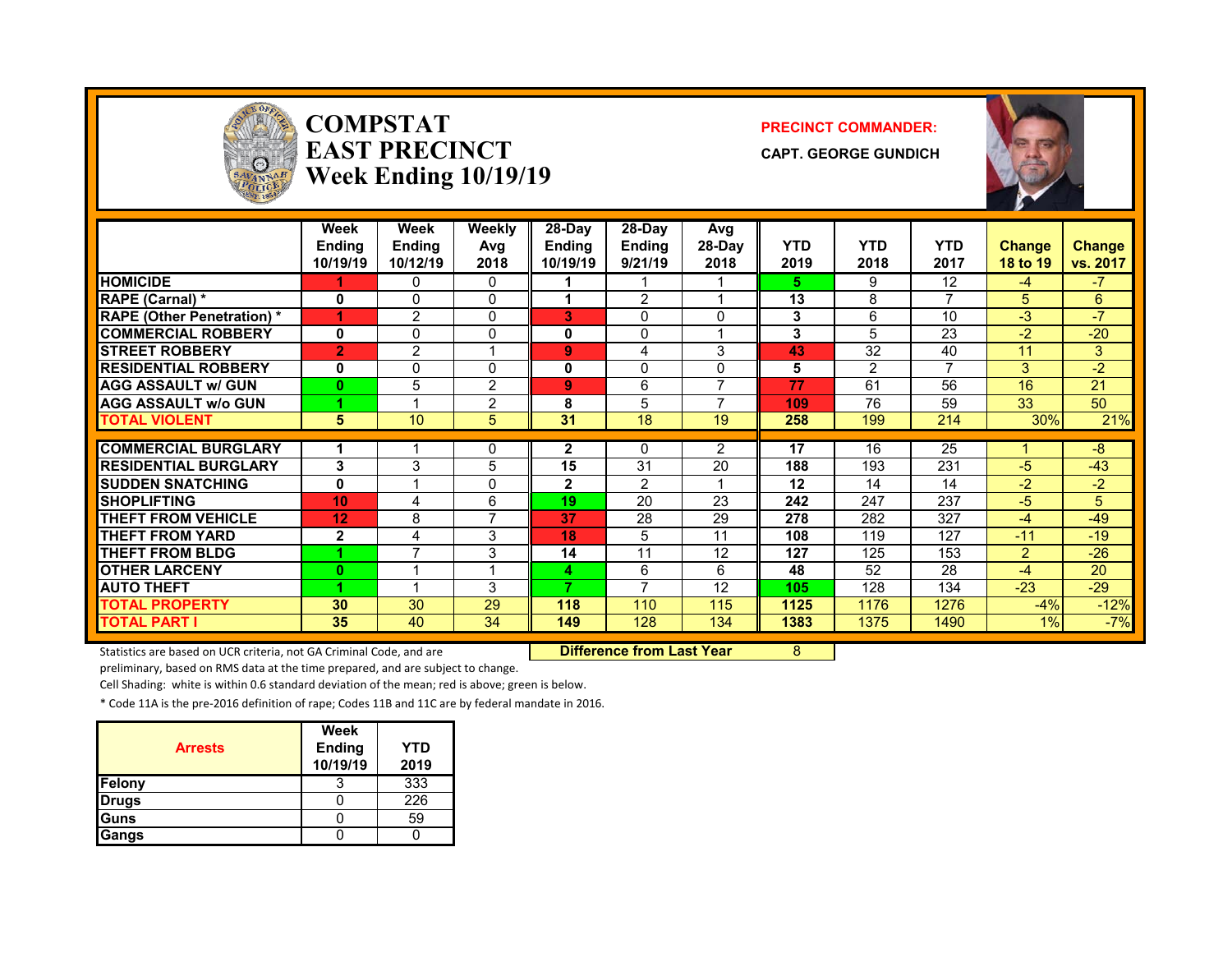

#### **COMPSTATEAST PRECINCTWeek Ending 10/19/19**

#### **PRECINCT COMMANDER:**

**CAPT. GEORGE GUNDICH**



|                                   | Week<br><b>Ending</b><br>10/19/19 | <b>Week</b><br><b>Endina</b><br>10/12/19 | <b>Weekly</b><br>Avq<br>2018 | 28-Day<br><b>Ending</b><br>10/19/19 | 28-Dav<br><b>Ending</b><br>9/21/19 | Avg<br>28-Day<br>2018 | <b>YTD</b><br>2019 | <b>YTD</b><br>2018 | <b>YTD</b><br>2017 | <b>Change</b><br>18 to 19 | <b>Change</b><br>vs. 2017 |
|-----------------------------------|-----------------------------------|------------------------------------------|------------------------------|-------------------------------------|------------------------------------|-----------------------|--------------------|--------------------|--------------------|---------------------------|---------------------------|
| <b>HOMICIDE</b>                   |                                   | 0                                        | 0                            |                                     |                                    |                       | 5.                 | 9                  | 12                 | $-4$                      | $\boldsymbol{T}$          |
| <b>RAPE (Carnal)</b> *            | 0                                 | $\Omega$                                 | 0                            |                                     | 2                                  |                       | 13                 | 8                  | 7                  | 5.                        | 6                         |
| <b>RAPE (Other Penetration) *</b> | 1                                 | $\overline{2}$                           | $\mathbf 0$                  | 3                                   | 0                                  | 0                     | 3                  | 6                  | 10                 | $-3$                      | $\sqrt{7}$                |
| <b>COMMERCIAL ROBBERY</b>         | $\mathbf 0$                       | $\Omega$                                 | 0                            | 0                                   | $\Omega$                           |                       | 3                  | 5                  | 23                 | $-2$                      | $-20$                     |
| <b>STREET ROBBERY</b>             | $\overline{2}$                    | $\overline{2}$                           | 1                            | 9                                   | 4                                  | 3                     | 43                 | 32                 | 40                 | 11                        | 3                         |
| <b>RESIDENTIAL ROBBERY</b>        | 0                                 | 0                                        | 0                            | 0                                   | $\Omega$                           | 0                     | 5                  | $\overline{2}$     | 7                  | 3                         | $-2$                      |
| <b>AGG ASSAULT w/ GUN</b>         | $\bf{0}$                          | 5                                        | 2                            | 9                                   | 6                                  | ⇁                     | 77                 | 61                 | 56                 | 16                        | 21                        |
| <b>AGG ASSAULT W/o GUN</b>        |                                   |                                          | 2                            | 8                                   | 5                                  | -                     | 109                | 76                 | 59                 | 33                        | 50                        |
| <b>TOTAL VIOLENT</b>              | 5                                 | 10                                       | 5                            | 31                                  | 18                                 | 19                    | 258                | 199                | 214                | 30%                       | 21%                       |
|                                   |                                   |                                          |                              |                                     |                                    |                       |                    |                    |                    |                           |                           |
| <b>COMMERCIAL BURGLARY</b>        |                                   |                                          | 0                            | 2                                   | 0                                  | $\overline{2}$        | 17                 | 16                 | 25                 |                           | $-8$                      |
| <b>RESIDENTIAL BURGLARY</b>       | 3                                 | 3                                        | 5                            | 15                                  | 31                                 | 20                    | 188                | 193                | 231                | $-5$                      | $-43$                     |
| <b>ISUDDEN SNATCHING</b>          | 0                                 |                                          | $\mathbf 0$                  | $\mathbf{2}$                        | 2                                  |                       | 12                 | 14                 | 14                 | $-2$                      | $-2$                      |
| <b>SHOPLIFTING</b>                | 10                                | 4                                        | 6                            | 19                                  | 20                                 | 23                    | 242                | 247                | 237                | $-5$                      | 5                         |
| <b>THEFT FROM VEHICLE</b>         | 12                                | 8                                        | 7                            | 37                                  | 28                                 | 29                    | 278                | 282                | 327                | $-4$                      | $-49$                     |
| <b>THEFT FROM YARD</b>            | $\mathbf{2}$                      | 4                                        | 3                            | 18                                  | 5                                  | 11                    | 108                | 119                | 127                | $-11$                     | $-19$                     |
| <b>THEFT FROM BLDG</b>            |                                   | 7                                        | 3                            | 14                                  | 11                                 | 12                    | 127                | 125                | 153                | $\overline{2}$            | $-26$                     |
| <b>OTHER LARCENY</b>              | $\bf{0}$                          |                                          | 1                            | 4                                   | 6                                  | 6                     | 48                 | 52                 | 28                 | $-4$                      | 20                        |
| <b>AUTO THEFT</b>                 |                                   |                                          | 3                            | 7                                   | $\overline{ }$                     | 12                    | 105                | 128                | 134                | $-23$                     | $-29$                     |
| <b>TOTAL PROPERTY</b>             | 30                                | 30                                       | 29                           | 118                                 | 110                                | 115                   | 1125               | 1176               | 1276               | $-4%$                     | $-12%$                    |
| <b>TOTAL PART I</b>               | 35                                | 40                                       | 34                           | 149                                 | 128                                | 134                   | 1383               | 1375               | 1490               | $1\%$                     | $-7%$                     |

Statistics are based on UCR criteria, not GA Criminal Code, and are **Difference from Last Year** 8

preliminary, based on RMS data at the time prepared, and are subject to change.

Cell Shading: white is within 0.6 standard deviation of the mean; red is above; green is below.

| <b>Arrests</b> | <b>Week</b><br><b>Ending</b><br>10/19/19 | YTD<br>2019 |
|----------------|------------------------------------------|-------------|
| <b>Felony</b>  |                                          | 333         |
| <b>Drugs</b>   |                                          | 226         |
| <b>Guns</b>    |                                          | 59          |
| Gangs          |                                          |             |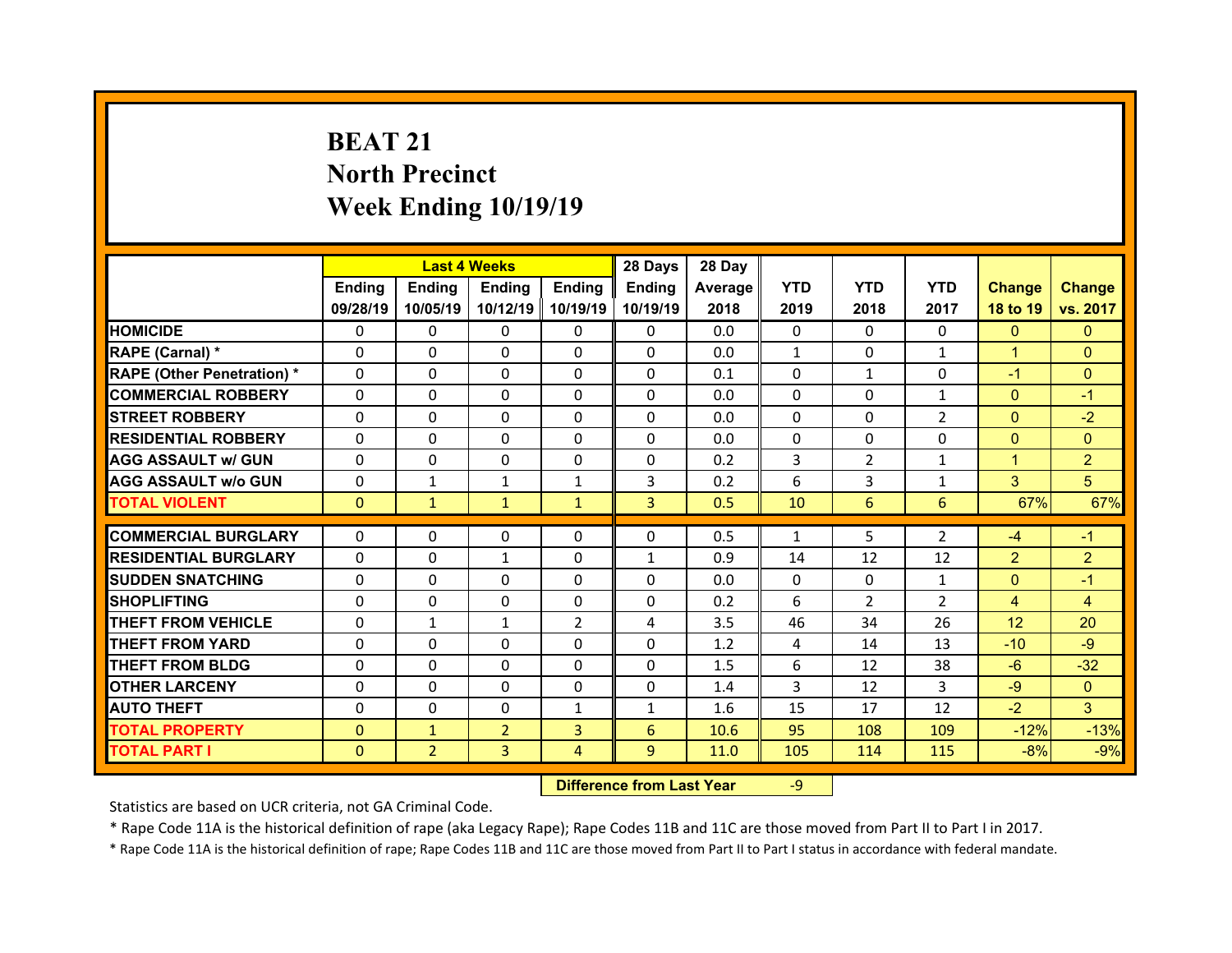# **BEAT 21North Precinct Week Ending 10/19/19**

|                                   |              | <b>Last 4 Weeks</b> |                |                | 28 Days        | 28 Day  |              |                |                |                 |                |
|-----------------------------------|--------------|---------------------|----------------|----------------|----------------|---------|--------------|----------------|----------------|-----------------|----------------|
|                                   | Ending       | <b>Ending</b>       | <b>Ending</b>  | Ending         | Ending         | Average | <b>YTD</b>   | <b>YTD</b>     | <b>YTD</b>     | <b>Change</b>   | <b>Change</b>  |
|                                   | 09/28/19     | 10/05/19            | 10/12/19       | 10/19/19       | 10/19/19       | 2018    | 2019         | 2018           | 2017           | 18 to 19        | vs. 2017       |
| <b>HOMICIDE</b>                   | $\Omega$     | $\Omega$            | $\Omega$       | $\Omega$       | $\Omega$       | 0.0     | $\Omega$     | $\Omega$       | $\Omega$       | $\Omega$        | $\Omega$       |
| RAPE (Carnal) *                   | $\Omega$     | $\Omega$            | $\Omega$       | $\Omega$       | $\Omega$       | 0.0     | $\mathbf{1}$ | $\Omega$       | $\mathbf{1}$   | $\mathbf{1}$    | $\Omega$       |
| <b>RAPE (Other Penetration) *</b> | $\Omega$     | $\Omega$            | $\mathbf{0}$   | $\Omega$       | $\Omega$       | 0.1     | $\Omega$     | $\mathbf{1}$   | $\Omega$       | $-1$            | $\Omega$       |
| <b>COMMERCIAL ROBBERY</b>         | $\Omega$     | $\Omega$            | $\mathbf{0}$   | $\Omega$       | $\Omega$       | 0.0     | $\Omega$     | $\Omega$       | $\mathbf{1}$   | $\overline{0}$  | $-1$           |
| <b>STREET ROBBERY</b>             | $\Omega$     | $\Omega$            | $\Omega$       | $\Omega$       | $\Omega$       | 0.0     | $\Omega$     | $\Omega$       | $\overline{2}$ | $\mathbf{0}$    | $-2$           |
| <b>RESIDENTIAL ROBBERY</b>        | $\Omega$     | $\Omega$            | $\mathbf{0}$   | $\Omega$       | $\Omega$       | 0.0     | $\Omega$     | $\Omega$       | $\Omega$       | $\mathbf{0}$    | $\Omega$       |
| <b>AGG ASSAULT w/ GUN</b>         | $\Omega$     | 0                   | $\Omega$       | $\Omega$       | $\Omega$       | 0.2     | 3            | $\overline{2}$ | $\mathbf{1}$   | $\mathbf{1}$    | $\overline{2}$ |
| <b>AGG ASSAULT w/o GUN</b>        | $\Omega$     | $\mathbf{1}$        | $\mathbf{1}$   | $\mathbf{1}$   | 3              | 0.2     | 6            | 3              | $\mathbf{1}$   | 3               | 5              |
| <b>TOTAL VIOLENT</b>              | $\mathbf{0}$ | $\mathbf{1}$        | $\mathbf{1}$   | $\mathbf{1}$   | $\overline{3}$ | 0.5     | 10           | 6              | 6              | 67%             | 67%            |
|                                   |              |                     |                |                |                |         |              | 5              |                |                 |                |
| <b>COMMERCIAL BURGLARY</b>        | 0            | 0                   | 0              | $\Omega$       | 0              | 0.5     | 1            |                | $\overline{2}$ | $-4$            | $-1$           |
| <b>RESIDENTIAL BURGLARY</b>       | 0            | $\Omega$            | $\mathbf{1}$   | $\Omega$       | $\mathbf{1}$   | 0.9     | 14           | 12             | 12             | $\overline{2}$  | $\overline{2}$ |
| <b>SUDDEN SNATCHING</b>           | 0            | 0                   | $\mathbf{0}$   | $\Omega$       | 0              | 0.0     | $\Omega$     | $\Omega$       | $\mathbf{1}$   | $\mathbf{0}$    | $-1$           |
|                                   |              |                     |                |                |                |         |              |                |                |                 |                |
| <b>SHOPLIFTING</b>                | 0            | 0                   | 0              | $\Omega$       | 0              | 0.2     | 6            | $\overline{2}$ | $\overline{2}$ | $\overline{4}$  | $\overline{4}$ |
| <b>THEFT FROM VEHICLE</b>         | 0            | $\mathbf{1}$        | $\mathbf{1}$   | $\overline{2}$ | 4              | 3.5     | 46           | 34             | 26             | 12 <sup>2</sup> | 20             |
| <b>THEFT FROM YARD</b>            | 0            | 0                   | $\Omega$       | $\Omega$       | 0              | 1.2     | 4            | 14             | 13             | $-10$           | $-9$           |
| <b>THEFT FROM BLDG</b>            | $\Omega$     | 0                   | $\mathbf{0}$   | $\mathbf{0}$   | 0              | 1.5     | 6            | 12             | 38             | $-6$            | $-32$          |
| <b>OTHER LARCENY</b>              | $\Omega$     | 0                   | $\Omega$       | $\Omega$       | 0              | 1.4     | 3            | 12             | 3              | $-9$            | $\Omega$       |
| <b>AUTO THEFT</b>                 | $\mathbf{0}$ | 0                   | $\mathbf{0}$   | $\mathbf{1}$   | $\mathbf{1}$   | 1.6     | 15           | 17             | 12             | $-2$            | 3              |
| <b>TOTAL PROPERTY</b>             | $\Omega$     | $\mathbf{1}$        | $\overline{2}$ | $\overline{3}$ | 6              | 10.6    | 95           | 108            | 109            | $-12%$          | $-13%$         |
| <b>TOTAL PART I</b>               | $\mathbf{0}$ | $\overline{2}$      | 3              | $\overline{4}$ | 9              | 11.0    | 105          | 114            | 115            | $-8%$           | $-9%$          |

 **Difference from Last Year**r - 9

Statistics are based on UCR criteria, not GA Criminal Code.

\* Rape Code 11A is the historical definition of rape (aka Legacy Rape); Rape Codes 11B and 11C are those moved from Part II to Part I in 2017.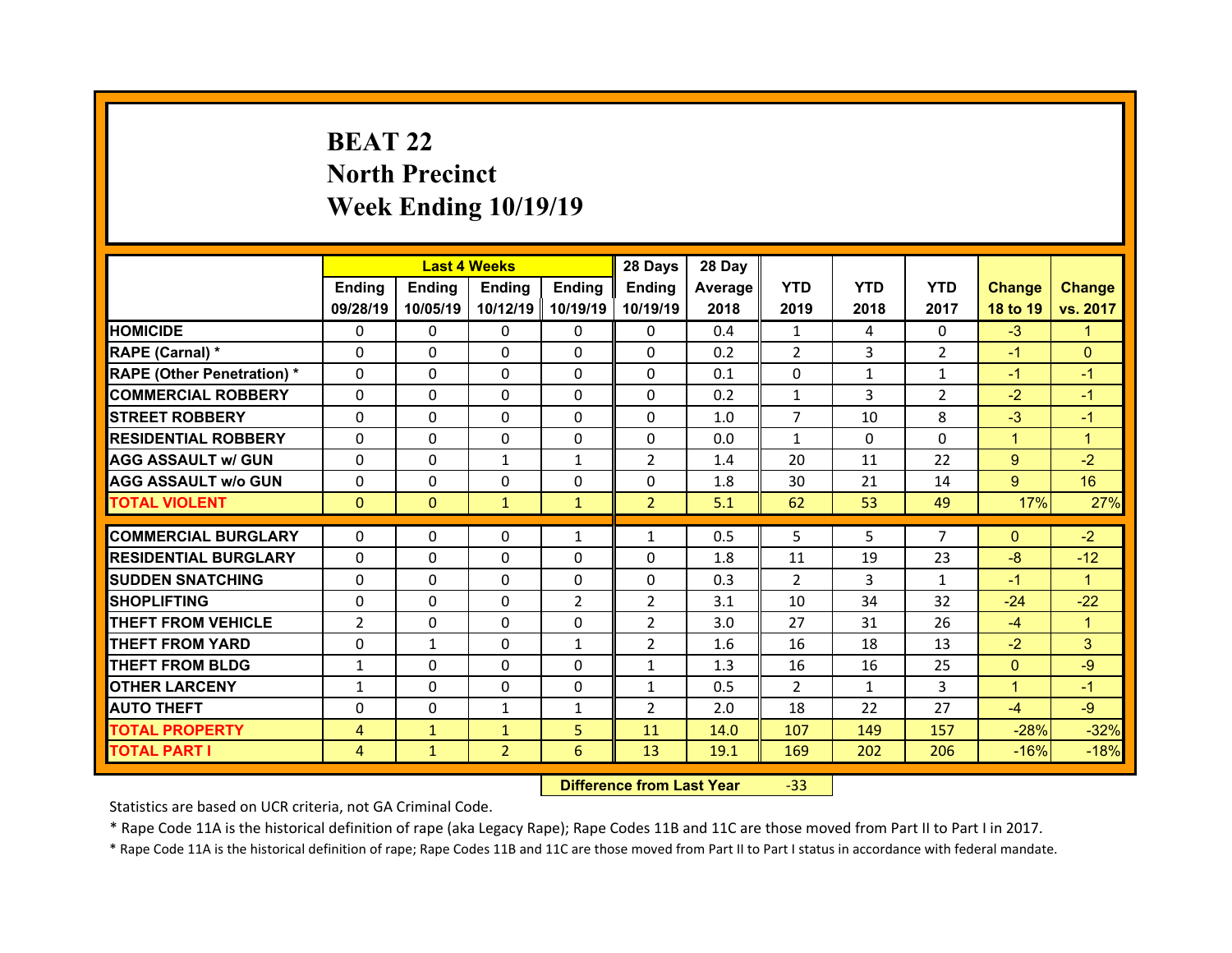## **BEAT 22North Precinct Week Ending 10/19/19**

|                                   |                | <b>Last 4 Weeks</b> |               |                | 28 Days        | 28 Day  |                |              |                |               |               |
|-----------------------------------|----------------|---------------------|---------------|----------------|----------------|---------|----------------|--------------|----------------|---------------|---------------|
|                                   | Ending         | <b>Ending</b>       | <b>Ending</b> | Ending         | Ending         | Average | <b>YTD</b>     | <b>YTD</b>   | <b>YTD</b>     | <b>Change</b> | <b>Change</b> |
|                                   | 09/28/19       | 10/05/19            | 10/12/19      | 10/19/19       | 10/19/19       | 2018    | 2019           | 2018         | 2017           | 18 to 19      | vs. 2017      |
| <b>HOMICIDE</b>                   | $\Omega$       | 0                   | 0             | $\Omega$       | 0              | 0.4     | 1              | 4            | $\Omega$       | $-3$          | 1             |
| RAPE (Carnal) *                   | $\Omega$       | 0                   | $\mathbf{0}$  | $\Omega$       | 0              | 0.2     | 2              | 3            | $\overline{2}$ | $-1$          | $\Omega$      |
| <b>RAPE (Other Penetration) *</b> | $\Omega$       | $\Omega$            | $\Omega$      | $\Omega$       | 0              | 0.1     | $\Omega$       | $\mathbf{1}$ | $\mathbf{1}$   | $-1$          | $-1$          |
| <b>COMMERCIAL ROBBERY</b>         | $\Omega$       | $\Omega$            | $\mathbf{0}$  | $\Omega$       | $\Omega$       | 0.2     | $\mathbf{1}$   | 3            | $\overline{2}$ | $-2$          | $-1$          |
| <b>STREET ROBBERY</b>             | $\Omega$       | $\Omega$            | $\Omega$      | $\Omega$       | $\Omega$       | 1.0     | $\overline{7}$ | 10           | 8              | $-3$          | $-1$          |
| <b>RESIDENTIAL ROBBERY</b>        | $\Omega$       | $\Omega$            | $\mathbf{0}$  | $\Omega$       | 0              | 0.0     | $\mathbf{1}$   | $\Omega$     | $\Omega$       | $\mathbf{1}$  | $\mathbf{1}$  |
| <b>AGG ASSAULT w/ GUN</b>         | $\Omega$       | $\Omega$            | $\mathbf{1}$  | $\mathbf{1}$   | $\overline{2}$ | 1.4     | 20             | 11           | 22             | $9^{\circ}$   | $-2$          |
| <b>AGG ASSAULT w/o GUN</b>        | 0              | 0                   | 0             | $\Omega$       | $\Omega$       | 1.8     | 30             | 21           | 14             | $9^{\circ}$   | 16            |
| <b>TOTAL VIOLENT</b>              | $\mathbf{0}$   | $\mathbf{0}$        | $\mathbf{1}$  | $\mathbf{1}$   | $\overline{2}$ | 5.1     | 62             | 53           | 49             | 17%           | 27%           |
|                                   |                |                     |               |                |                |         |                |              |                |               |               |
| <b>COMMERCIAL BURGLARY</b>        | 0              | 0                   | 0             | $\mathbf{1}$   | $\mathbf{1}$   | 0.5     | 5              | 5.           | $\overline{7}$ | $\mathbf{0}$  | $-2$          |
| <b>RESIDENTIAL BURGLARY</b>       | 0              | $\Omega$            | 0             | $\Omega$       | 0              | 1.8     | 11             | 19           | 23             | $-8$          | $-12$         |
| <b>SUDDEN SNATCHING</b>           | 0              | 0                   | $\mathbf{0}$  | $\Omega$       | 0              | 0.3     | 2              | 3            | $\mathbf{1}$   | $-1$          | $\mathbf{1}$  |
| <b>SHOPLIFTING</b>                | 0              | $\Omega$            | $\Omega$      | $\overline{2}$ | $\overline{2}$ | 3.1     | 10             | 34           | 32             | $-24$         | $-22$         |
| <b>THEFT FROM VEHICLE</b>         | $\overline{2}$ | 0                   | 0             | $\Omega$       | $\overline{2}$ | 3.0     | 27             | 31           | 26             | $-4$          | 1             |
| <b>THEFT FROM YARD</b>            | 0              | $\mathbf{1}$        | $\Omega$      | 1              | $\overline{2}$ | 1.6     | 16             | 18           | 13             | $-2$          | 3             |
| <b>THEFT FROM BLDG</b>            | $\mathbf{1}$   | 0                   | $\mathbf{0}$  | $\Omega$       | $\mathbf{1}$   | 1.3     | 16             | 16           | 25             | $\mathbf{0}$  | $-9$          |
| <b>OTHER LARCENY</b>              | $\mathbf{1}$   | $\Omega$            | $\Omega$      | $\Omega$       | $\mathbf{1}$   | 0.5     | 2              | $\mathbf{1}$ | 3              | $\mathbf{1}$  | $-1$          |
| <b>AUTO THEFT</b>                 | $\mathbf{0}$   | 0                   | $\mathbf{1}$  | $\mathbf{1}$   | $\overline{2}$ | 2.0     | 18             | 22           | 27             | $-4$          | $-9$          |
|                                   |                |                     |               |                |                |         |                |              |                |               |               |
| <b>TOTAL PROPERTY</b>             | 4              | $\mathbf{1}$        | $\mathbf{1}$  | 5              | 11             | 14.0    | 107            | 149          | 157            | $-28%$        | $-32%$        |

 **Difference from Last Year**‐33

Statistics are based on UCR criteria, not GA Criminal Code.

\* Rape Code 11A is the historical definition of rape (aka Legacy Rape); Rape Codes 11B and 11C are those moved from Part II to Part I in 2017.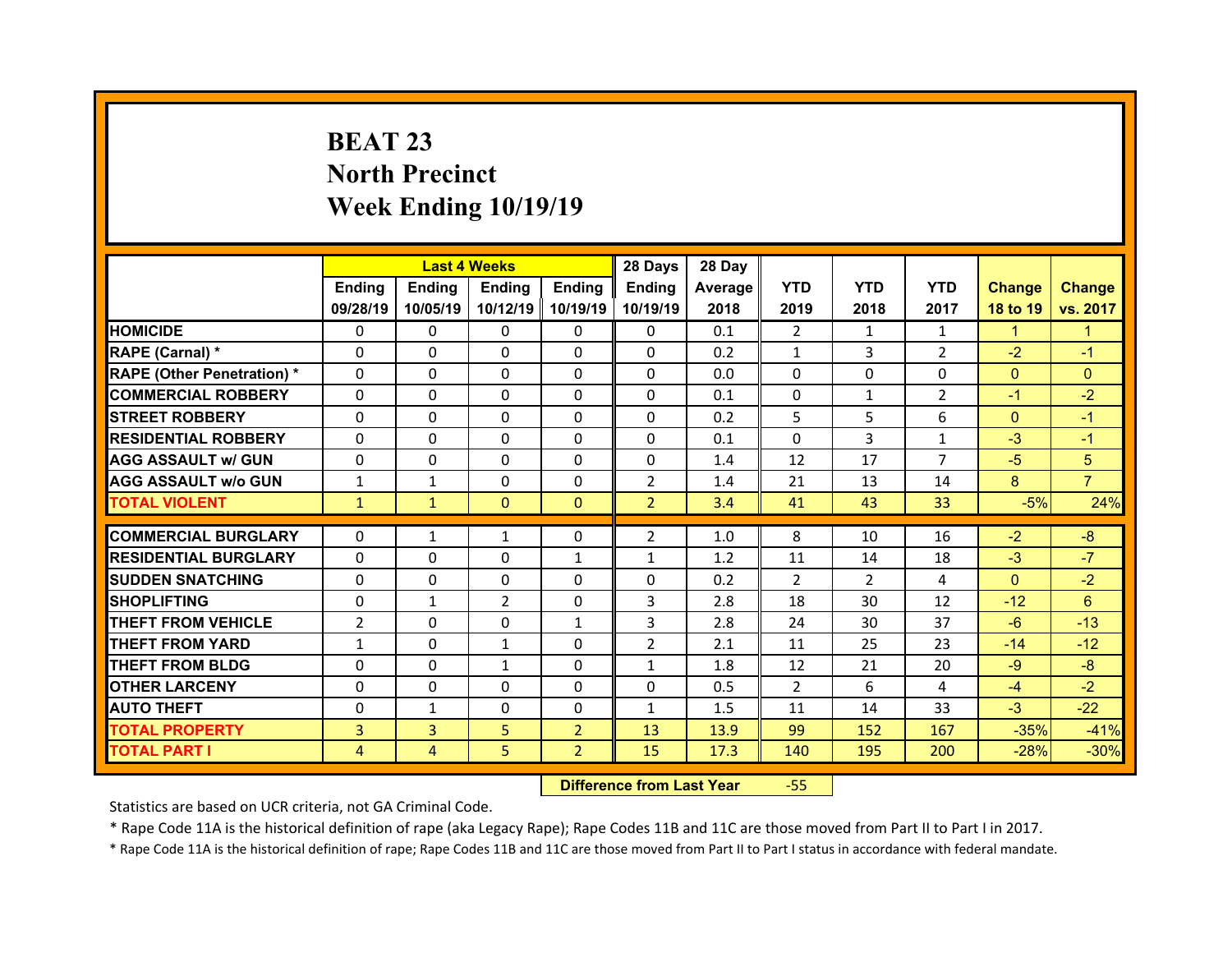# **BEAT 23 North Precinct Week Ending 10/19/19**

|                                  |                | <b>Last 4 Weeks</b> |               |                | 28 Days        | 28 Day         |                |                |                |               |                |
|----------------------------------|----------------|---------------------|---------------|----------------|----------------|----------------|----------------|----------------|----------------|---------------|----------------|
|                                  | Ending         | <b>Ending</b>       | <b>Ending</b> | <b>Ending</b>  | Ending         | <b>Average</b> | <b>YTD</b>     | <b>YTD</b>     | <b>YTD</b>     | <b>Change</b> | <b>Change</b>  |
|                                  | 09/28/19       | 10/05/19            | 10/12/19      | 10/19/19       | 10/19/19       | 2018           | 2019           | 2018           | 2017           | 18 to 19      | vs. 2017       |
| <b>HOMICIDE</b>                  | $\mathbf{0}$   | 0                   | $\Omega$      | $\Omega$       | $\Omega$       | 0.1            | $\overline{2}$ | $\mathbf{1}$   | $\mathbf{1}$   | $\mathbf{1}$  | $\mathbf{1}$   |
| RAPE (Carnal) *                  | $\mathbf{0}$   | 0                   | $\Omega$      | $\Omega$       | $\Omega$       | 0.2            | $\mathbf{1}$   | 3              | $\overline{2}$ | $-2$          | $-1$           |
| <b>RAPE (Other Penetration)*</b> | $\Omega$       | 0                   | $\Omega$      | $\Omega$       | $\Omega$       | 0.0            | $\Omega$       | 0              | 0              | $\Omega$      | $\Omega$       |
| <b>COMMERCIAL ROBBERY</b>        | $\Omega$       | $\Omega$            | $\Omega$      | $\Omega$       | $\Omega$       | 0.1            | $\Omega$       | $\mathbf{1}$   | $\mathcal{P}$  | $-1$          | $-2$           |
| <b>STREET ROBBERY</b>            | $\Omega$       | $\Omega$            | $\Omega$      | $\Omega$       | $\Omega$       | 0.2            | 5              | 5              | 6              | $\mathbf{0}$  | $-1$           |
| <b>RESIDENTIAL ROBBERY</b>       | $\Omega$       | $\Omega$            | $\Omega$      | $\Omega$       | $\Omega$       | 0.1            | $\Omega$       | 3              | $\mathbf{1}$   | $-3$          | $-1$           |
| <b>AGG ASSAULT w/ GUN</b>        | $\Omega$       | 0                   | $\Omega$      | $\Omega$       | $\Omega$       | 1.4            | 12             | 17             | $\overline{7}$ | $-5$          | 5              |
| <b>AGG ASSAULT w/o GUN</b>       | $\mathbf{1}$   | $\mathbf{1}$        | $\Omega$      | $\Omega$       | $\overline{2}$ | 1.4            | 21             | 13             | 14             | 8             | $\overline{7}$ |
| <b>TOTAL VIOLENT</b>             | $\mathbf{1}$   | $\mathbf{1}$        | $\mathbf{0}$  | $\mathbf{0}$   | $\overline{2}$ | 3.4            | 41             | 43             | 33             | $-5%$         | 24%            |
|                                  |                |                     |               |                |                |                |                |                |                |               |                |
| <b>COMMERCIAL BURGLARY</b>       | 0              | $\mathbf{1}$        | 1             | $\Omega$       | $\overline{2}$ | 1.0            | 8              | 10             | 16             | $-2$          | $-8$           |
| <b>RESIDENTIAL BURGLARY</b>      | $\Omega$       | $\Omega$            | $\Omega$      | $\mathbf{1}$   | $\mathbf{1}$   | 1.2            | 11             | 14             | 18             | $-3$          | $-7$           |
| <b>SUDDEN SNATCHING</b>          | $\mathbf{0}$   | 0                   | 0             | $\Omega$       | $\Omega$       | 0.2            | $\mathcal{P}$  | $\overline{2}$ | 4              | $\Omega$      | $-2$           |
| <b>SHOPLIFTING</b>               | 0              | $\mathbf{1}$        | 2             | $\Omega$       | 3              | 2.8            | 18             | 30             | 12             | $-12$         | 6              |
| <b>THEFT FROM VEHICLE</b>        | $\overline{2}$ | $\Omega$            | $\Omega$      | $\mathbf{1}$   | 3              | 2.8            | 24             | 30             | 37             | $-6$          | $-13$          |
| <b>THEFT FROM YARD</b>           | $\mathbf{1}$   | $\Omega$            | $\mathbf{1}$  | $\Omega$       | $\overline{2}$ | 2.1            | 11             | 25             | 23             | $-14$         | $-12$          |
| <b>THEFT FROM BLDG</b>           | $\mathbf{0}$   | 0                   | $\mathbf{1}$  | $\Omega$       | $\mathbf{1}$   | 1.8            | 12             | 21             | 20             | $-9$          | $-8$           |
| <b>OTHER LARCENY</b>             | $\Omega$       | $\Omega$            | $\Omega$      | $\Omega$       | $\Omega$       | 0.5            | $\overline{2}$ | 6              | 4              | $-4$          | $-2$           |
| <b>AUTO THEFT</b>                | 0              | $\mathbf{1}$        | $\Omega$      | $\mathbf{0}$   | $\mathbf{1}$   | 1.5            | 11             | 14             | 33             | $-3$          | $-22$          |
| <b>TOTAL PROPERTY</b>            | 3              | $\overline{3}$      | 5             | 2 <sup>1</sup> | 13             | 13.9           | 99             | 152            | 167            | $-35%$        | $-41%$         |
| <b>TOTAL PART I</b>              | $\overline{4}$ | $\overline{4}$      | 5             | $\overline{2}$ | 15             | 17.3           | 140            | 195            | 200            | $-28%$        | $-30%$         |

 **Difference from Last Year**‐55

Statistics are based on UCR criteria, not GA Criminal Code.

\* Rape Code 11A is the historical definition of rape (aka Legacy Rape); Rape Codes 11B and 11C are those moved from Part II to Part I in 2017.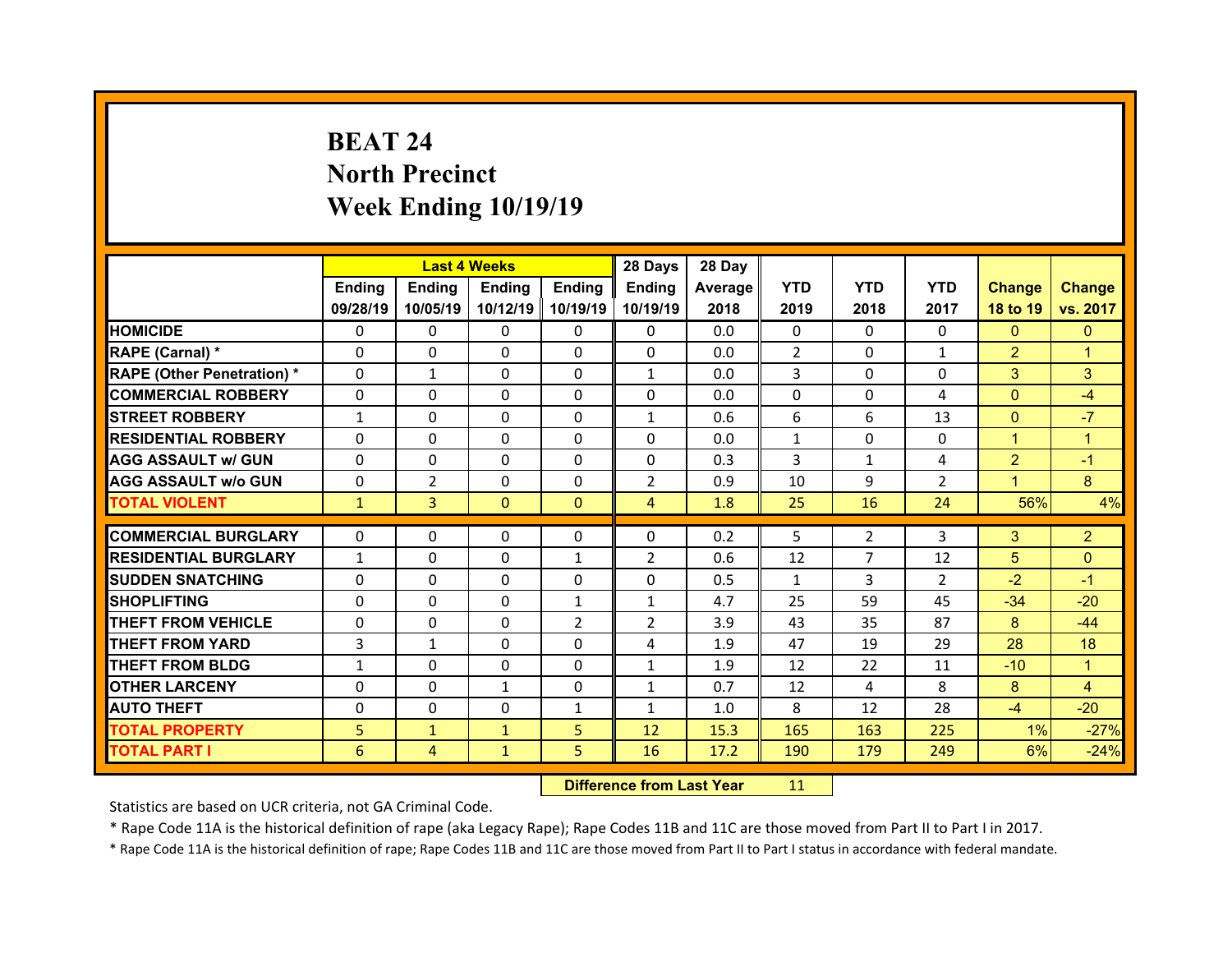# **BEAT 24North Precinct Week Ending 10/19/19**

|                                   |              | <b>Last 4 Weeks</b> |               |              | 28 Days        | 28 Day  |              |                |                |                |                |
|-----------------------------------|--------------|---------------------|---------------|--------------|----------------|---------|--------------|----------------|----------------|----------------|----------------|
|                                   | Ending       | <b>Ending</b>       | <b>Ending</b> | Ending       | Ending         | Average | <b>YTD</b>   | <b>YTD</b>     | <b>YTD</b>     | <b>Change</b>  | <b>Change</b>  |
|                                   | 09/28/19     | 10/05/19            | 10/12/19      | 10/19/19     | 10/19/19       | 2018    | 2019         | 2018           | 2017           | 18 to 19       | vs. 2017       |
| <b>HOMICIDE</b>                   | $\Omega$     | 0                   | 0             | $\Omega$     | 0              | 0.0     | $\Omega$     | $\Omega$       | $\Omega$       | $\mathbf{0}$   | $\mathbf{0}$   |
| RAPE (Carnal) *                   | $\Omega$     | 0                   | $\mathbf{0}$  | $\Omega$     | 0              | 0.0     | 2            | $\Omega$       | $\mathbf{1}$   | $\overline{2}$ | 1              |
| <b>RAPE (Other Penetration) *</b> | $\Omega$     | $\mathbf{1}$        | $\Omega$      | $\Omega$     | $\mathbf{1}$   | 0.0     | 3            | $\Omega$       | $\Omega$       | 3              | 3              |
| <b>COMMERCIAL ROBBERY</b>         | $\Omega$     | $\Omega$            | $\mathbf{0}$  | $\Omega$     | $\Omega$       | 0.0     | $\Omega$     | $\Omega$       | 4              | $\overline{0}$ | $-4$           |
| <b>STREET ROBBERY</b>             | $\mathbf{1}$ | $\Omega$            | $\Omega$      | $\Omega$     | $\mathbf{1}$   | 0.6     | 6            | 6              | 13             | $\Omega$       | $-7$           |
| <b>RESIDENTIAL ROBBERY</b>        | $\Omega$     | $\Omega$            | $\mathbf{0}$  | $\Omega$     | $\Omega$       | 0.0     | $\mathbf{1}$ | $\Omega$       | $\Omega$       | $\mathbf{1}$   | $\mathbf{1}$   |
| <b>AGG ASSAULT w/ GUN</b>         | $\Omega$     | $\Omega$            | $\Omega$      | $\Omega$     | $\Omega$       | 0.3     | 3            | $\mathbf{1}$   | 4              | $\overline{2}$ | $-1$           |
| <b>AGG ASSAULT w/o GUN</b>        | 0            | $\overline{2}$      | $\mathbf{0}$  | $\Omega$     | $\overline{2}$ | 0.9     | 10           | 9              | $\overline{2}$ | $\mathbf{1}$   | 8              |
| <b>TOTAL VIOLENT</b>              | $\mathbf{1}$ | $\overline{3}$      | $\mathbf{0}$  | $\Omega$     | $\overline{4}$ | 1.8     | 25           | 16             | 24             | 56%            | 4%             |
|                                   |              |                     |               |              |                |         |              |                |                |                |                |
|                                   |              |                     |               |              |                |         |              |                |                |                |                |
| <b>COMMERCIAL BURGLARY</b>        | 0            | 0                   | 0             | $\mathbf{0}$ | 0              | 0.2     | 5            | $\overline{2}$ | 3              | 3              | $\overline{2}$ |
| <b>RESIDENTIAL BURGLARY</b>       | $\mathbf{1}$ | $\Omega$            | 0             | 1            | $\overline{2}$ | 0.6     | 12           | $\overline{7}$ | 12             | 5              | $\overline{0}$ |
| <b>SUDDEN SNATCHING</b>           | 0            | 0                   | $\mathbf{0}$  | $\Omega$     | 0              | 0.5     | $\mathbf{1}$ | 3              | $\overline{2}$ | $-2$           | $-1$           |
| <b>SHOPLIFTING</b>                | 0            | $\Omega$            | $\Omega$      | $\mathbf{1}$ | $\mathbf{1}$   | 4.7     | 25           | 59             | 45             | $-34$          | $-20$          |
| <b>THEFT FROM VEHICLE</b>         | 0            | 0                   | 0             | 2            | $\overline{2}$ | 3.9     | 43           | 35             | 87             | 8              | $-44$          |
| <b>THEFT FROM YARD</b>            | 3            | $\mathbf{1}$        | $\Omega$      | $\Omega$     | 4              | 1.9     | 47           | 19             | 29             | 28             | 18             |
| <b>THEFT FROM BLDG</b>            | $\mathbf{1}$ | 0                   | $\mathbf{0}$  | $\Omega$     | $\mathbf{1}$   | 1.9     | 12           | 22             | 11             | $-10$          | $\mathbf{1}$   |
| <b>OTHER LARCENY</b>              | $\Omega$     | $\Omega$            | $\mathbf{1}$  | $\Omega$     | $\mathbf{1}$   | 0.7     | 12           | 4              | 8              | 8              | 4              |
| <b>AUTO THEFT</b>                 | $\mathbf{0}$ | 0                   | $\mathbf{0}$  | $\mathbf{1}$ | $\mathbf{1}$   | 1.0     | 8            | 12             | 28             | $-4$           | $-20$          |
| <b>TOTAL PROPERTY</b>             | 5            | $\mathbf{1}$        | $\mathbf{1}$  | 5            | 12             | 15.3    | 165          | 163            | 225            | 1%             | $-27%$         |
| TOTAL PART I                      | 6            | $\overline{4}$      | $\mathbf{1}$  | 5            | 16             | 17.2    | 190          | 179            | 249            | 6%             | $-24%$         |

 **Difference from Last Year**r 11

Statistics are based on UCR criteria, not GA Criminal Code.

\* Rape Code 11A is the historical definition of rape (aka Legacy Rape); Rape Codes 11B and 11C are those moved from Part II to Part I in 2017.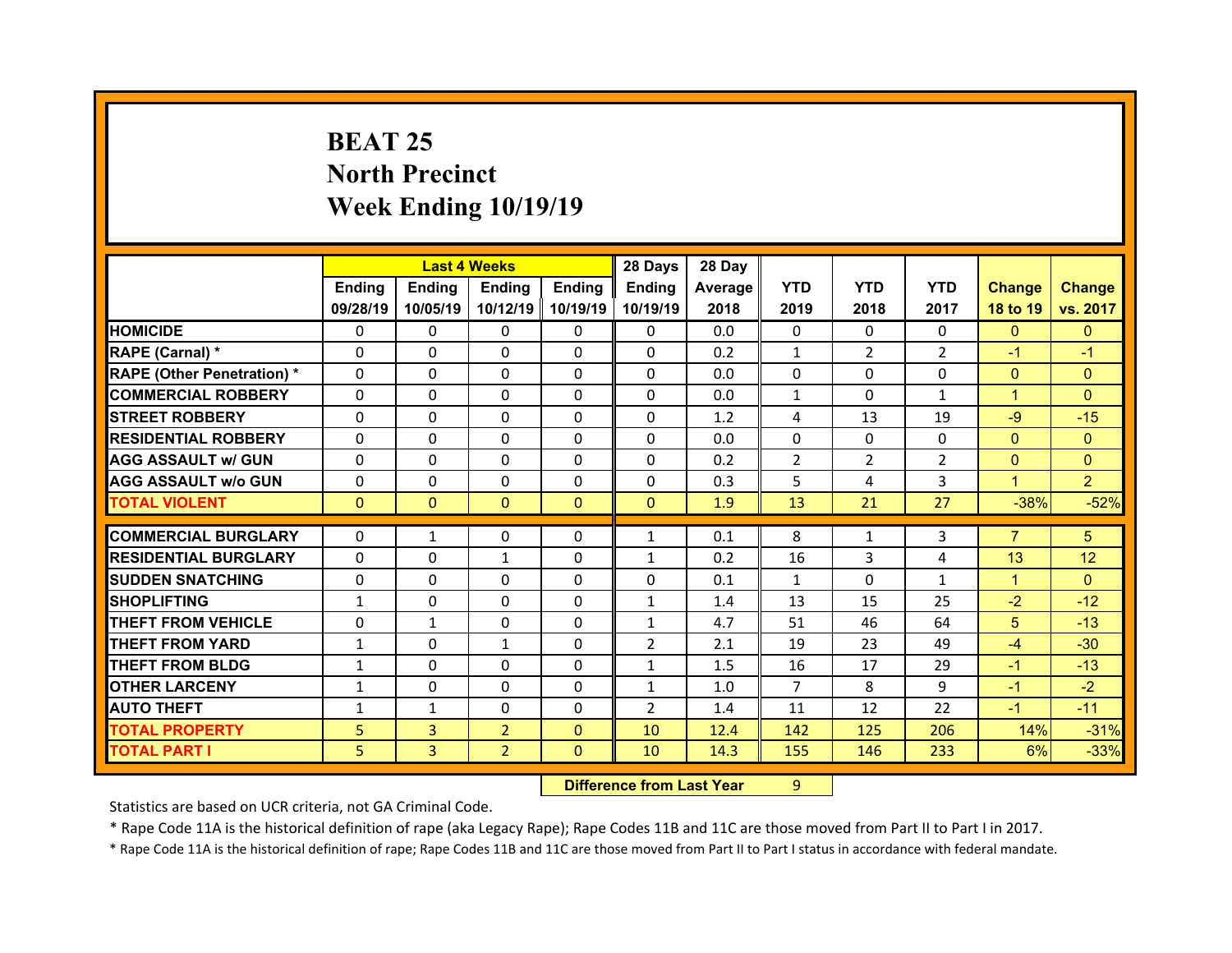# **BEAT 25 North Precinct Week Ending 10/19/19**

|                                   |              | <b>Last 4 Weeks</b> |                |              | 28 Days        | 28 Day  |                |                |                |                |                |
|-----------------------------------|--------------|---------------------|----------------|--------------|----------------|---------|----------------|----------------|----------------|----------------|----------------|
|                                   | Ending       | <b>Ending</b>       | <b>Ending</b>  | Ending       | Ending         | Average | <b>YTD</b>     | <b>YTD</b>     | <b>YTD</b>     | <b>Change</b>  | <b>Change</b>  |
|                                   | 09/28/19     | 10/05/19            | 10/12/19       | 10/19/19     | 10/19/19       | 2018    | 2019           | 2018           | 2017           | 18 to 19       | vs. 2017       |
| <b>HOMICIDE</b>                   | $\Omega$     | $\Omega$            | $\Omega$       | $\Omega$     | $\Omega$       | 0.0     | $\Omega$       | $\Omega$       | $\Omega$       | $\Omega$       | $\mathbf{0}$   |
| RAPE (Carnal) *                   | $\Omega$     | $\Omega$            | $\Omega$       | $\Omega$     | $\Omega$       | 0.2     | $\mathbf{1}$   | $\overline{2}$ | $\overline{2}$ | $-1$           | $-1$           |
| <b>RAPE (Other Penetration) *</b> | $\Omega$     | $\Omega$            | $\mathbf{0}$   | $\Omega$     | $\Omega$       | 0.0     | $\Omega$       | $\Omega$       | $\Omega$       | $\overline{0}$ | $\Omega$       |
| <b>COMMERCIAL ROBBERY</b>         | $\Omega$     | $\Omega$            | $\mathbf{0}$   | $\Omega$     | $\Omega$       | 0.0     | $\mathbf{1}$   | $\Omega$       | $\mathbf{1}$   | $\mathbf{1}$   | $\Omega$       |
| <b>STREET ROBBERY</b>             | $\Omega$     | $\Omega$            | $\Omega$       | $\Omega$     | $\Omega$       | 1.2     | 4              | 13             | 19             | $-9$           | $-15$          |
| <b>RESIDENTIAL ROBBERY</b>        | $\Omega$     | $\Omega$            | $\mathbf{0}$   | $\Omega$     | $\Omega$       | 0.0     | $\Omega$       | $\Omega$       | $\Omega$       | $\overline{0}$ | $\Omega$       |
| <b>AGG ASSAULT w/ GUN</b>         | $\Omega$     | 0                   | $\Omega$       | $\Omega$     | $\Omega$       | 0.2     | $\overline{2}$ | $\overline{2}$ | $\overline{2}$ | $\overline{0}$ | $\Omega$       |
| <b>AGG ASSAULT w/o GUN</b>        | $\Omega$     | $\Omega$            | $\mathbf{0}$   | $\Omega$     | $\Omega$       | 0.3     | 5              | 4              | 3              | $\mathbf{1}$   | $\overline{2}$ |
| <b>TOTAL VIOLENT</b>              | $\mathbf{0}$ | $\mathbf{0}$        | $\mathbf{0}$   | $\Omega$     | $\Omega$       | 1.9     | 13             | 21             | 27             | $-38%$         | $-52%$         |
| <b>COMMERCIAL BURGLARY</b>        | 0            |                     |                |              |                |         |                |                |                | $\overline{7}$ |                |
|                                   |              | $\mathbf{1}$        | 0              | $\Omega$     | $\mathbf{1}$   | 0.1     | 8              | 1              | 3              |                | 5              |
| <b>RESIDENTIAL BURGLARY</b>       | 0            | $\Omega$            | $\mathbf{1}$   | $\Omega$     | $\mathbf{1}$   | 0.2     | 16             | 3              | 4              | 13             | 12             |
|                                   |              |                     |                |              |                |         |                |                |                |                |                |
| <b>SUDDEN SNATCHING</b>           | 0            | 0                   | $\Omega$       | $\Omega$     | 0              | 0.1     | $\mathbf{1}$   | $\Omega$       | $\mathbf{1}$   | $\mathbf{1}$   | $\Omega$       |
| <b>SHOPLIFTING</b>                | $\mathbf{1}$ | 0                   | 0              | $\Omega$     | $\mathbf{1}$   | 1.4     | 13             | 15             | 25             | $-2$           | $-12$          |
| <b>THEFT FROM VEHICLE</b>         | 0            | $\mathbf{1}$        | $\mathbf{0}$   | $\mathbf{0}$ | $\mathbf{1}$   | 4.7     | 51             | 46             | 64             | 5              | $-13$          |
| <b>THEFT FROM YARD</b>            | $\mathbf{1}$ | 0                   | $\mathbf{1}$   | $\Omega$     | $\overline{2}$ | 2.1     | 19             | 23             | 49             | $-4$           | $-30$          |
| <b>THEFT FROM BLDG</b>            | $\mathbf{1}$ | 0                   | $\mathbf{0}$   | $\Omega$     | $\mathbf{1}$   | 1.5     | 16             | 17             | 29             | $-1$           | $-13$          |
| <b>OTHER LARCENY</b>              | $\mathbf{1}$ | 0                   | $\Omega$       | $\Omega$     | $\mathbf{1}$   | 1.0     | $\overline{7}$ | 8              | 9              | $-1$           | $-2$           |
| <b>AUTO THEFT</b>                 | $\mathbf{1}$ | $\mathbf{1}$        | $\mathbf{0}$   | $\Omega$     | $\overline{2}$ | 1.4     | 11             | 12             | 22             | $-1$           | $-11$          |
| <b>TOTAL PROPERTY</b>             | 5            | $\overline{3}$      | $\overline{2}$ | $\mathbf{0}$ | 10             | 12.4    | 142            | 125            | 206            | 14%            | $-31%$         |
| <b>TOTAL PART I</b>               | 5            | 3                   | $\overline{2}$ | $\mathbf{0}$ | 10             | 14.3    | 155            | 146            | 233            | 6%             | $-33%$         |

 **Difference from Last Year**r 9

Statistics are based on UCR criteria, not GA Criminal Code.

\* Rape Code 11A is the historical definition of rape (aka Legacy Rape); Rape Codes 11B and 11C are those moved from Part II to Part I in 2017.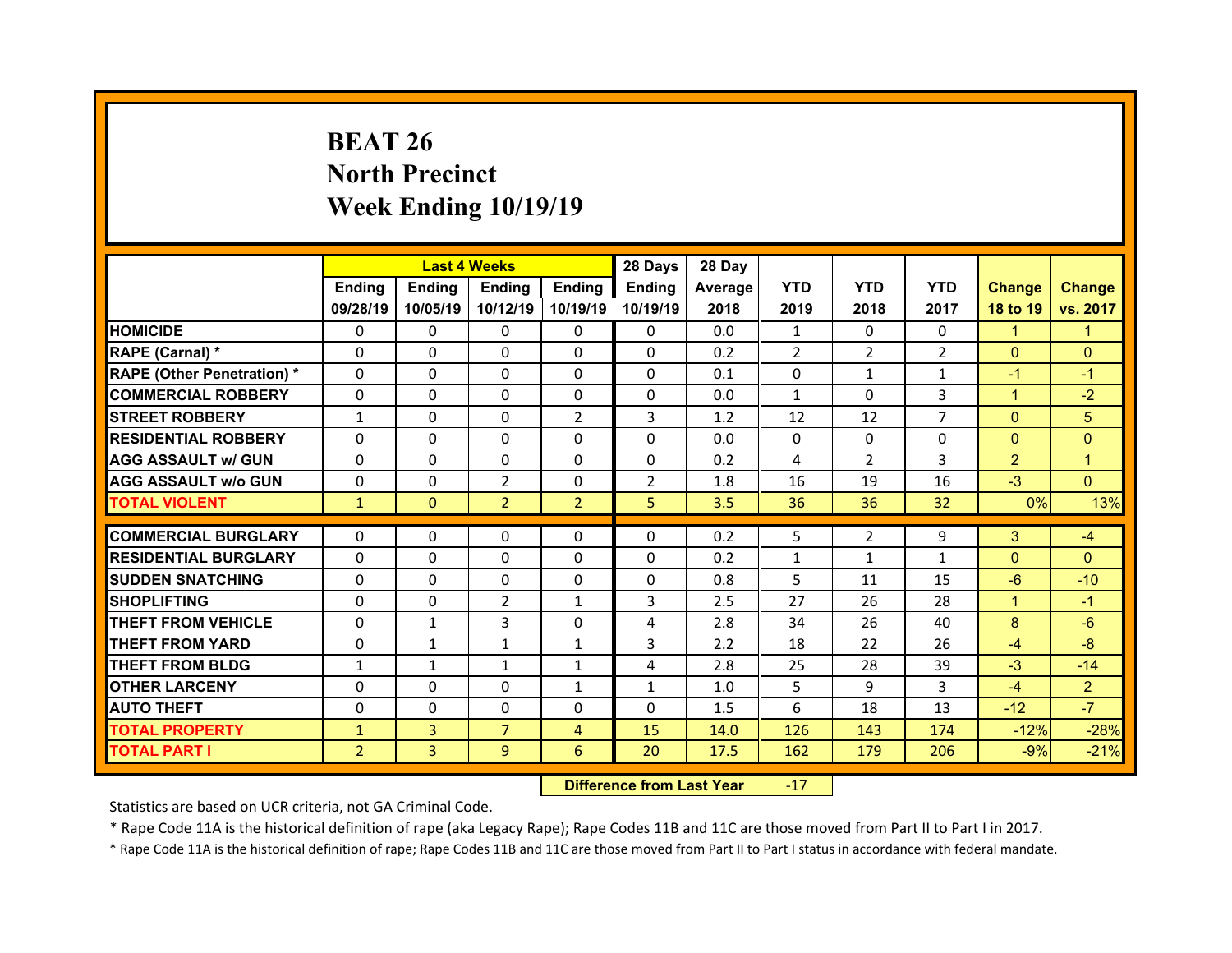# **BEAT 26 North Precinct Week Ending 10/19/19**

|                                  |                | <b>Last 4 Weeks</b> |                |                | 28 Days        | 28 Day  |                |                |                |                |                |
|----------------------------------|----------------|---------------------|----------------|----------------|----------------|---------|----------------|----------------|----------------|----------------|----------------|
|                                  | <b>Ending</b>  | <b>Ending</b>       | Ending         | <b>Ending</b>  | <b>Ending</b>  | Average | <b>YTD</b>     | <b>YTD</b>     | <b>YTD</b>     | <b>Change</b>  | <b>Change</b>  |
|                                  | 09/28/19       | 10/05/19            | 10/12/19       | 10/19/19       | 10/19/19       | 2018    | 2019           | 2018           | 2017           | 18 to 19       | vs. 2017       |
| <b>HOMICIDE</b>                  | $\Omega$       | 0                   | $\mathbf{0}$   | 0              | $\Omega$       | 0.0     | $\mathbf{1}$   | $\Omega$       | 0              | $\mathbf{1}$   | 1              |
| RAPE (Carnal) *                  | $\Omega$       | $\Omega$            | $\Omega$       | $\Omega$       | $\Omega$       | 0.2     | $\overline{2}$ | $\overline{2}$ | $\overline{2}$ | $\mathbf{0}$   | $\Omega$       |
| <b>RAPE (Other Penetration)*</b> | $\Omega$       | $\Omega$            | $\Omega$       | $\Omega$       | $\Omega$       | 0.1     | 0              | $\mathbf{1}$   | $\mathbf{1}$   | $-1$           | $-1$           |
| <b>COMMERCIAL ROBBERY</b>        | $\Omega$       | $\Omega$            | $\Omega$       | $\Omega$       | $\Omega$       | 0.0     | $\mathbf{1}$   | $\Omega$       | 3              | $\mathbf{1}$   | $-2$           |
| <b>STREET ROBBERY</b>            | $\mathbf{1}$   | $\Omega$            | $\Omega$       | $\overline{2}$ | 3              | 1.2     | 12             | 12             | $\overline{7}$ | $\mathbf{0}$   | 5              |
| <b>RESIDENTIAL ROBBERY</b>       | $\Omega$       | $\Omega$            | $\Omega$       | $\Omega$       | $\Omega$       | 0.0     | $\Omega$       | $\Omega$       | $\Omega$       | $\mathbf{0}$   | $\Omega$       |
| <b>AGG ASSAULT w/ GUN</b>        | $\Omega$       | 0                   | $\Omega$       | $\Omega$       | $\Omega$       | 0.2     | 4              | $\overline{2}$ | 3              | $\overline{2}$ | $\mathbf{1}$   |
| <b>AGG ASSAULT w/o GUN</b>       | $\Omega$       | $\Omega$            | $\overline{2}$ | $\Omega$       | $\overline{2}$ | 1.8     | 16             | 19             | 16             | $-3$           | $\Omega$       |
| <b>TOTAL VIOLENT</b>             | $\mathbf{1}$   | $\mathbf{0}$        | $\overline{2}$ | $\overline{2}$ | 5              | 3.5     | 36             | 36             | 32             | 0%             | 13%            |
| <b>COMMERCIAL BURGLARY</b>       |                |                     |                |                | $\Omega$       |         |                |                |                |                |                |
|                                  | 0              | 0                   | 0              | 0              |                | 0.2     | 5              | $\overline{2}$ | 9              | 3              | $-4$           |
| <b>RESIDENTIAL BURGLARY</b>      | 0              | $\Omega$            | 0              | 0              | 0              | 0.2     | $\mathbf{1}$   | 1              | $\mathbf{1}$   | $\mathbf{0}$   | $\Omega$       |
| <b>SUDDEN SNATCHING</b>          | 0              | $\Omega$            | $\Omega$       | $\Omega$       | 0              | 0.8     | 5              | 11             | 15             | $-6$           | $-10$          |
| <b>SHOPLIFTING</b>               | 0              | 0                   | $\overline{2}$ | 1              | 3              | 2.5     | 27             | 26             | 28             | $\mathbf{1}$   | $-1$           |
| <b>THEFT FROM VEHICLE</b>        | 0              | $\mathbf{1}$        | 3              | 0              | 4              | 2.8     | 34             | 26             | 40             | 8              | $-6$           |
| <b>THEFT FROM YARD</b>           | 0              | $\mathbf{1}$        | $\mathbf{1}$   | $\mathbf{1}$   | 3              | 2.2     | 18             | 22             | 26             | $-4$           | $-8$           |
| <b>THEFT FROM BLDG</b>           | $\mathbf{1}$   | $\mathbf{1}$        | $\mathbf{1}$   | $\mathbf{1}$   | 4              | 2.8     | 25             | 28             | 39             | $-3$           | $-14$          |
| <b>OTHER LARCENY</b>             | $\Omega$       | $\Omega$            | $\Omega$       | $\mathbf{1}$   | $\mathbf{1}$   | 1.0     | 5              | 9              | 3              | $-4$           | $\overline{2}$ |
| <b>AUTO THEFT</b>                | 0              | 0                   | $\Omega$       | $\Omega$       | $\Omega$       | 1.5     | 6              | 18             | 13             | $-12$          | $-7$           |
| <b>TOTAL PROPERTY</b>            | $\mathbf{1}$   | $\overline{3}$      | $\overline{7}$ | 4              | 15             | 14.0    | 126            | 143            | 174            | $-12%$         | $-28%$         |
|                                  |                |                     |                |                |                |         |                |                |                |                |                |
| <b>TOTAL PART I</b>              | $\overline{2}$ | 3                   | 9              | 6              | 20             | 17.5    | 162            | 179            | 206            | $-9%$          | $-21%$         |

 **Difference from Last Year**r -17

Statistics are based on UCR criteria, not GA Criminal Code.

\* Rape Code 11A is the historical definition of rape (aka Legacy Rape); Rape Codes 11B and 11C are those moved from Part II to Part I in 2017.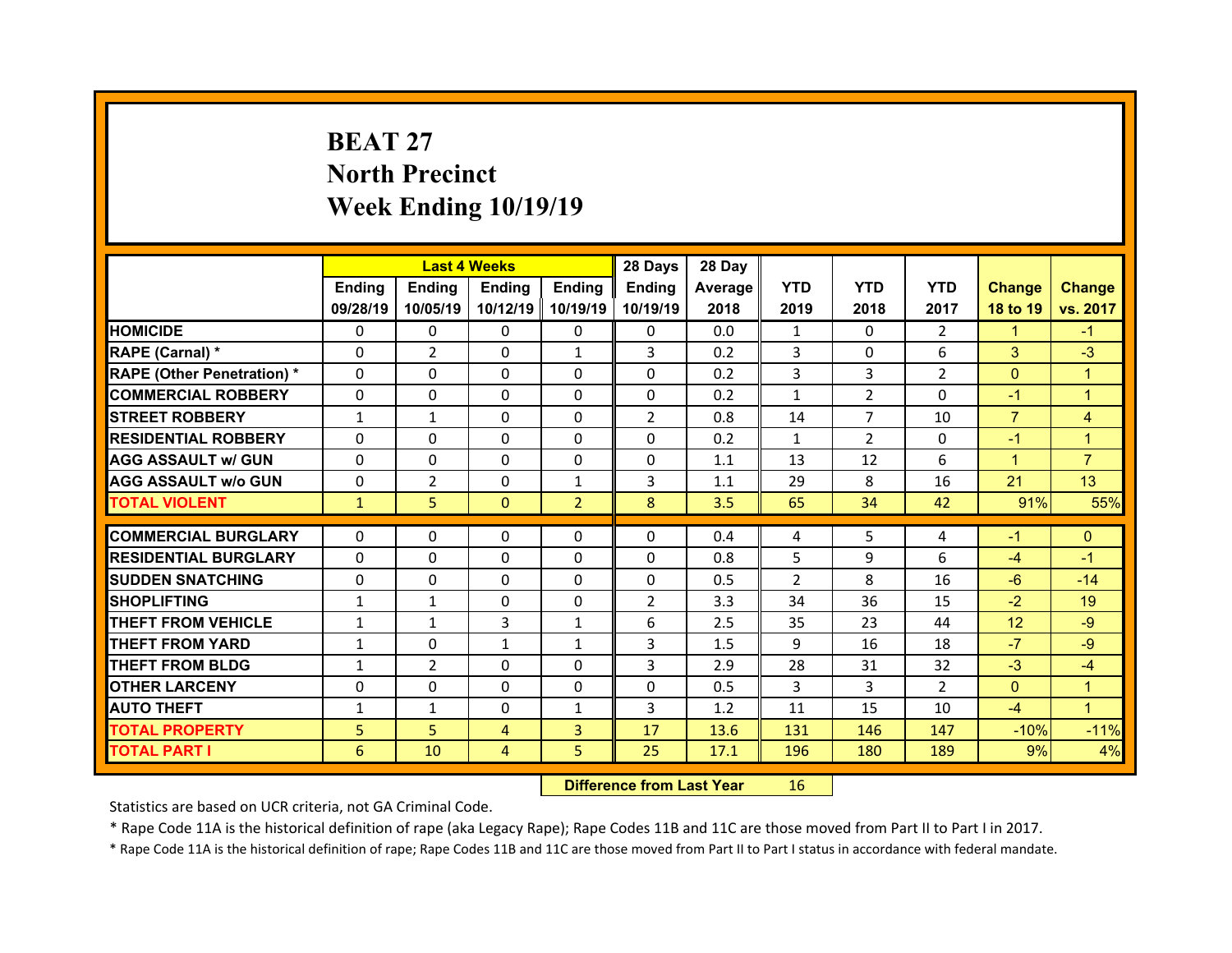# **BEAT 27North Precinct Week Ending 10/19/19**

|                                   |              | <b>Last 4 Weeks</b> |                |                | 28 Days        | 28 Day  |              |                |                |                 |                |
|-----------------------------------|--------------|---------------------|----------------|----------------|----------------|---------|--------------|----------------|----------------|-----------------|----------------|
|                                   | Ending       | <b>Ending</b>       | <b>Ending</b>  | Ending         | Ending         | Average | <b>YTD</b>   | <b>YTD</b>     | <b>YTD</b>     | <b>Change</b>   | <b>Change</b>  |
|                                   | 09/28/19     | 10/05/19            | 10/12/19       | 10/19/19       | 10/19/19       | 2018    | 2019         | 2018           | 2017           | 18 to 19        | vs. 2017       |
| <b>HOMICIDE</b>                   | $\Omega$     | $\Omega$            | 0              | $\mathbf{0}$   | 0              | 0.0     | $\mathbf{1}$ | $\Omega$       | $\overline{2}$ | $\mathbf{1}$    | $-1$           |
| RAPE (Carnal) *                   | $\Omega$     | $\overline{2}$      | $\mathbf{0}$   | $\mathbf{1}$   | 3              | 0.2     | 3            | $\Omega$       | 6              | 3               | $-3$           |
| <b>RAPE (Other Penetration) *</b> | $\Omega$     | 0                   | $\Omega$       | $\Omega$       | 0              | 0.2     | 3            | 3              | $\overline{2}$ | $\overline{0}$  | 1              |
| <b>COMMERCIAL ROBBERY</b>         | $\Omega$     | $\Omega$            | $\Omega$       | $\Omega$       | $\Omega$       | 0.2     | $\mathbf{1}$ | $\overline{2}$ | $\Omega$       | $-1$            | $\mathbf{1}$   |
| <b>STREET ROBBERY</b>             | $\mathbf{1}$ | $\mathbf{1}$        | $\Omega$       | $\Omega$       | $\overline{2}$ | 0.8     | 14           | $\overline{7}$ | 10             | $\overline{7}$  | 4              |
| <b>RESIDENTIAL ROBBERY</b>        | $\Omega$     | $\Omega$            | $\mathbf{0}$   | $\Omega$       | $\Omega$       | 0.2     | $\mathbf{1}$ | $\overline{2}$ | $\Omega$       | $-1$            | 1              |
| <b>AGG ASSAULT w/ GUN</b>         | $\Omega$     | 0                   | $\Omega$       | $\Omega$       | $\Omega$       | 1.1     | 13           | 12             | 6              | $\mathbf{1}$    | $\overline{7}$ |
| <b>AGG ASSAULT w/o GUN</b>        | $\Omega$     | $\overline{2}$      | $\mathbf{0}$   | $\mathbf{1}$   | 3              | 1.1     | 29           | 8              | 16             | 21              | 13             |
| <b>TOTAL VIOLENT</b>              | $\mathbf{1}$ | 5 <sup>1</sup>      | $\Omega$       | $\overline{2}$ | 8              | 3.5     | 65           | 34             | 42             | 91%             | 55%            |
| <b>COMMERCIAL BURGLARY</b>        | $\Omega$     | 0                   | 0              | $\mathbf{0}$   | $\Omega$       | 0.4     | 4            | 5.             | 4              | $-1$            | $\mathbf{0}$   |
|                                   |              |                     |                |                |                |         |              |                | 6              |                 |                |
| <b>RESIDENTIAL BURGLARY</b>       | 0            | $\Omega$            | $\Omega$       | $\Omega$       | 0              | 0.8     | 5            | 9              |                | $-4$            | $-1$           |
| <b>SUDDEN SNATCHING</b>           | $\mathbf{0}$ | 0                   | $\Omega$       | $\Omega$       | 0              | 0.5     | 2            | 8              | 16             | $-6$            | $-14$          |
| <b>SHOPLIFTING</b>                | $\mathbf{1}$ | $\mathbf{1}$        | $\Omega$       | $\Omega$       | $\overline{2}$ | 3.3     | 34           | 36             | 15             | $-2$            | 19             |
| <b>THEFT FROM VEHICLE</b>         | $\mathbf{1}$ | $\mathbf{1}$        | 3              | 1              | 6              | 2.5     | 35           | 23             | 44             | 12 <sup>2</sup> | $-9$           |
| <b>THEFT FROM YARD</b>            | $\mathbf{1}$ | $\Omega$            | $\mathbf{1}$   | $\mathbf{1}$   | 3              | 1.5     | 9            | 16             | 18             | $-7$            | $-9$           |
| <b>THEFT FROM BLDG</b>            | $\mathbf{1}$ | $\overline{2}$      | 0              | $\Omega$       | 3              | 2.9     | 28           | 31             | 32             | $-3$            | $-4$           |
| <b>OTHER LARCENY</b>              | $\Omega$     | $\Omega$            | $\Omega$       | $\Omega$       | $\Omega$       | 0.5     | 3            | 3              | $\mathcal{P}$  | $\overline{0}$  | $\overline{1}$ |
| <b>AUTO THEFT</b>                 | $\mathbf{1}$ | $\mathbf{1}$        | 0              | $\mathbf{1}$   | 3              | 1.2     | 11           | 15             | 10             | $-4$            | $\mathbf{1}$   |
|                                   |              |                     |                |                |                |         |              |                |                |                 |                |
| <b>TOTAL PROPERTY</b>             | 5            | 5                   | $\overline{4}$ | $\overline{3}$ | 17             | 13.6    | 131          | 146            | 147            | $-10%$          | $-11%$         |

 **Difference from Last Year**r 16

Statistics are based on UCR criteria, not GA Criminal Code.

\* Rape Code 11A is the historical definition of rape (aka Legacy Rape); Rape Codes 11B and 11C are those moved from Part II to Part I in 2017.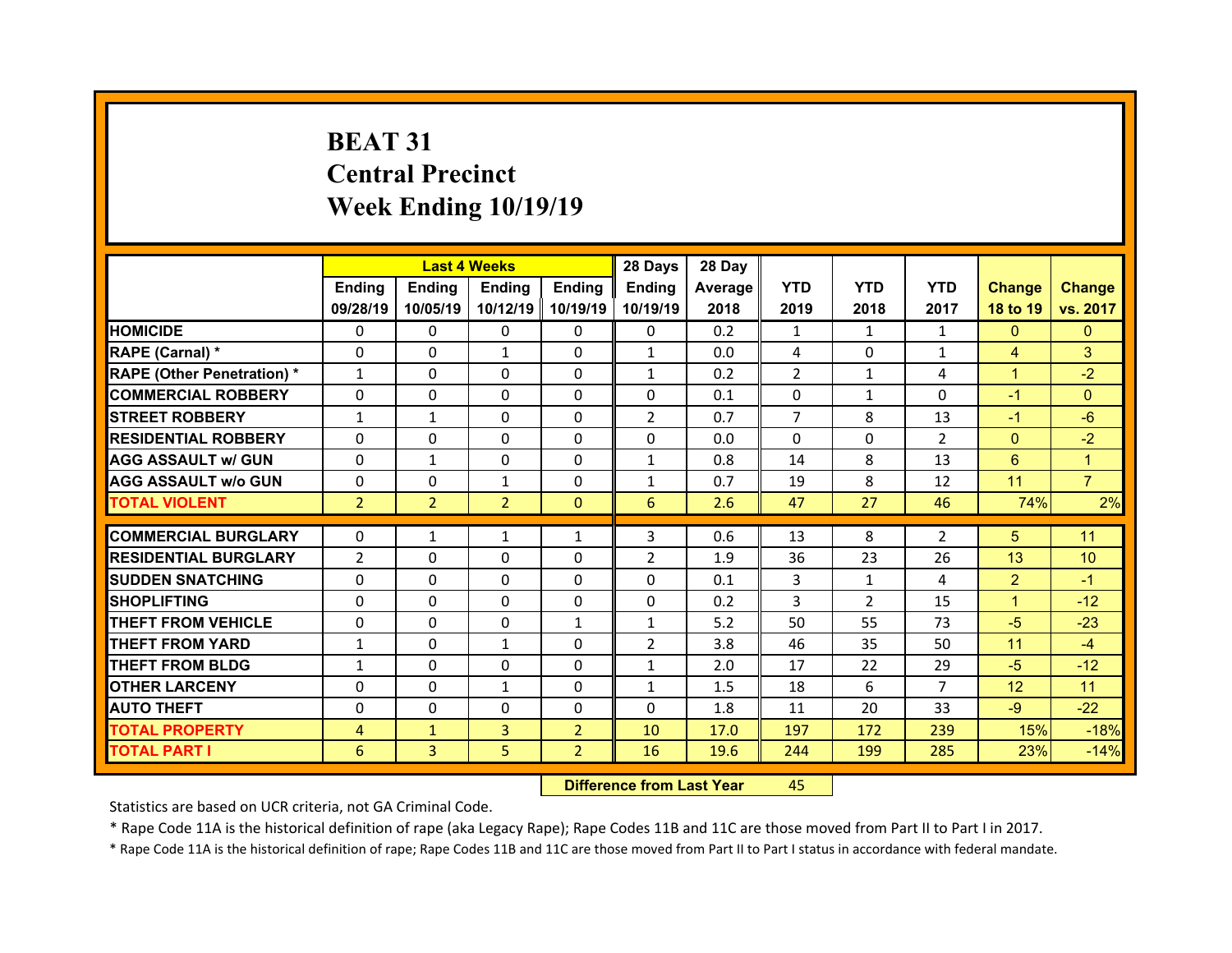# **BEAT 31Central Precinct Week Ending 10/19/19**

|                                   |                | <b>Last 4 Weeks</b> |                |                | 28 Days        | 28 Day  |                |                |                |                |                |
|-----------------------------------|----------------|---------------------|----------------|----------------|----------------|---------|----------------|----------------|----------------|----------------|----------------|
|                                   | Ending         | <b>Ending</b>       | <b>Ending</b>  | Ending         | Ending         | Average | <b>YTD</b>     | <b>YTD</b>     | <b>YTD</b>     | <b>Change</b>  | <b>Change</b>  |
|                                   | 09/28/19       | 10/05/19            | 10/12/19       | 10/19/19       | 10/19/19       | 2018    | 2019           | 2018           | 2017           | 18 to 19       | vs. 2017       |
| <b>HOMICIDE</b>                   | $\Omega$       | 0                   | 0              | $\Omega$       | 0              | 0.2     | 1              | $\mathbf{1}$   | $\mathbf{1}$   | $\mathbf{0}$   | $\mathbf{0}$   |
| RAPE (Carnal) *                   | $\Omega$       | 0                   | $\mathbf{1}$   | $\Omega$       | $\mathbf{1}$   | 0.0     | 4              | $\Omega$       | $\mathbf{1}$   | $\overline{4}$ | 3              |
| <b>RAPE (Other Penetration) *</b> | $\mathbf{1}$   | $\Omega$            | $\Omega$       | $\Omega$       | $\mathbf{1}$   | 0.2     | $\mathcal{P}$  | $\mathbf{1}$   | 4              | $\mathbf{1}$   | $-2$           |
| <b>COMMERCIAL ROBBERY</b>         | $\Omega$       | $\Omega$            | $\mathbf{0}$   | $\Omega$       | $\Omega$       | 0.1     | $\Omega$       | $\mathbf{1}$   | $\Omega$       | $-1$           | $\Omega$       |
| <b>STREET ROBBERY</b>             | $\mathbf{1}$   | $\mathbf{1}$        | $\Omega$       | $\Omega$       | $\overline{2}$ | 0.7     | $\overline{7}$ | 8              | 13             | $-1$           | $-6$           |
| <b>RESIDENTIAL ROBBERY</b>        | $\Omega$       | $\Omega$            | $\mathbf{0}$   | $\Omega$       | $\Omega$       | 0.0     | $\Omega$       | $\Omega$       | $\overline{2}$ | $\mathbf{0}$   | $-2$           |
| <b>AGG ASSAULT w/ GUN</b>         | $\Omega$       | $\mathbf{1}$        | $\Omega$       | $\Omega$       | $\mathbf{1}$   | 0.8     | 14             | 8              | 13             | 6              | 1              |
| <b>AGG ASSAULT w/o GUN</b>        | 0              | 0                   | $\mathbf{1}$   | $\Omega$       | $\mathbf{1}$   | 0.7     | 19             | 8              | 12             | 11             | $\overline{7}$ |
| <b>TOTAL VIOLENT</b>              | $\overline{2}$ | $\overline{2}$      | $\overline{2}$ | $\mathbf{0}$   | 6              | 2.6     | 47             | 27             | 46             | 74%            | 2%             |
|                                   |                |                     |                |                |                |         |                |                |                |                |                |
| <b>COMMERCIAL BURGLARY</b>        | 0              | $\mathbf{1}$        | $\mathbf{1}$   | $\mathbf{1}$   | 3              | 0.6     | 13             | 8              | $\overline{2}$ | 5              | 11             |
| <b>RESIDENTIAL BURGLARY</b>       | $\overline{2}$ | $\Omega$            | 0              | $\Omega$       | $\overline{2}$ | 1.9     | 36             | 23             | 26             | 13             | 10             |
| <b>SUDDEN SNATCHING</b>           | 0              | 0                   | $\mathbf{0}$   | $\Omega$       | 0              | 0.1     | 3              | $\mathbf{1}$   | 4              | $\overline{2}$ | $-1$           |
| <b>SHOPLIFTING</b>                | 0              | $\Omega$            | $\Omega$       | $\Omega$       | 0              | 0.2     | 3              | $\overline{2}$ | 15             | $\mathbf{1}$   | $-12$          |
| <b>THEFT FROM VEHICLE</b>         | 0              | 0                   | 0              | $\mathbf{1}$   | $\mathbf{1}$   | 5.2     | 50             | 55             | 73             | $-5$           | $-23$          |
| <b>THEFT FROM YARD</b>            | $\mathbf{1}$   | $\Omega$            | $\mathbf{1}$   | $\Omega$       | $\overline{2}$ | 3.8     | 46             | 35             | 50             | 11             | $-4$           |
| <b>THEFT FROM BLDG</b>            | $\mathbf{1}$   | 0                   | $\mathbf{0}$   | $\Omega$       | $\mathbf{1}$   | 2.0     | 17             | 22             | 29             | $-5$           | $-12$          |
| <b>OTHER LARCENY</b>              | $\Omega$       | $\Omega$            | $\mathbf{1}$   | $\Omega$       | $\mathbf{1}$   | 1.5     | 18             | 6              | $\overline{7}$ | 12             | 11             |
|                                   |                | $\Omega$            | $\mathbf{0}$   | $\Omega$       | $\Omega$       | 1.8     | 11             | 20             | 33             | $-9$           | $-22$          |
| <b>AUTO THEFT</b>                 | $\mathbf{0}$   |                     |                |                |                |         |                |                |                |                |                |
| <b>TOTAL PROPERTY</b>             | 4              | $\mathbf{1}$        | 3              | $\overline{2}$ | 10             | 17.0    | 197            | 172            | 239            | 15%            | $-18%$         |

 **Difference from Last Year**r 45

Statistics are based on UCR criteria, not GA Criminal Code.

\* Rape Code 11A is the historical definition of rape (aka Legacy Rape); Rape Codes 11B and 11C are those moved from Part II to Part I in 2017.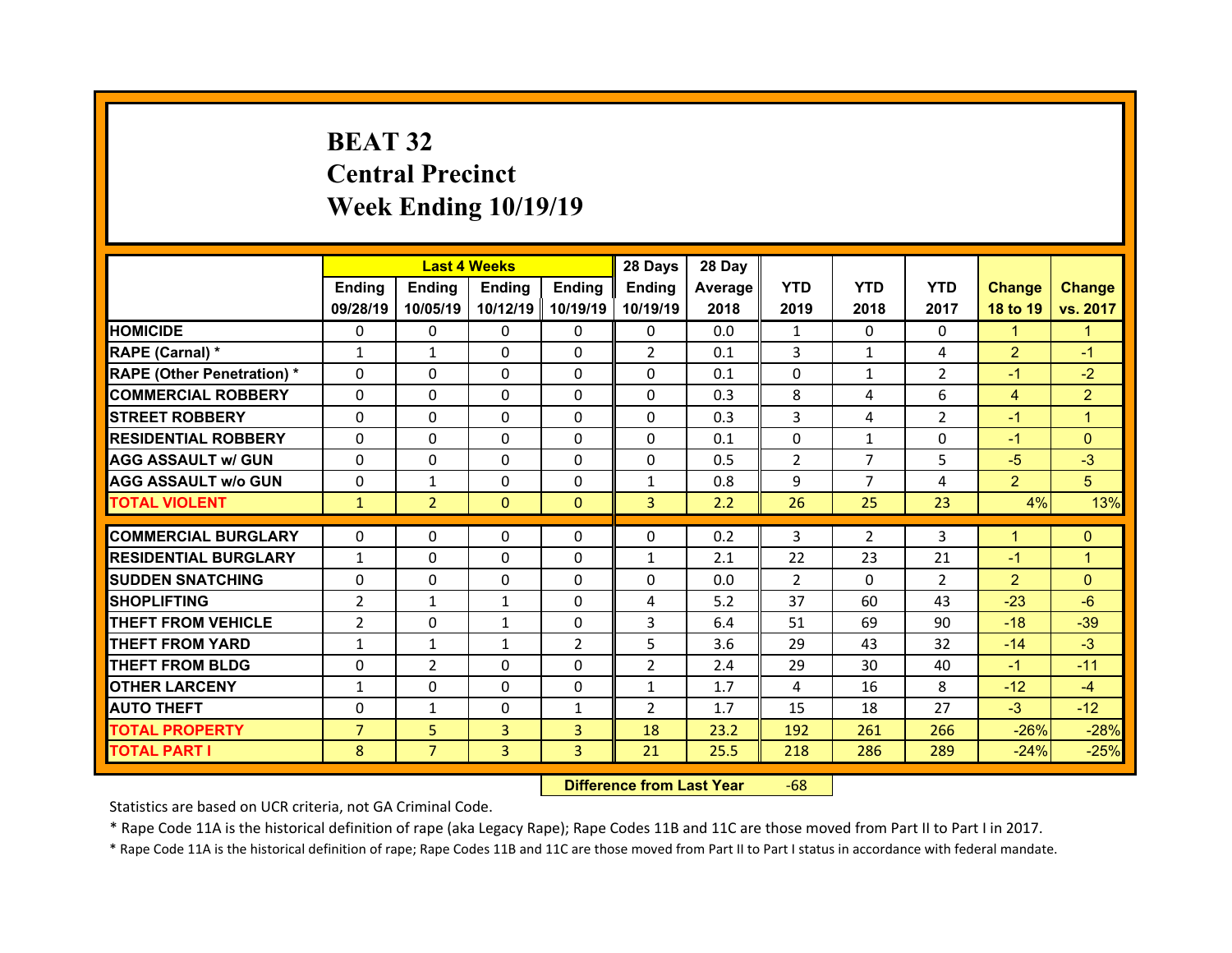# **BEAT 32 Central Precinct Week Ending 10/19/19**

|                                   |                | <b>Last 4 Weeks</b> |               |                | 28 Days        | 28 Day  |            |                |                |                |                |
|-----------------------------------|----------------|---------------------|---------------|----------------|----------------|---------|------------|----------------|----------------|----------------|----------------|
|                                   | Ending         | <b>Ending</b>       | <b>Ending</b> | Ending         | Ending         | Average | <b>YTD</b> | <b>YTD</b>     | <b>YTD</b>     | <b>Change</b>  | <b>Change</b>  |
|                                   | 09/28/19       | 10/05/19            | 10/12/19      | 10/19/19       | 10/19/19       | 2018    | 2019       | 2018           | 2017           | 18 to 19       | vs. 2017       |
| <b>HOMICIDE</b>                   | 0              | 0                   | $\Omega$      | $\Omega$       | 0              | 0.0     | 1          | $\Omega$       | $\Omega$       | $\mathbf{1}$   | 1              |
| RAPE (Carnal) *                   | $\mathbf{1}$   | $\mathbf{1}$        | $\mathbf{0}$  | $\Omega$       | $\overline{2}$ | 0.1     | 3          | $\mathbf{1}$   | 4              | $\overline{2}$ | $-1$           |
| <b>RAPE (Other Penetration) *</b> | $\Omega$       | $\Omega$            | $\Omega$      | $\Omega$       | 0              | 0.1     | $\Omega$   | $\mathbf{1}$   | $\mathcal{P}$  | $-1$           | $-2$           |
| <b>COMMERCIAL ROBBERY</b>         | $\Omega$       | $\Omega$            | $\mathbf{0}$  | $\Omega$       | $\Omega$       | 0.3     | 8          | 4              | 6              | $\overline{4}$ | $\overline{2}$ |
| <b>STREET ROBBERY</b>             | $\Omega$       | $\Omega$            | $\Omega$      | $\Omega$       | $\Omega$       | 0.3     | 3          | 4              | $\mathcal{P}$  | $-1$           | 1              |
| <b>RESIDENTIAL ROBBERY</b>        | $\Omega$       | $\Omega$            | $\mathbf{0}$  | $\Omega$       | $\Omega$       | 0.1     | $\Omega$   | $\mathbf{1}$   | $\Omega$       | $-1$           | $\Omega$       |
| <b>AGG ASSAULT w/ GUN</b>         | $\Omega$       | $\Omega$            | $\Omega$      | $\Omega$       | $\Omega$       | 0.5     | 2          | $\overline{7}$ | 5              | $-5$           | $-3$           |
| <b>AGG ASSAULT w/o GUN</b>        | 0              | $\mathbf{1}$        | $\mathbf{0}$  | $\Omega$       | $\mathbf{1}$   | 0.8     | 9          | $\overline{7}$ | 4              | $\overline{2}$ | 5 <sup>5</sup> |
| <b>TOTAL VIOLENT</b>              | $\mathbf{1}$   | $\overline{2}$      | $\mathbf{0}$  | $\Omega$       | $\overline{3}$ | 2.2     | 26         | 25             | 23             | 4%             | 13%            |
|                                   |                |                     |               |                |                |         |            |                |                |                |                |
|                                   |                |                     |               |                |                |         |            |                |                |                |                |
| <b>COMMERCIAL BURGLARY</b>        | 0              | 0                   | 0             | $\mathbf{0}$   | 0              | 0.2     | 3          | $\overline{2}$ | 3              | $\mathbf{1}$   | $\mathbf{0}$   |
| <b>RESIDENTIAL BURGLARY</b>       | $\mathbf{1}$   | $\Omega$            | 0             | $\Omega$       | $\mathbf{1}$   | 2.1     | 22         | 23             | 21             | $-1$           | 1              |
| <b>SUDDEN SNATCHING</b>           | 0              | 0                   | 0             | $\Omega$       | 0              | 0.0     | 2          | $\Omega$       | $\overline{2}$ | $\overline{2}$ | $\Omega$       |
| <b>SHOPLIFTING</b>                | $\overline{2}$ | $\mathbf{1}$        | $\mathbf{1}$  | $\Omega$       | 4              | 5.2     | 37         | 60             | 43             | $-23$          | $-6$           |
| <b>THEFT FROM VEHICLE</b>         | $\overline{2}$ | 0                   | $\mathbf{1}$  | $\Omega$       | 3              | 6.4     | 51         | 69             | 90             | $-18$          | $-39$          |
| <b>THEFT FROM YARD</b>            | $\mathbf{1}$   | $\mathbf{1}$        | $\mathbf{1}$  | $\overline{2}$ | 5              | 3.6     | 29         | 43             | 32             | $-14$          | $-3$           |
| <b>THEFT FROM BLDG</b>            | $\mathbf{0}$   | $\overline{2}$      | $\mathbf{0}$  | $\Omega$       | $\overline{2}$ | 2.4     | 29         | 30             | 40             | $-1$           | $-11$          |
| <b>OTHER LARCENY</b>              | $\mathbf{1}$   | $\Omega$            | $\Omega$      | $\Omega$       | $\mathbf{1}$   | 1.7     | 4          | 16             | 8              | $-12$          | $-4$           |
| <b>AUTO THEFT</b>                 | $\mathbf{0}$   | $\mathbf{1}$        | $\mathbf{0}$  | $\mathbf{1}$   | $\overline{2}$ | 1.7     | 15         | 18             | 27             | $-3$           | $-12$          |
| <b>TOTAL PROPERTY</b>             | $\overline{7}$ | 5                   | 3             | $\overline{3}$ | 18             | 23.2    | 192        | 261            | 266            | $-26%$         | $-28%$         |
| TOTAL PART I                      | 8              | $\overline{7}$      | 3             | 3              | 21             | 25.5    | 218        | 286            | 289            | $-24%$         | $-25%$         |

 **Difference from Last Year**r -68

Statistics are based on UCR criteria, not GA Criminal Code.

\* Rape Code 11A is the historical definition of rape (aka Legacy Rape); Rape Codes 11B and 11C are those moved from Part II to Part I in 2017.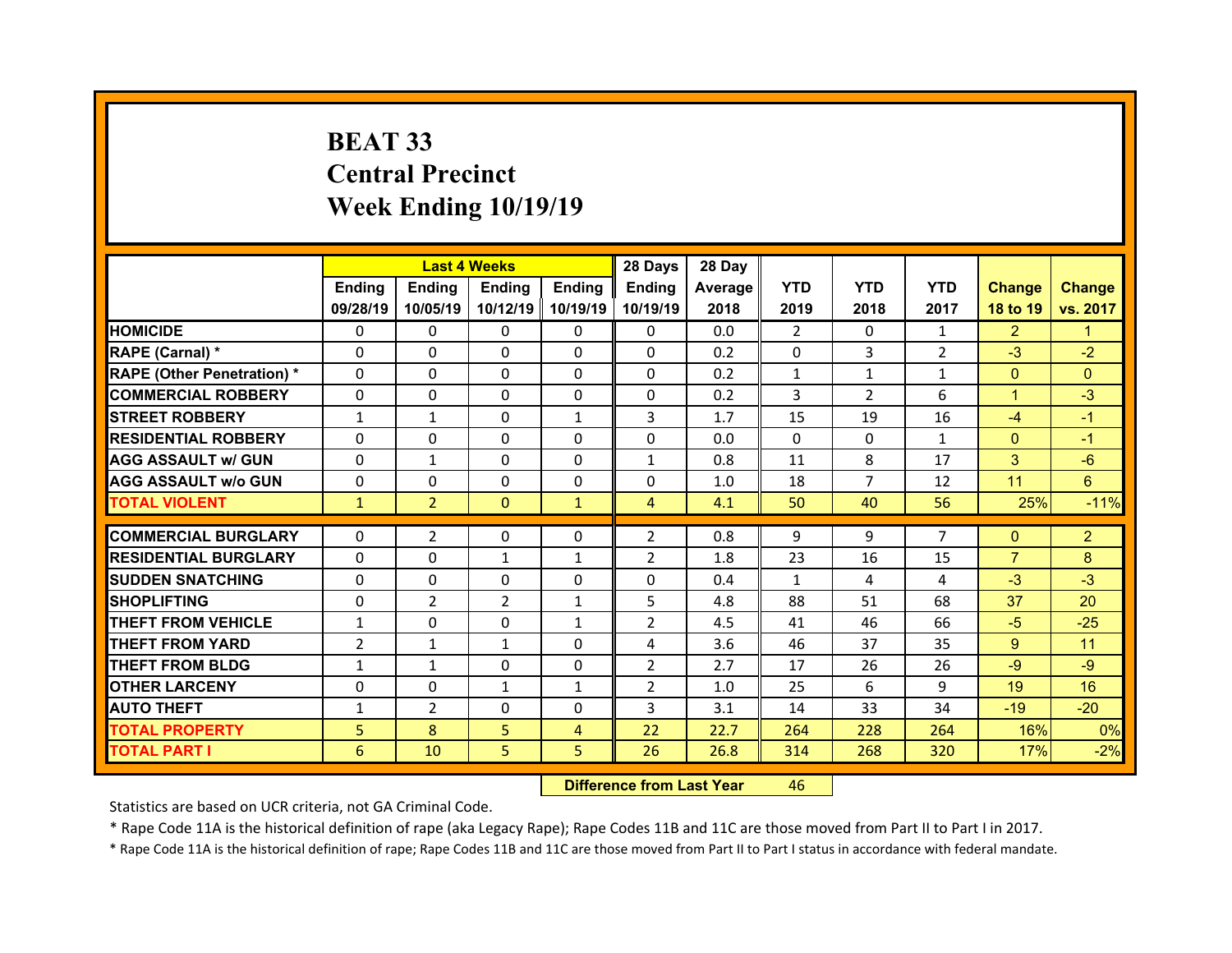# **BEAT 33 Central Precinct Week Ending 10/19/19**

|                                   |                | <b>Last 4 Weeks</b> |                |                | 28 Days        | 28 Day  |              |                |                |                |                |
|-----------------------------------|----------------|---------------------|----------------|----------------|----------------|---------|--------------|----------------|----------------|----------------|----------------|
|                                   | <b>Ending</b>  | <b>Endina</b>       | <b>Ending</b>  | <b>Ending</b>  | <b>Ending</b>  | Average | <b>YTD</b>   | <b>YTD</b>     | <b>YTD</b>     | <b>Change</b>  | <b>Change</b>  |
|                                   | 09/28/19       | 10/05/19            | 10/12/19       | 10/19/19       | 10/19/19       | 2018    | 2019         | 2018           | 2017           | 18 to 19       | vs. 2017       |
| <b>HOMICIDE</b>                   | $\Omega$       | 0                   | $\Omega$       | $\Omega$       | 0              | 0.0     | 2            | $\Omega$       | $\mathbf{1}$   | $\overline{2}$ | 1.             |
| RAPE (Carnal) *                   | 0              | 0                   | $\mathbf{0}$   | $\Omega$       | $\Omega$       | 0.2     | 0            | 3              | $\overline{2}$ | $-3$           | $-2$           |
| <b>RAPE (Other Penetration) *</b> | $\Omega$       | $\Omega$            | $\Omega$       | $\Omega$       | $\Omega$       | 0.2     | $\mathbf{1}$ | $\mathbf{1}$   | $\mathbf{1}$   | $\overline{0}$ | $\Omega$       |
| <b>COMMERCIAL ROBBERY</b>         | $\Omega$       | $\Omega$            | $\mathbf{0}$   | $\Omega$       | 0              | 0.2     | 3            | $\overline{2}$ | 6              | $\mathbf{1}$   | $-3$           |
| <b>STREET ROBBERY</b>             | $\mathbf{1}$   | $\mathbf{1}$        | $\Omega$       | $\mathbf{1}$   | 3              | 1.7     | 15           | 19             | 16             | $-4$           | $-1$           |
| <b>RESIDENTIAL ROBBERY</b>        | $\Omega$       | $\Omega$            | $\mathbf{0}$   | $\Omega$       | $\Omega$       | 0.0     | $\Omega$     | $\Omega$       | $\mathbf{1}$   | $\mathbf{0}$   | $-1$           |
| <b>AGG ASSAULT w/ GUN</b>         | 0              | $\mathbf{1}$        | $\Omega$       | $\Omega$       | $\mathbf{1}$   | 0.8     | 11           | 8              | 17             | 3              | $-6$           |
| <b>AGG ASSAULT w/o GUN</b>        | $\Omega$       | $\Omega$            | $\mathbf{0}$   | $\Omega$       | $\Omega$       | 1.0     | 18           | $\overline{7}$ | 12             | 11             | 6              |
| <b>TOTAL VIOLENT</b>              | $\mathbf{1}$   | $\overline{2}$      | $\mathbf{0}$   | $\mathbf{1}$   | $\overline{4}$ | 4.1     | 50           | 40             | 56             | 25%            | $-11%$         |
|                                   |                |                     |                |                |                |         |              |                |                |                |                |
|                                   |                |                     |                |                |                |         |              |                |                |                |                |
| <b>COMMERCIAL BURGLARY</b>        | 0              | $\overline{2}$      | $\Omega$       | $\Omega$       | $\overline{2}$ | 0.8     | 9            | 9              | $\overline{7}$ | $\mathbf{0}$   | $\overline{2}$ |
| <b>RESIDENTIAL BURGLARY</b>       | 0              | 0                   | $\mathbf{1}$   | 1              | $\overline{2}$ | 1.8     | 23           | 16             | 15             | $\overline{7}$ | 8              |
| <b>SUDDEN SNATCHING</b>           | 0              | $\Omega$            | $\Omega$       | $\Omega$       | $\Omega$       | 0.4     | $\mathbf{1}$ | 4              | 4              | $-3$           | $-3$           |
| <b>SHOPLIFTING</b>                | 0              | $\overline{2}$      | $\overline{2}$ | $\mathbf{1}$   | 5              | 4.8     | 88           | 51             | 68             | 37             | 20             |
| <b>THEFT FROM VEHICLE</b>         | $\mathbf{1}$   | $\Omega$            | $\Omega$       | $\mathbf{1}$   | $\overline{2}$ | 4.5     | 41           | 46             | 66             | $-5$           | $-25$          |
| <b>THEFT FROM YARD</b>            | $\overline{2}$ | $\mathbf{1}$        | $\mathbf{1}$   | $\Omega$       | 4              | 3.6     | 46           | 37             | 35             | $9^{\circ}$    | 11             |
| <b>THEFT FROM BLDG</b>            | $\mathbf{1}$   | $\mathbf{1}$        | $\mathbf{0}$   | $\Omega$       | $\overline{2}$ | 2.7     | 17           | 26             | 26             | $-9$           | $-9$           |
| <b>OTHER LARCENY</b>              | $\Omega$       | $\Omega$            | $\mathbf{1}$   | 1              | $\overline{2}$ | 1.0     | 25           | 6              | 9              | 19             | 16             |
| <b>AUTO THEFT</b>                 | $\mathbf{1}$   | 2                   | $\Omega$       | $\Omega$       | 3              | 3.1     | 14           | 33             | 34             | $-19$          | $-20$          |
| <b>TOTAL PROPERTY</b>             | 5              | 8                   | 5              | $\overline{4}$ | 22             | 22.7    | 264          | 228            | 264            | 16%            | 0%             |
| TOTAL PART I                      | 6              | 10                  | 5              | 5              | 26             | 26.8    | 314          | 268            | 320            | 17%            | $-2%$          |

 **Difference from Last Year**r 46

Statistics are based on UCR criteria, not GA Criminal Code.

\* Rape Code 11A is the historical definition of rape (aka Legacy Rape); Rape Codes 11B and 11C are those moved from Part II to Part I in 2017.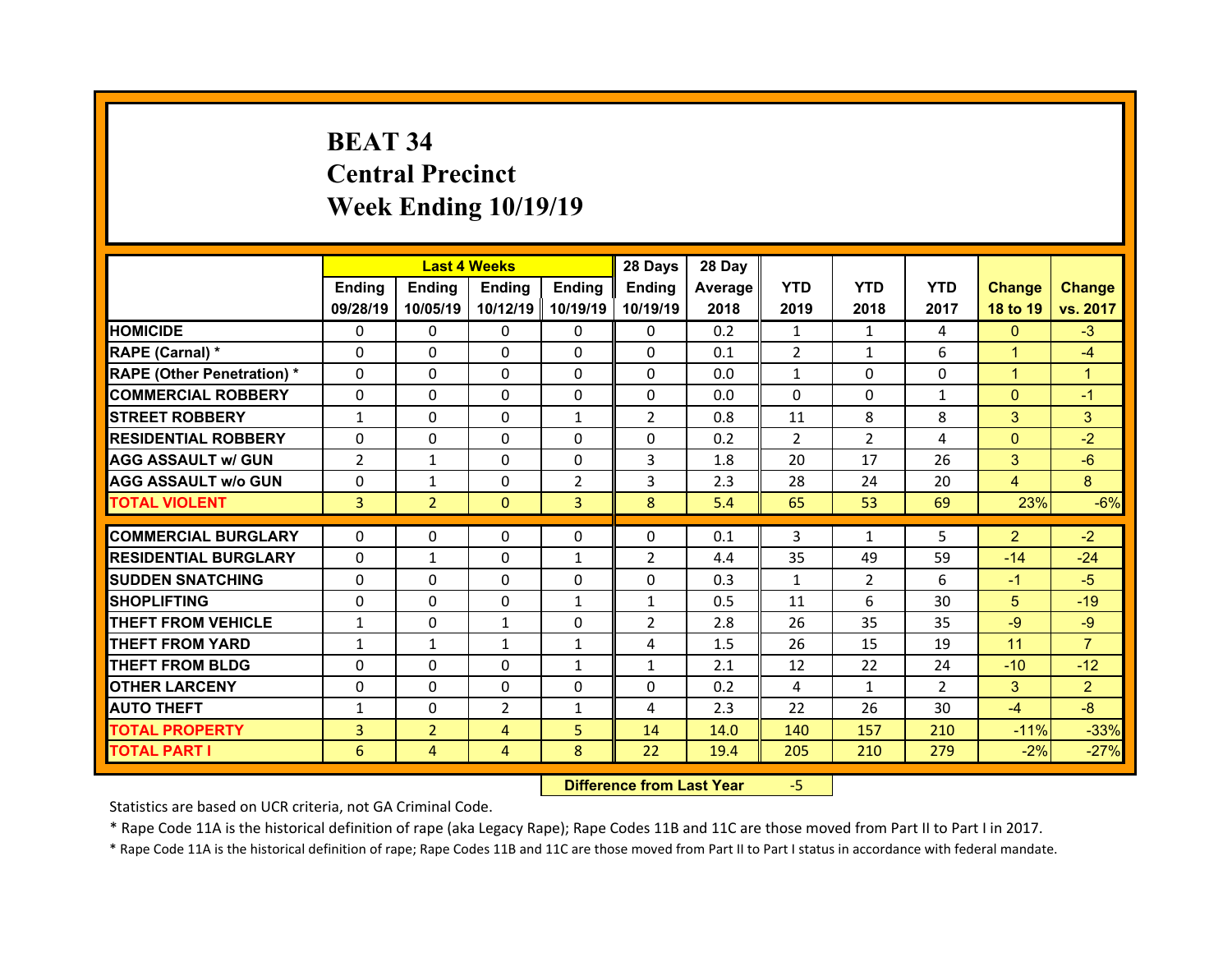# **BEAT 34 Central Precinct Week Ending 10/19/19**

|                                              |                | <b>Last 4 Weeks</b> |                |                | 28 Days        | 28 Day       |                |                |                |                 |                  |
|----------------------------------------------|----------------|---------------------|----------------|----------------|----------------|--------------|----------------|----------------|----------------|-----------------|------------------|
|                                              | Ending         | <b>Ending</b>       | <b>Ending</b>  | <b>Endina</b>  | <b>Ending</b>  | Average      | <b>YTD</b>     | <b>YTD</b>     | <b>YTD</b>     | <b>Change</b>   | <b>Change</b>    |
|                                              | 09/28/19       | 10/05/19            | 10/12/19       | 10/19/19       | 10/19/19       | 2018         | 2019           | 2018           | 2017           | 18 to 19        | vs. 2017         |
| <b>HOMICIDE</b>                              | $\Omega$       | 0                   | 0              | $\mathbf{0}$   | 0              | 0.2          | $\mathbf{1}$   | $\mathbf{1}$   | 4              | $\mathbf{0}$    | $-3$             |
| RAPE (Carnal) *                              | 0              | 0                   | $\Omega$       | $\Omega$       | $\Omega$       | 0.1          | 2              | $\mathbf{1}$   | 6              | $\mathbf{1}$    | $-4$             |
| <b>RAPE (Other Penetration)*</b>             | $\Omega$       | 0                   | $\Omega$       | $\Omega$       | $\Omega$       | 0.0          | $\mathbf{1}$   | $\Omega$       | $\Omega$       | $\mathbf{1}$    | $\mathbf{1}$     |
| <b>COMMERCIAL ROBBERY</b>                    | $\Omega$       | 0                   | $\Omega$       | $\Omega$       | $\Omega$       | 0.0          | $\Omega$       | $\Omega$       | $\mathbf{1}$   | $\mathbf{0}$    | $-1$             |
| <b>STREET ROBBERY</b>                        | $\mathbf{1}$   | 0                   | $\Omega$       | $\mathbf{1}$   | $\overline{2}$ | 0.8          | 11             | 8              | 8              | 3               | 3                |
| <b>RESIDENTIAL ROBBERY</b>                   | $\Omega$       | 0                   | $\Omega$       | $\Omega$       | $\Omega$       | 0.2          | $\overline{2}$ | $\overline{2}$ | 4              | $\overline{0}$  | $-2$             |
| <b>AGG ASSAULT w/ GUN</b>                    | $\overline{2}$ | $\mathbf{1}$        | $\Omega$       | $\Omega$       | 3              | 1.8          | 20             | 17             | 26             | 3               | $-6$             |
| <b>AGG ASSAULT w/o GUN</b>                   | $\Omega$       | $\mathbf{1}$        | 0              | $\overline{2}$ | 3              | 2.3          | 28             | 24             | 20             | $\overline{4}$  | 8                |
| <b>TOTAL VIOLENT</b>                         | $\overline{3}$ | $\overline{2}$      | $\mathbf{0}$   | 3              | 8              | 5.4          | 65             | 53             | 69             | 23%             | $-6%$            |
| <b>COMMERCIAL BURGLARY</b>                   | $\Omega$       | 0                   | 0              | $\mathbf{0}$   | $\Omega$       | 0.1          | 3              | $\mathbf{1}$   | 5              | $\overline{2}$  | $-2$             |
| <b>RESIDENTIAL BURGLARY</b>                  | $\Omega$       | $\mathbf{1}$        | $\Omega$       | $\mathbf{1}$   | $\overline{2}$ | 4.4          | 35             | 49             | 59             | $-14$           | $-24$            |
| <b>SUDDEN SNATCHING</b>                      | $\Omega$       | 0                   | $\Omega$       | $\Omega$       | $\Omega$       | 0.3          | $\mathbf{1}$   | $\overline{2}$ | 6              | $-1$            | $-5$             |
| <b>SHOPLIFTING</b>                           | $\Omega$       | 0                   | $\Omega$       | $\mathbf{1}$   | $\mathbf{1}$   | 0.5          | 11             | 6              | 30             | 5               | $-19$            |
| <b>THEFT FROM VEHICLE</b>                    | $\mathbf{1}$   | 0                   | $\mathbf{1}$   | $\Omega$       | $\overline{2}$ | 2.8          | 26             | 35             | 35             | $-9$            | $-9$             |
| <b>THEFT FROM YARD</b>                       | $\mathbf{1}$   | $\mathbf{1}$        | $\mathbf{1}$   | $\mathbf{1}$   | 4              | 1.5          | 26             | 15             | 19             | 11              | $\overline{7}$   |
| <b>THEFT FROM BLDG</b>                       | 0              | 0                   | 0              | $\mathbf{1}$   | $\mathbf{1}$   | 2.1          | 12             | 22             | 24             | $-10$           | $-12$            |
| <b>OTHER LARCENY</b>                         | $\Omega$       | 0                   | 0              | $\Omega$       | $\Omega$       | 0.2          | 4              | $\mathbf{1}$   | $\overline{2}$ | 3               | $\overline{2}$   |
|                                              |                | 0                   | $\overline{2}$ | $\mathbf{1}$   | 4              | 2.3          | 22             | 26             | 30             | $-4$            | $-8$             |
|                                              |                |                     |                |                |                |              |                |                |                |                 |                  |
| <b>AUTO THEFT</b>                            | $\mathbf{1}$   |                     |                |                |                |              |                |                |                |                 |                  |
| <b>TOTAL PROPERTY</b><br><b>TOTAL PART I</b> | 3<br>6         | $\overline{2}$<br>4 | 4<br>4         | 5<br>8         | 14<br>22       | 14.0<br>19.4 | 140<br>205     | 157<br>210     | 210<br>279     | $-11%$<br>$-2%$ | $-33%$<br>$-27%$ |

 **Difference from Last Year**‐5

Statistics are based on UCR criteria, not GA Criminal Code.

\* Rape Code 11A is the historical definition of rape (aka Legacy Rape); Rape Codes 11B and 11C are those moved from Part II to Part I in 2017.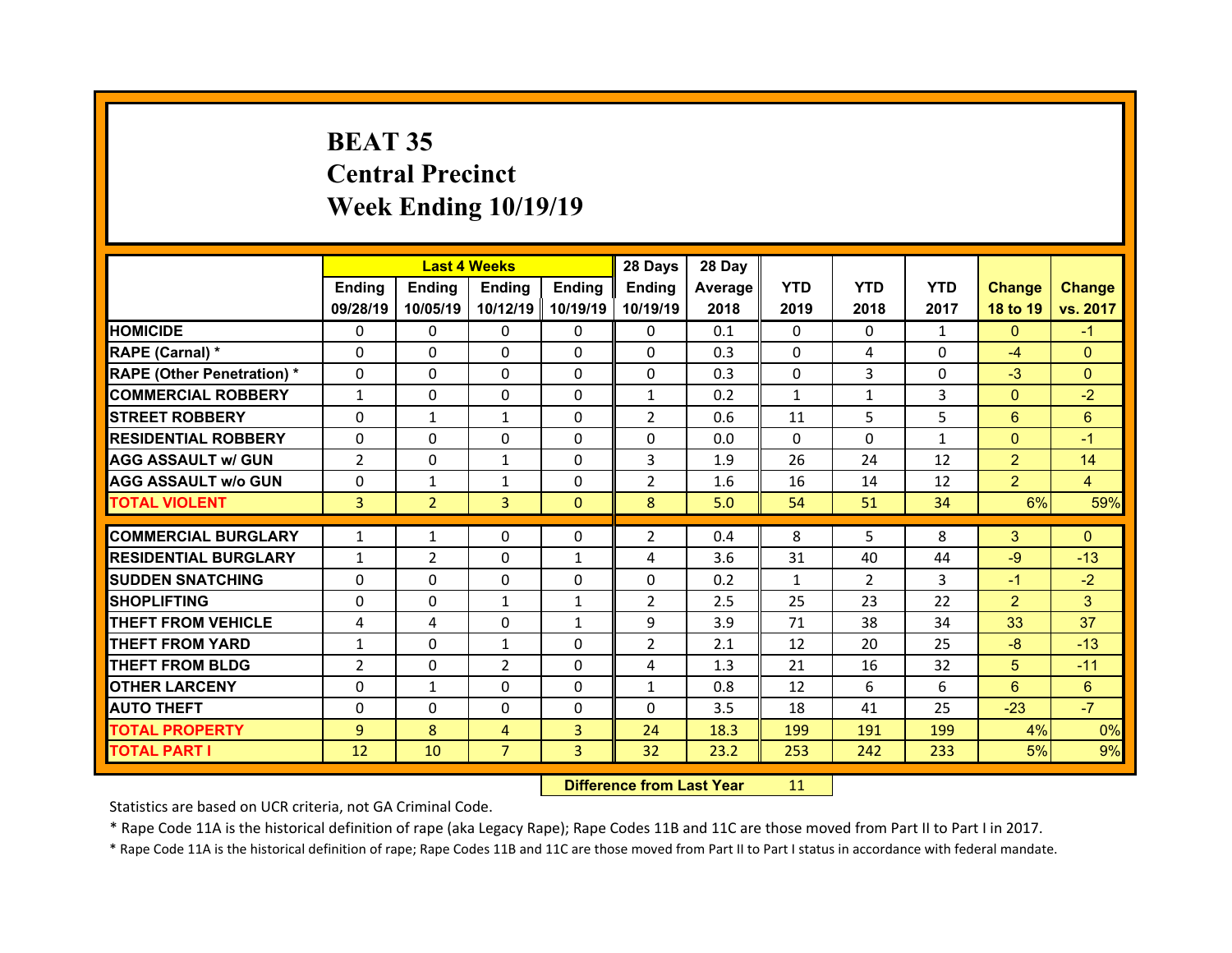# **BEAT 35 Central Precinct Week Ending 10/19/19**

|                                   |                | <b>Last 4 Weeks</b> |                |                | 28 Days        | 28 Day  |              |                |              |                |                |
|-----------------------------------|----------------|---------------------|----------------|----------------|----------------|---------|--------------|----------------|--------------|----------------|----------------|
|                                   | Ending         | <b>Ending</b>       | <b>Ending</b>  | Ending         | Ending         | Average | <b>YTD</b>   | <b>YTD</b>     | <b>YTD</b>   | <b>Change</b>  | <b>Change</b>  |
|                                   | 09/28/19       | 10/05/19            | 10/12/19       | 10/19/19       | 10/19/19       | 2018    | 2019         | 2018           | 2017         | 18 to 19       | vs. 2017       |
| <b>HOMICIDE</b>                   | $\Omega$       | 0                   | $\Omega$       | $\Omega$       | 0              | 0.1     | $\Omega$     | $\Omega$       | $\mathbf{1}$ | $\mathbf{0}$   | $-1$           |
| RAPE (Carnal) *                   | $\Omega$       | $\Omega$            | $\mathbf{0}$   | $\Omega$       | 0              | 0.3     | $\Omega$     | 4              | $\Omega$     | $-4$           | $\mathbf{0}$   |
| <b>RAPE (Other Penetration) *</b> | $\Omega$       | $\Omega$            | $\Omega$       | $\Omega$       | $\Omega$       | 0.3     | $\Omega$     | 3              | $\Omega$     | $-3$           | $\Omega$       |
| <b>COMMERCIAL ROBBERY</b>         | $\mathbf{1}$   | $\Omega$            | $\mathbf{0}$   | $\Omega$       | $\mathbf{1}$   | 0.2     | $\mathbf{1}$ | $\mathbf{1}$   | 3            | $\overline{0}$ | $-2$           |
| <b>STREET ROBBERY</b>             | $\Omega$       | $\mathbf{1}$        | $\mathbf{1}$   | $\Omega$       | $\overline{2}$ | 0.6     | 11           | 5.             | 5            | 6              | 6              |
| <b>RESIDENTIAL ROBBERY</b>        | $\Omega$       | $\Omega$            | $\mathbf{0}$   | $\Omega$       | $\Omega$       | 0.0     | $\Omega$     | $\Omega$       | $\mathbf{1}$ | $\mathbf{0}$   | $-1$           |
| <b>AGG ASSAULT w/ GUN</b>         | $\overline{2}$ | $\Omega$            | $\mathbf{1}$   | $\Omega$       | 3              | 1.9     | 26           | 24             | 12           | $\overline{2}$ | 14             |
| <b>AGG ASSAULT w/o GUN</b>        | 0              | $\mathbf{1}$        | $\mathbf{1}$   | $\Omega$       | $\overline{2}$ | 1.6     | 16           | 14             | 12           | $\overline{2}$ | $\overline{4}$ |
| <b>TOTAL VIOLENT</b>              | 3              | $\overline{2}$      | 3              | $\mathbf{0}$   | 8              | 5.0     | 54           | 51             | 34           | 6%             | 59%            |
| <b>COMMERCIAL BURGLARY</b>        |                |                     |                |                |                |         |              |                |              |                |                |
|                                   |                |                     |                |                |                |         |              |                |              |                |                |
|                                   | $\mathbf{1}$   | $\mathbf{1}$        | 0              | $\mathbf{0}$   | $\overline{2}$ | 0.4     | 8            | 5.             | 8            | 3              | $\mathbf{0}$   |
| <b>RESIDENTIAL BURGLARY</b>       | $\mathbf{1}$   | 2                   | 0              | 1              | 4              | 3.6     | 31           | 40             | 44           | $-9$           | $-13$          |
| <b>SUDDEN SNATCHING</b>           | 0              | 0                   | $\mathbf{0}$   | $\Omega$       | 0              | 0.2     | $\mathbf{1}$ | $\overline{2}$ | 3            | $-1$           | $-2$           |
| <b>SHOPLIFTING</b>                | 0              | $\Omega$            | $\mathbf{1}$   | $\mathbf{1}$   | $\overline{2}$ | 2.5     | 25           | 23             | 22           | $\overline{2}$ | 3              |
| <b>THEFT FROM VEHICLE</b>         | 4              | 4                   | 0              | $\mathbf{1}$   | 9              | 3.9     | 71           | 38             | 34           | 33             | 37             |
| <b>THEFT FROM YARD</b>            | $\mathbf{1}$   | $\Omega$            | $\mathbf{1}$   | $\Omega$       | $\overline{2}$ | 2.1     | 12           | 20             | 25           | $-8$           | $-13$          |
| <b>THEFT FROM BLDG</b>            | $\overline{2}$ | 0                   | $\overline{2}$ | $\Omega$       | 4              | 1.3     | 21           | 16             | 32           | 5              | $-11$          |
| <b>OTHER LARCENY</b>              | $\Omega$       | $\mathbf{1}$        | $\Omega$       | $\Omega$       | $\mathbf{1}$   | 0.8     | 12           | 6              | 6            | 6              | 6              |
| <b>AUTO THEFT</b>                 | $\mathbf{0}$   | $\Omega$            | 0              | $\mathbf{0}$   | $\Omega$       | 3.5     | 18           | 41             | 25           | $-23$          | $-7$           |
| <b>TOTAL PROPERTY</b>             | 9              | 8                   | 4              | $\overline{3}$ | 24             | 18.3    | 199          | 191            | 199          | 4%             | 0%             |
| TOTAL PART I                      | 12             | 10                  | $\overline{7}$ | 3              | 32             | 23.2    | 253          | 242            | 233          | 5%             | 9%             |

 **Difference from Last Year**r 11

Statistics are based on UCR criteria, not GA Criminal Code.

\* Rape Code 11A is the historical definition of rape (aka Legacy Rape); Rape Codes 11B and 11C are those moved from Part II to Part I in 2017.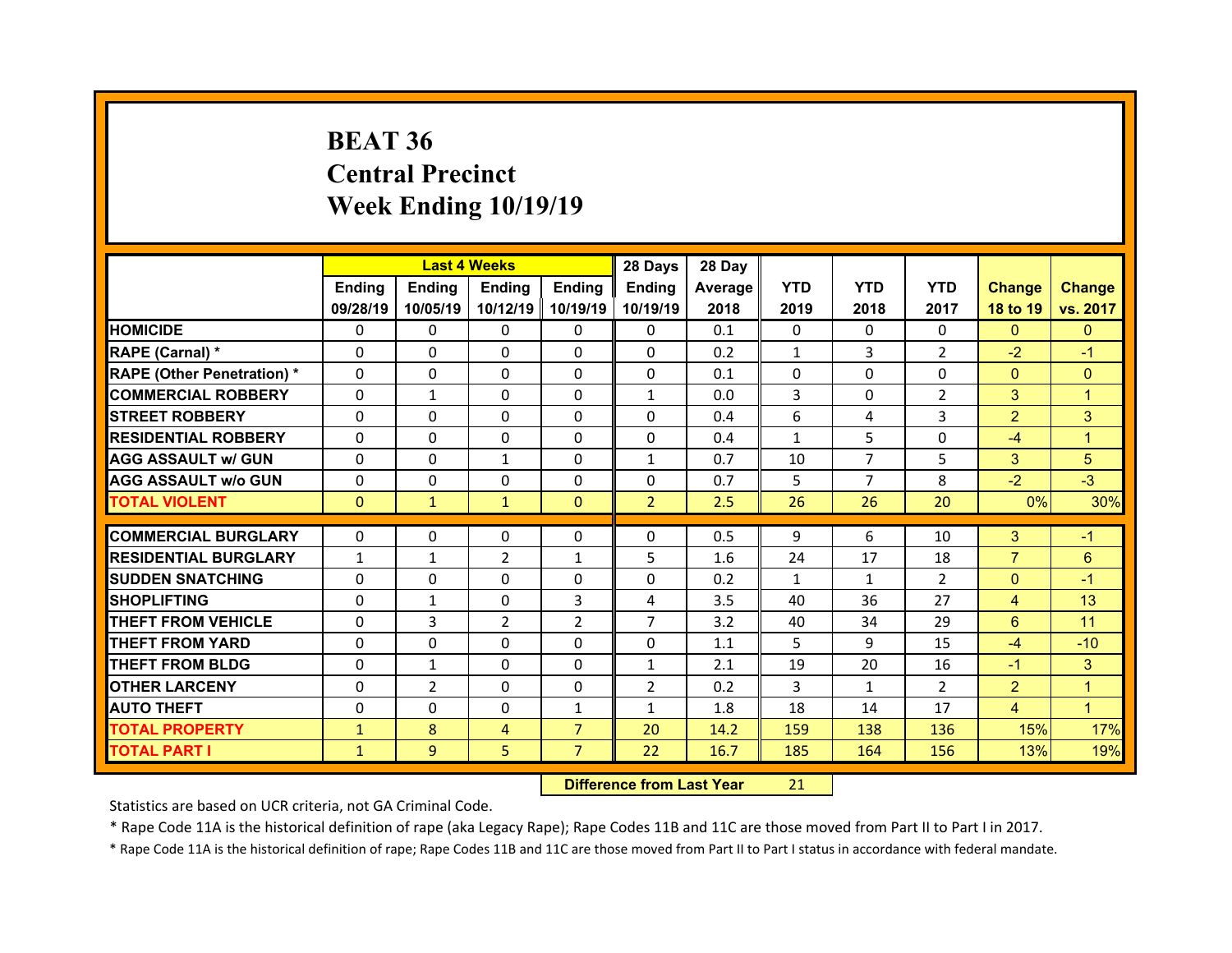# **BEAT 36 Central Precinct Week Ending 10/19/19**

|                                  |              | <b>Last 4 Weeks</b><br><b>Ending</b><br>Ending<br>Ending |                |                |                                          | 28 Day  |               |                |                |                |                |
|----------------------------------|--------------|----------------------------------------------------------|----------------|----------------|------------------------------------------|---------|---------------|----------------|----------------|----------------|----------------|
|                                  |              |                                                          |                | <b>Ending</b>  | <b>Ending</b>                            | Average | <b>YTD</b>    | <b>YTD</b>     | <b>YTD</b>     | <b>Change</b>  | <b>Change</b>  |
|                                  | 09/28/19     | 10/05/19                                                 | 10/12/19       | 10/19/19       | 10/19/19                                 | 2018    | 2019          | 2018           | 2017           | 18 to 19       | vs. 2017       |
| <b>HOMICIDE</b>                  | $\mathbf{0}$ | 0                                                        | 0              | 0              | $\mathbf{0}$                             | 0.1     | $\mathbf{0}$  | $\Omega$       | $\Omega$       | $\mathbf{0}$   | $\mathbf{0}$   |
| RAPE (Carnal) *                  | 0            | 0                                                        | 0              | 0              | $\Omega$                                 | 0.2     | $\mathbf{1}$  | 3              | $\overline{2}$ | $-2$           | $-1$           |
| <b>RAPE (Other Penetration)*</b> | $\Omega$     | $\Omega$                                                 | $\Omega$       | $\Omega$       | $\Omega$                                 | 0.1     | $\Omega$      | $\Omega$       | $\Omega$       | $\overline{0}$ | $\Omega$       |
| <b>COMMERCIAL ROBBERY</b>        | $\Omega$     | $\mathbf{1}$                                             | $\Omega$       | $\Omega$       | $\mathbf{1}$                             | 0.0     | 3             | $\Omega$       | $\overline{2}$ | 3              | $\mathbf{1}$   |
| <b>STREET ROBBERY</b>            | $\Omega$     | $\Omega$                                                 | $\Omega$       | $\Omega$       | $\Omega$                                 | 0.4     | 6             | 4              | 3              | $\overline{2}$ | 3              |
| <b>RESIDENTIAL ROBBERY</b>       | $\Omega$     | $\Omega$                                                 | $\Omega$       | $\Omega$       | $\Omega$                                 | 0.4     | $\mathbf{1}$  | 5              | 0              | $-4$           | $\mathbf{1}$   |
| <b>AGG ASSAULT w/ GUN</b>        | $\Omega$     | $\Omega$                                                 | $\mathbf{1}$   | $\Omega$       | $\mathbf{1}$                             | 0.7     | 10            | $\overline{7}$ | 5              | 3              | 5              |
| <b>AGG ASSAULT w/o GUN</b>       | $\Omega$     | $\Omega$                                                 | $\Omega$       | $\Omega$       | $\Omega$                                 | 0.7     | 5             | $\overline{7}$ | 8              | $-2$           | $-3$           |
| <b>TOTAL VIOLENT</b>             | $\mathbf{0}$ | $\mathbf{1}$                                             | $\mathbf{1}$   | $\mathbf{0}$   | 2 <sup>1</sup>                           | 2.5     | 26            | 26             | 20             | 0%             | 30%            |
|                                  |              |                                                          |                |                |                                          |         |               |                |                |                |                |
| <b>COMMERCIAL BURGLARY</b>       | $\Omega$     | 0                                                        | 0              | 0              | $\mathbf{0}$                             | 0.5     | 9             | 6              | 10             | 3              | $-1$           |
| <b>RESIDENTIAL BURGLARY</b>      | $\mathbf{1}$ | $\mathbf{1}$                                             | $\overline{2}$ | $\mathbf{1}$   | 5                                        | 1.6     | 24            | 17             | 18             | $\overline{7}$ | 6              |
| <b>SUDDEN SNATCHING</b>          | $\Omega$     | $\Omega$                                                 | $\Omega$       | $\Omega$       | $\Omega$                                 | 0.2     | $\mathbf{1}$  | 1              | $\overline{2}$ | $\mathbf{0}$   | $-1$           |
| <b>SHOPLIFTING</b>               | $\Omega$     | $\mathbf{1}$                                             | $\Omega$       | 3              | 4                                        | 3.5     | 40            | 36             | 27             | $\overline{4}$ | 13             |
| <b>THEFT FROM VEHICLE</b>        | $\Omega$     | 3                                                        | $\overline{2}$ | $\overline{2}$ | $\overline{7}$                           | 3.2     | 40            | 34             | 29             | 6              | 11             |
| <b>THEFT FROM YARD</b>           | 0            | $\Omega$                                                 | $\Omega$       | $\Omega$       | $\mathbf{0}$                             | 1.1     | 5             | 9              | 15             | $-4$           | $-10$          |
| <b>THEFT FROM BLDG</b>           | 0            | $\mathbf{1}$                                             | $\Omega$       | $\Omega$       | $\mathbf{1}$                             | 2.1     | 19            | 20             | 16             | $-1$           | 3              |
| <b>OTHER LARCENY</b>             | $\Omega$     | $\overline{2}$                                           | $\Omega$       | $\Omega$       | $\overline{2}$                           | 0.2     | 3             | 1              | $\overline{2}$ | $\overline{2}$ | $\mathbf{1}$   |
| <b>AUTO THEFT</b>                | 0            | $\Omega$                                                 | $\Omega$       | $\mathbf{1}$   | $\mathbf{1}$                             | 1.8     | 18            | 14             | 17             | $\overline{4}$ | $\overline{1}$ |
| <b>TOTAL PROPERTY</b>            | $\mathbf{1}$ | 8                                                        | $\overline{4}$ | $\overline{7}$ | 20                                       | 14.2    | 159           | 138            | 136            | 15%            | 17%            |
| <b>TOTAL PART I</b>              | $\mathbf{1}$ | 9                                                        | 5              | $\overline{7}$ | 22                                       | 16.7    | 185           | 164            | 156            | 13%            | 19%            |
|                                  |              |                                                          |                | <b>PASSES</b>  | a dia 140.000 metatra. Ny faritr'i North |         | $\sim$ $\sim$ |                |                |                |                |

 **Difference from Last Year**r 21

Statistics are based on UCR criteria, not GA Criminal Code.

\* Rape Code 11A is the historical definition of rape (aka Legacy Rape); Rape Codes 11B and 11C are those moved from Part II to Part I in 2017.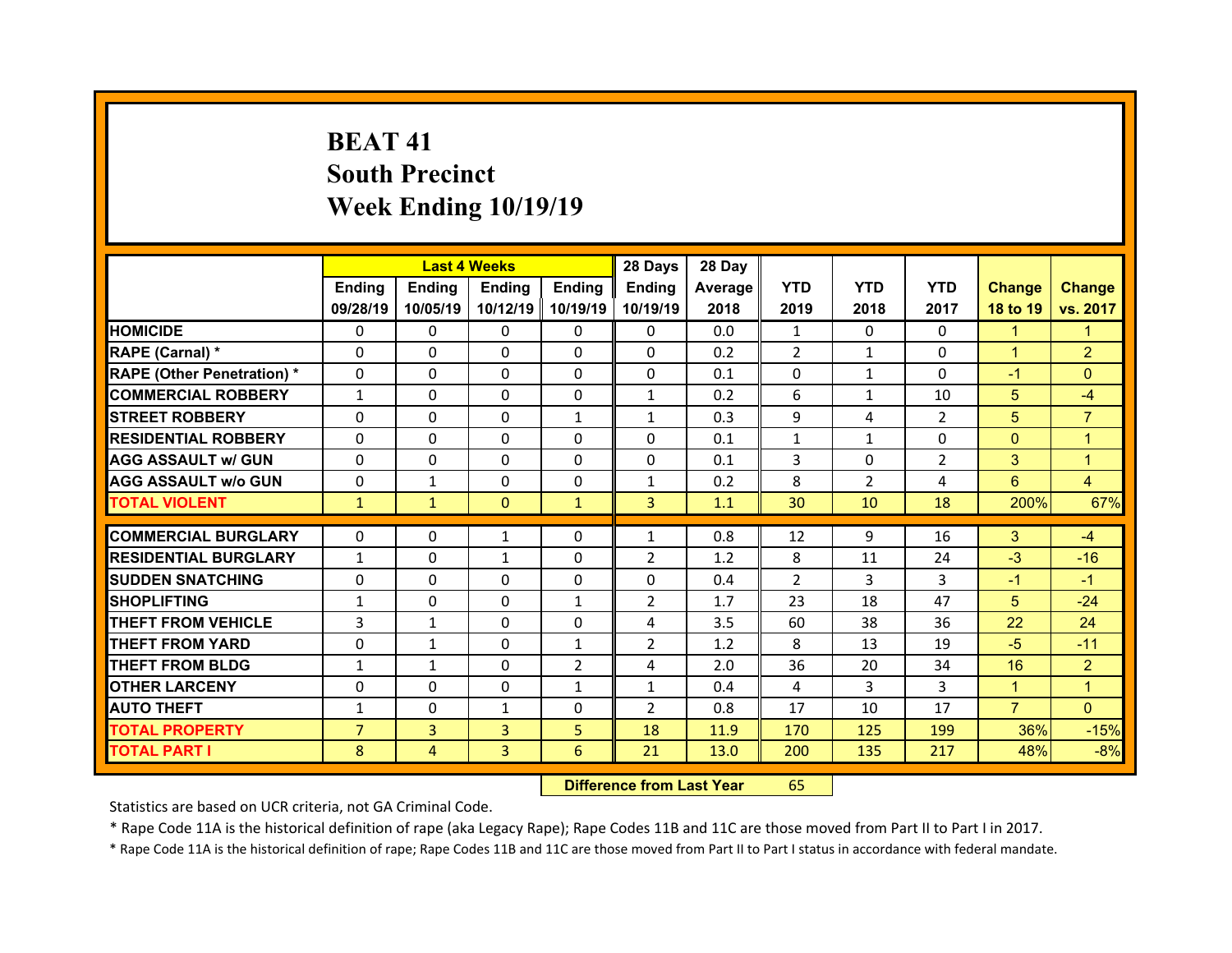# **BEAT 41South Precinct Week Ending 10/19/19**

|                                   |                | <b>Last 4 Weeks</b> |               |                | 28 Days        | 28 Day  |                |                |                |                |                |
|-----------------------------------|----------------|---------------------|---------------|----------------|----------------|---------|----------------|----------------|----------------|----------------|----------------|
|                                   | Ending         | <b>Ending</b>       | <b>Ending</b> | Ending         | Ending         | Average | <b>YTD</b>     | <b>YTD</b>     | <b>YTD</b>     | <b>Change</b>  | <b>Change</b>  |
|                                   | 09/28/19       | 10/05/19            | 10/12/19      | 10/19/19       | 10/19/19       | 2018    | 2019           | 2018           | 2017           | 18 to 19       | vs. 2017       |
| <b>HOMICIDE</b>                   | $\Omega$       | $\Omega$            | $\Omega$      | $\Omega$       | $\Omega$       | 0.0     | 1              | $\Omega$       | $\Omega$       | $\mathbf{1}$   | 1              |
| RAPE (Carnal) *                   | $\Omega$       | $\Omega$            | $\Omega$      | $\Omega$       | $\Omega$       | 0.2     | $\overline{2}$ | $\mathbf{1}$   | $\Omega$       | $\mathbf{1}$   | $\overline{2}$ |
| <b>RAPE (Other Penetration) *</b> | $\Omega$       | $\Omega$            | $\mathbf{0}$  | $\Omega$       | $\Omega$       | 0.1     | $\Omega$       | $\mathbf{1}$   | $\Omega$       | $-1$           | $\Omega$       |
| <b>COMMERCIAL ROBBERY</b>         | $\mathbf{1}$   | $\Omega$            | $\mathbf{0}$  | $\Omega$       | $\mathbf{1}$   | 0.2     | 6              | $\mathbf{1}$   | 10             | 5 <sup>5</sup> | $-4$           |
| <b>STREET ROBBERY</b>             | $\Omega$       | $\Omega$            | $\Omega$      | $\mathbf{1}$   | $\mathbf{1}$   | 0.3     | 9              | 4              | $\overline{2}$ | 5              | $\overline{7}$ |
| <b>RESIDENTIAL ROBBERY</b>        | $\Omega$       | $\Omega$            | $\mathbf{0}$  | $\Omega$       | $\Omega$       | 0.1     | $\mathbf{1}$   | $\mathbf{1}$   | $\Omega$       | $\overline{0}$ | $\overline{1}$ |
| <b>AGG ASSAULT w/ GUN</b>         | $\Omega$       | 0                   | $\Omega$      | $\Omega$       | $\Omega$       | 0.1     | 3              | $\Omega$       | $\overline{2}$ | 3 <sup>1</sup> | $\mathbf{1}$   |
| <b>AGG ASSAULT w/o GUN</b>        | $\Omega$       | $\mathbf{1}$        | $\mathbf{0}$  | $\Omega$       | $\mathbf{1}$   | 0.2     | 8              | $\overline{2}$ | 4              | 6              | $\overline{4}$ |
| <b>TOTAL VIOLENT</b>              | $\mathbf{1}$   | $\mathbf{1}$        | $\mathbf{0}$  | $\mathbf{1}$   | $\overline{3}$ | 1.1     | 30             | 10             | 18             | 200%           | 67%            |
|                                   |                |                     |               |                |                |         |                |                |                |                |                |
| <b>COMMERCIAL BURGLARY</b>        | 0              | 0                   | 1             | $\Omega$       | $\mathbf{1}$   | 0.8     | 12             | 9              | 16             | 3              | $-4$           |
| <b>RESIDENTIAL BURGLARY</b>       | $\mathbf{1}$   | $\Omega$            | $\mathbf{1}$  | $\Omega$       | $\overline{2}$ | 1.2     | 8              | 11             | 24             | $-3$           | $-16$          |
| <b>SUDDEN SNATCHING</b>           | 0              | 0                   | $\Omega$      | $\Omega$       | $\Omega$       | 0.4     | 2              | 3              | 3              | $-1$           | $-1$           |
| <b>SHOPLIFTING</b>                | $\mathbf{1}$   | 0                   | 0             | $\mathbf{1}$   | $\overline{2}$ | 1.7     | 23             | 18             | 47             | 5              | $-24$          |
| <b>THEFT FROM VEHICLE</b>         | 3              | $\mathbf{1}$        | $\mathbf{0}$  | $\mathbf{0}$   | 4              | 3.5     | 60             | 38             | 36             | 22             | 24             |
| <b>THEFT FROM YARD</b>            | 0              | $\mathbf{1}$        | $\Omega$      | $\mathbf{1}$   | $\overline{2}$ | 1.2     | 8              | 13             | 19             | $-5$           | $-11$          |
| <b>THEFT FROM BLDG</b>            | $\mathbf{1}$   | $\mathbf{1}$        | $\mathbf{0}$  | $\overline{2}$ | 4              | 2.0     | 36             | 20             | 34             | 16             | $\overline{2}$ |
| <b>OTHER LARCENY</b>              | $\Omega$       | 0                   | $\mathbf{0}$  | 1              | $\mathbf{1}$   | 0.4     | 4              | 3              | 3              | $\mathbf{1}$   | 1              |
| <b>AUTO THEFT</b>                 | $\mathbf{1}$   | 0                   | $\mathbf{1}$  | $\Omega$       | 2              | 0.8     | 17             | 10             | 17             | $\overline{7}$ | $\Omega$       |
| <b>TOTAL PROPERTY</b>             | $\overline{7}$ | $\overline{3}$      | 3             | 5              | 18             | 11.9    | 170            | 125            | 199            | 36%            | $-15%$         |
| <b>TOTAL PART I</b>               | 8              | $\overline{4}$      | 3             | 6              | 21             | 13.0    | 200            | 135            | 217            | 48%            | $-8%$          |
|                                   |                |                     |               |                |                |         |                |                |                |                |                |

 **Difference from Last Year**r 65

Statistics are based on UCR criteria, not GA Criminal Code.

\* Rape Code 11A is the historical definition of rape (aka Legacy Rape); Rape Codes 11B and 11C are those moved from Part II to Part I in 2017.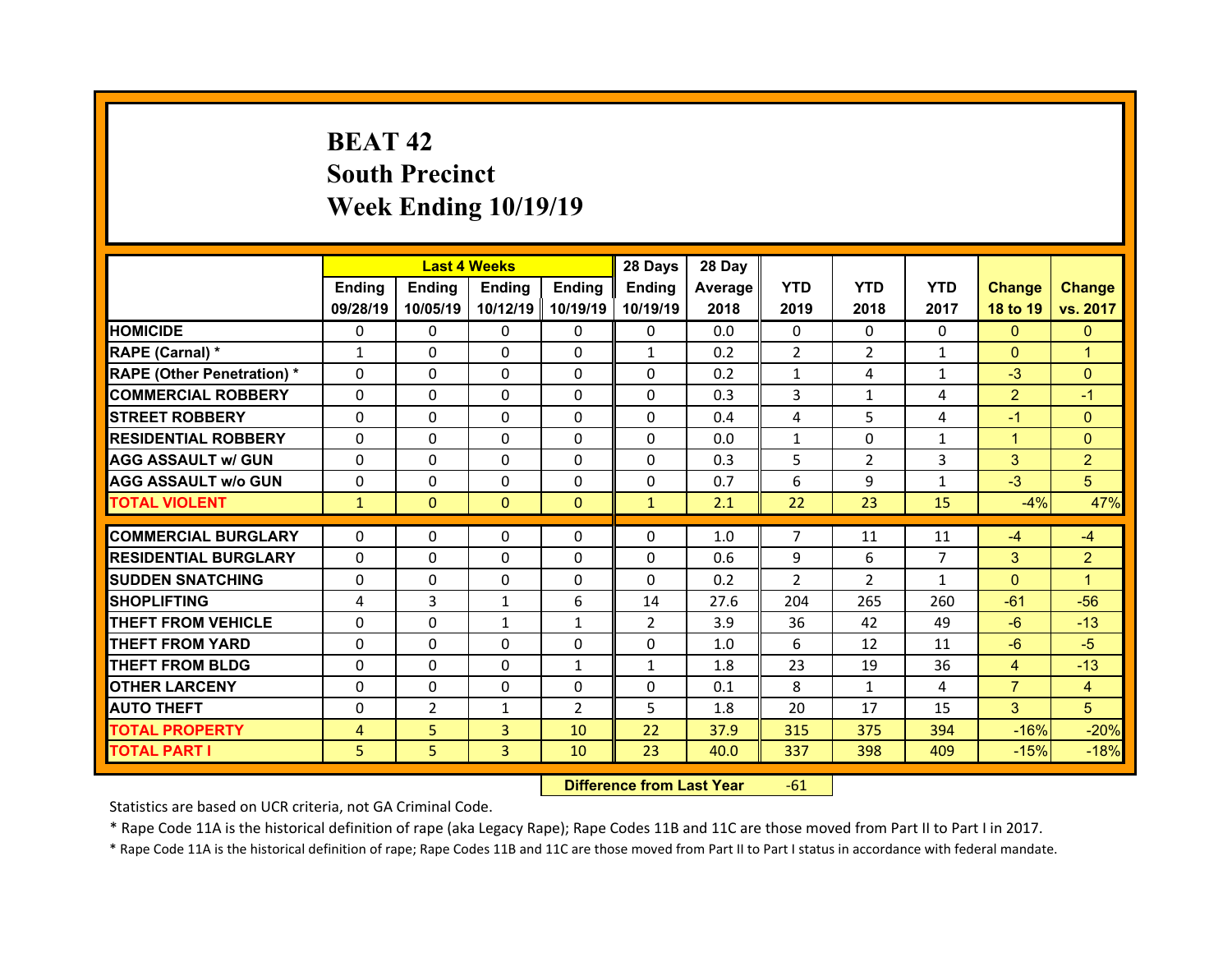# **BEAT 42South Precinct Week Ending 10/19/19**

|                                  |              | <b>Last 4 Weeks</b> |               |                | 28 Days        | 28 Day     |                |                |                |                   |                                  |
|----------------------------------|--------------|---------------------|---------------|----------------|----------------|------------|----------------|----------------|----------------|-------------------|----------------------------------|
|                                  | Ending       | <b>Ending</b>       | Ending        | <b>Ending</b>  | Ending         | Average    | <b>YTD</b>     | <b>YTD</b>     | <b>YTD</b>     | <b>Change</b>     | <b>Change</b>                    |
|                                  | 09/28/19     | 10/05/19            | 10/12/19      | 10/19/19       | 10/19/19       | 2018       | 2019           | 2018           | 2017           | 18 to 19          | vs. 2017                         |
| <b>HOMICIDE</b>                  | $\Omega$     | 0                   | $\Omega$      | $\Omega$       | 0              | 0.0        | $\Omega$       | $\Omega$       | $\Omega$       | $\mathbf{0}$      | $\mathbf{0}$                     |
| RAPE (Carnal) *                  | $\mathbf{1}$ | 0                   | $\mathbf{0}$  | $\Omega$       | $\mathbf{1}$   | 0.2        | $\overline{2}$ | $\overline{2}$ | $\mathbf{1}$   | $\mathbf{0}$      | 1                                |
| <b>RAPE (Other Penetration)*</b> | 0            | $\Omega$            | $\Omega$      | $\Omega$       | $\Omega$       | 0.2        | $\mathbf{1}$   | 4              | $\mathbf{1}$   | $-3$              | $\Omega$                         |
| <b>COMMERCIAL ROBBERY</b>        | $\Omega$     | 0                   | $\Omega$      | $\Omega$       | 0              | 0.3        | 3              | $\mathbf{1}$   | 4              | $\overline{2}$    | $-1$                             |
| <b>STREET ROBBERY</b>            | $\Omega$     | $\Omega$            | $\mathbf{0}$  | $\Omega$       | 0              | 0.4        | 4              | 5              | 4              | $-1$              | $\Omega$                         |
| <b>RESIDENTIAL ROBBERY</b>       | $\Omega$     | $\Omega$            | $\Omega$      | $\Omega$       | $\Omega$       | 0.0        | $\mathbf{1}$   | $\Omega$       | $\mathbf{1}$   | $\mathbf{1}$      | $\Omega$                         |
| <b>AGG ASSAULT w/ GUN</b>        | $\Omega$     | 0                   | $\Omega$      | $\Omega$       | 0              | 0.3        | 5              | $\overline{2}$ | 3              | 3                 | $\overline{2}$                   |
| <b>AGG ASSAULT w/o GUN</b>       | $\Omega$     | $\Omega$            | $\mathbf{0}$  | $\Omega$       | $\Omega$       | 0.7        | 6              | 9              | $\mathbf{1}$   | $-3$              | 5                                |
| <b>TOTAL VIOLENT</b>             | $\mathbf{1}$ | $\mathbf{0}$        | $\mathbf{0}$  | $\mathbf{0}$   | $\mathbf{1}$   | 2.1        | 22             | 23             | 15             | $-4%$             | 47%                              |
| <b>COMMERCIAL BURGLARY</b>       | 0            | 0                   | 0             | 0              | 0              | 1.0        | $\overline{7}$ | 11             | 11             | $-4$              | $-4$                             |
| <b>RESIDENTIAL BURGLARY</b>      | $\Omega$     |                     |               |                | 0              | 0.6        |                | 6              | $\overline{7}$ |                   |                                  |
| <b>SUDDEN SNATCHING</b>          | 0            | 0<br>$\Omega$       | 0<br>$\Omega$ | $\Omega$       | $\Omega$       | 0.2        | 9<br>2         | $\overline{2}$ | $\mathbf{1}$   | 3<br>$\mathbf{0}$ | $\overline{2}$<br>$\overline{1}$ |
| <b>SHOPLIFTING</b>               | 4            | 3                   | $\mathbf{1}$  | $\Omega$<br>6  | 14             | 27.6       | 204            | 265            | 260            | $-61$             | $-56$                            |
| <b>THEFT FROM VEHICLE</b>        |              |                     |               | $\mathbf{1}$   | $\overline{2}$ |            |                |                |                | $-6$              | $-13$                            |
| <b>THEFT FROM YARD</b>           | 0            | 0                   | $\mathbf{1}$  |                | 0              | 3.9<br>1.0 | 36<br>6        | 42<br>12       | 49<br>11       | $-6$              |                                  |
|                                  |              |                     |               |                |                |            |                |                |                |                   | $-5$                             |
|                                  | 0            | 0                   | 0             | $\Omega$       |                |            |                |                |                |                   |                                  |
| <b>THEFT FROM BLDG</b>           | $\Omega$     | 0                   | $\mathbf{0}$  | $\mathbf{1}$   | $\mathbf{1}$   | 1.8        | 23             | 19             | 36             | $\overline{4}$    | $-13$                            |
| <b>OTHER LARCENY</b>             | 0            | 0                   | $\Omega$      | $\Omega$       | 0              | 0.1        | 8              | $\mathbf{1}$   | 4              | $\overline{7}$    | $\overline{4}$                   |
| <b>AUTO THEFT</b>                | 0            | $\overline{2}$      | $\mathbf{1}$  | $\overline{2}$ | 5              | 1.8        | 20             | 17             | 15             | 3                 | 5                                |
| <b>TOTAL PROPERTY</b>            | 4            | 5                   | 3             | 10             | 22             | 37.9       | 315            | 375            | 394            | $-16%$            | $-20%$                           |
| <b>TOTAL PART I</b>              | 5            | 5                   | 3             | 10             | 23             | 40.0       | 337            | 398            | 409            | $-15%$            | $-18%$                           |

 **Difference from Last Year**r -61

Statistics are based on UCR criteria, not GA Criminal Code.

\* Rape Code 11A is the historical definition of rape (aka Legacy Rape); Rape Codes 11B and 11C are those moved from Part II to Part I in 2017.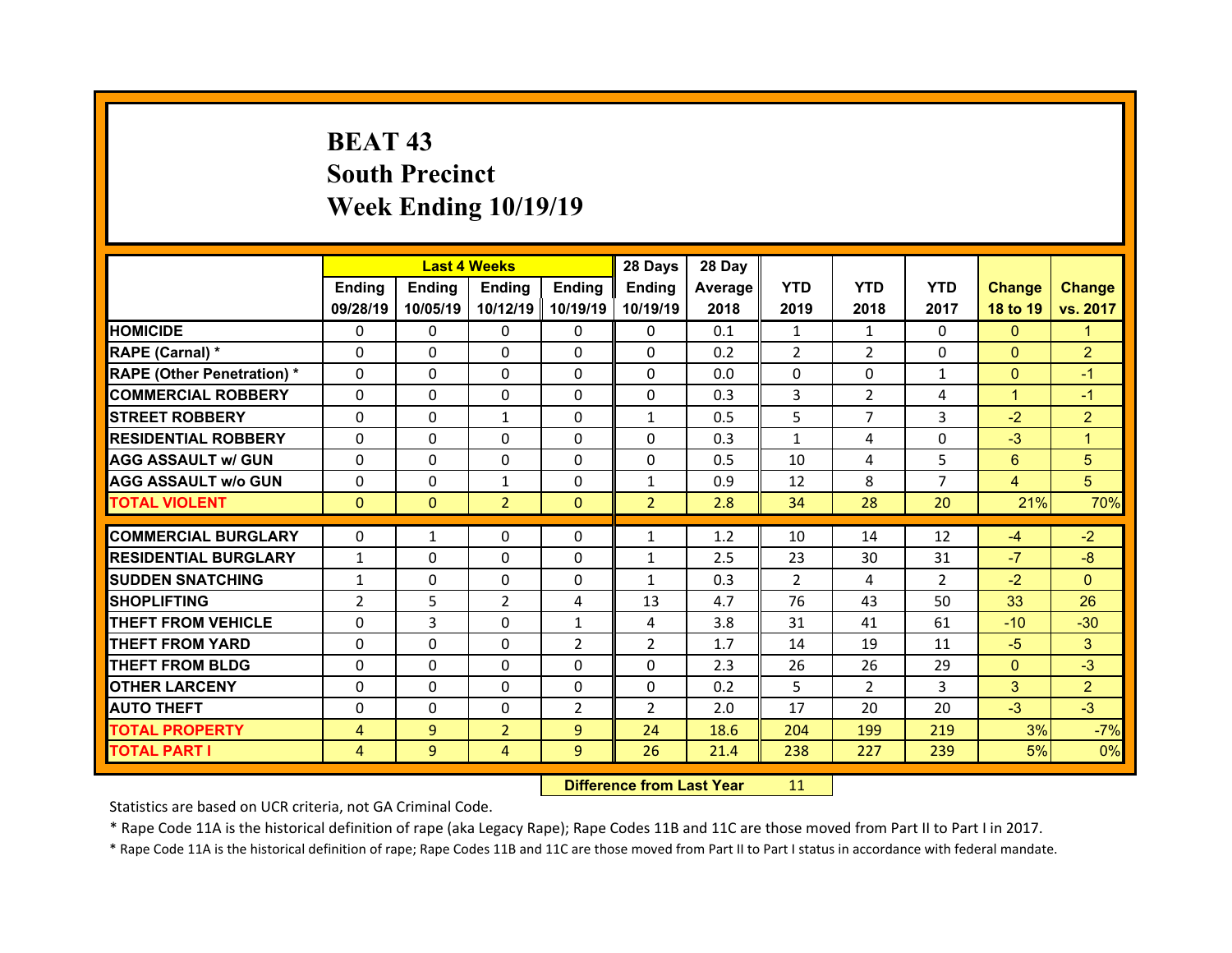# **BEAT 43 South Precinct Week Ending 10/19/19**

|                                  |                                | <b>Last 4 Weeks</b> |                |                | 28 Days            | 28 Day     |                      |                |                      |                |                |
|----------------------------------|--------------------------------|---------------------|----------------|----------------|--------------------|------------|----------------------|----------------|----------------------|----------------|----------------|
|                                  | Ending                         | <b>Ending</b>       | <b>Ending</b>  | <b>Ending</b>  | Ending             | Average    | <b>YTD</b>           | <b>YTD</b>     | <b>YTD</b>           | <b>Change</b>  | <b>Change</b>  |
|                                  | 09/28/19                       | 10/05/19            | 10/12/19       | 10/19/19       | 10/19/19           | 2018       | 2019                 | 2018           | 2017                 | 18 to 19       | vs. 2017       |
| <b>HOMICIDE</b>                  | $\Omega$                       | 0                   | $\Omega$       | $\Omega$       | 0                  | 0.1        | 1                    | 1              | $\Omega$             | $\mathbf{0}$   | 1              |
| RAPE (Carnal) *                  | 0                              | $\Omega$            | $\mathbf{0}$   | $\Omega$       | 0                  | 0.2        | 2                    | $\overline{2}$ | $\Omega$             | $\mathbf{0}$   | $\overline{2}$ |
| <b>RAPE (Other Penetration)*</b> | 0                              | $\Omega$            | $\Omega$       | $\Omega$       | $\Omega$           | 0.0        | 0                    | $\Omega$       | $\mathbf{1}$         | $\overline{0}$ | $-1$           |
| <b>COMMERCIAL ROBBERY</b>        | $\Omega$                       | 0                   | $\mathbf{0}$   | $\Omega$       | 0                  | 0.3        | 3                    | $\overline{2}$ | 4                    | $\mathbf{1}$   | $-1$           |
| <b>STREET ROBBERY</b>            | $\Omega$                       | $\Omega$            | $\mathbf{1}$   | $\Omega$       | $\mathbf{1}$       | 0.5        | 5                    | $\overline{7}$ | 3                    | $-2$           | $\overline{2}$ |
| <b>RESIDENTIAL ROBBERY</b>       | $\Omega$                       | $\Omega$            | $\Omega$       | $\Omega$       | $\Omega$           | 0.3        | $\mathbf{1}$         | 4              | $\Omega$             | $-3$           | 1              |
| <b>AGG ASSAULT w/ GUN</b>        | $\Omega$                       | 0                   | 0              | $\Omega$       | $\Omega$           | 0.5        | 10                   | 4              | 5                    | $6^{\circ}$    | 5              |
| <b>AGG ASSAULT w/o GUN</b>       | $\Omega$                       | $\Omega$            | $\mathbf{1}$   | $\Omega$       | $\mathbf{1}$       | 0.9        | 12                   | 8              | $\overline{7}$       | $\overline{4}$ | 5              |
| <b>TOTAL VIOLENT</b>             | $\mathbf{0}$                   | $\mathbf{0}$        | $\overline{2}$ | $\mathbf{0}$   | 2 <sup>1</sup>     | 2.8        | 34                   | 28             | 20                   | 21%            | 70%            |
| <b>COMMERCIAL BURGLARY</b>       |                                |                     |                |                |                    |            |                      |                |                      |                | $-2$           |
| <b>RESIDENTIAL BURGLARY</b>      | 0                              | $\mathbf{1}$        | 0              | 0              | $\mathbf{1}$       | 1.2        | 10                   | 14             | 12                   | $-4$<br>$-7$   | $-8$           |
| <b>SUDDEN SNATCHING</b>          | $\mathbf{1}$                   | 0<br>$\Omega$       | 0<br>$\Omega$  | $\Omega$       | $\mathbf{1}$       | 2.5<br>0.3 | 23<br>$\overline{2}$ | 30<br>4        | 31<br>$\overline{2}$ | $-2$           | $\Omega$       |
| <b>SHOPLIFTING</b>               | $\mathbf{1}$<br>$\overline{2}$ | 5                   | 2              | $\Omega$       | $\mathbf{1}$<br>13 | 4.7        | 76                   | 43             | 50                   | 33             | 26             |
| <b>THEFT FROM VEHICLE</b>        |                                | 3                   |                | 4              |                    |            |                      |                |                      |                |                |
|                                  | 0                              |                     | 0              | $\mathbf{1}$   | 4                  | 3.8        | 31                   | 41             | 61                   | $-10$          | $-30$          |
| <b>THEFT FROM YARD</b>           | 0                              | $\Omega$            | 0              | $\overline{2}$ | $\overline{2}$     | 1.7        | 14                   | 19             | 11                   | $-5$           | 3              |
| <b>THEFT FROM BLDG</b>           | $\Omega$                       | 0                   | $\mathbf{0}$   | $\Omega$       | 0                  | 2.3        | 26                   | 26             | 29                   | $\mathbf{0}$   | $-3$           |
| <b>OTHER LARCENY</b>             | 0                              | 0                   | $\Omega$       | $\Omega$       | $\Omega$           | 0.2        | 5                    | $\mathcal{P}$  | 3                    | 3              | $\overline{2}$ |
| <b>AUTO THEFT</b>                | 0                              | 0                   | $\mathbf{0}$   | $\overline{2}$ | $\overline{2}$     | 2.0        | 17                   | 20             | 20                   | $-3$           | $-3$           |
| <b>TOTAL PROPERTY</b>            | 4                              | 9                   | $\overline{2}$ | $\overline{9}$ | 24                 | 18.6       | 204                  | 199            | 219                  | 3%             | $-7%$          |
| <b>TOTAL PART I</b>              | 4                              | 9                   | 4              | 9              | 26                 | 21.4       | 238                  | 227            | 239                  | 5%             | 0%             |
|                                  |                                |                     |                |                |                    |            |                      |                |                      |                |                |

 **Difference from Last Year**r 11

Statistics are based on UCR criteria, not GA Criminal Code.

\* Rape Code 11A is the historical definition of rape (aka Legacy Rape); Rape Codes 11B and 11C are those moved from Part II to Part I in 2017.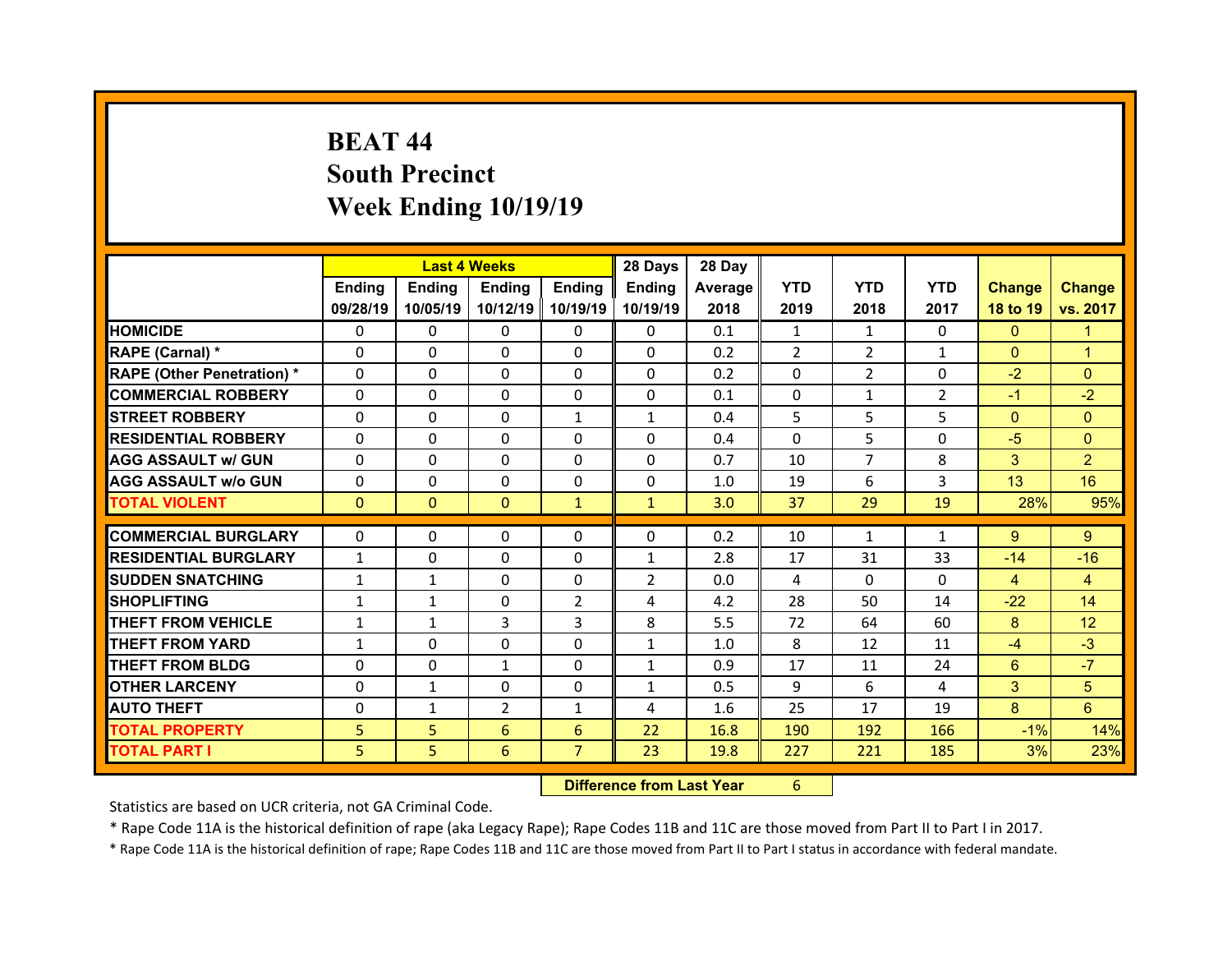# **BEAT 44South Precinct Week Ending 10/19/19**

|                                  |              | <b>Last 4 Weeks</b> |                |                | 28 Days        | 28 Day  |                |                |                |                |                 |
|----------------------------------|--------------|---------------------|----------------|----------------|----------------|---------|----------------|----------------|----------------|----------------|-----------------|
|                                  | Ending       | Ending              | <b>Ending</b>  | <b>Ending</b>  | <b>Ending</b>  | Average | <b>YTD</b>     | <b>YTD</b>     | <b>YTD</b>     | <b>Change</b>  | <b>Change</b>   |
|                                  | 09/28/19     | 10/05/19            | 10/12/19       | 10/19/19       | 10/19/19       | 2018    | 2019           | 2018           | 2017           | 18 to 19       | vs. 2017        |
| <b>HOMICIDE</b>                  | $\mathbf{0}$ | $\Omega$            | 0              | $\mathbf{0}$   | 0              | 0.1     | 1              | 1              | $\Omega$       | $\mathbf{0}$   | 1               |
| RAPE (Carnal) *                  | $\Omega$     | $\Omega$            | $\mathbf{0}$   | $\Omega$       | $\Omega$       | 0.2     | $\overline{2}$ | $\overline{2}$ | $\mathbf{1}$   | $\overline{0}$ | 1               |
| <b>RAPE (Other Penetration)*</b> | $\Omega$     | $\Omega$            | $\Omega$       | $\Omega$       | $\Omega$       | 0.2     | $\Omega$       | $\overline{2}$ | $\Omega$       | $-2$           | $\Omega$        |
| <b>COMMERCIAL ROBBERY</b>        | $\Omega$     | 0                   | $\mathbf{0}$   | $\mathbf{0}$   | 0              | 0.1     | 0              | $\mathbf{1}$   | $\overline{2}$ | $-1$           | $-2$            |
| <b>STREET ROBBERY</b>            | $\Omega$     | $\Omega$            | $\mathbf{0}$   | $\mathbf{1}$   | $\mathbf{1}$   | 0.4     | 5              | 5              | 5              | $\overline{0}$ | $\Omega$        |
| <b>RESIDENTIAL ROBBERY</b>       | $\Omega$     | $\Omega$            | $\mathbf{0}$   | $\Omega$       | $\Omega$       | 0.4     | $\Omega$       | 5              | $\Omega$       | $-5$           | $\Omega$        |
| <b>AGG ASSAULT w/ GUN</b>        | 0            | $\Omega$            | $\Omega$       | $\Omega$       | $\Omega$       | 0.7     | 10             | $\overline{7}$ | 8              | 3              | $\overline{2}$  |
| <b>AGG ASSAULT w/o GUN</b>       | 0            | 0                   | $\mathbf{0}$   | $\Omega$       | $\Omega$       | 1.0     | 19             | 6              | 3              | 13             | 16              |
| <b>TOTAL VIOLENT</b>             | $\mathbf{0}$ | $\mathbf{0}$        | $\mathbf{0}$   | $\mathbf{1}$   | $\mathbf{1}$   | 3.0     | 37             | 29             | 19             | 28%            | 95%             |
|                                  |              |                     |                |                |                |         |                |                |                |                |                 |
| <b>COMMERCIAL BURGLARY</b>       | 0            | 0                   | 0              | 0              | $\Omega$       | 0.2     | 10             | $\mathbf{1}$   | 1              | $9^{\circ}$    | $9^{\circ}$     |
| <b>RESIDENTIAL BURGLARY</b>      | $\mathbf{1}$ | 0                   | 0              | 0              | $\mathbf{1}$   | 2.8     | 17             | 31             | 33             | $-14$          | $-16$           |
| <b>SUDDEN SNATCHING</b>          | $\mathbf{1}$ | $\mathbf{1}$        | 0              | 0              | $\overline{2}$ | 0.0     | 4              | $\Omega$       | $\Omega$       | $\overline{4}$ | $\overline{4}$  |
| <b>SHOPLIFTING</b>               | $\mathbf{1}$ | $\mathbf{1}$        | 0              | $\overline{2}$ | 4              | 4.2     | 28             | 50             | 14             | $-22$          | 14              |
| <b>THEFT FROM VEHICLE</b>        | $\mathbf{1}$ | $\mathbf{1}$        | 3              | 3              | 8              | 5.5     | 72             | 64             | 60             | 8              | 12 <sup>°</sup> |
| <b>THEFT FROM YARD</b>           | $\mathbf{1}$ | 0                   | 0              | $\Omega$       | $\mathbf{1}$   | 1.0     | 8              | 12             | 11             | $-4$           | $-3$            |
| <b>THEFT FROM BLDG</b>           | 0            | $\Omega$            | $\mathbf{1}$   | $\Omega$       | $\mathbf{1}$   | 0.9     | 17             | 11             | 24             | $6^{\circ}$    | $-7$            |
| <b>OTHER LARCENY</b>             | 0            | $\mathbf{1}$        | $\Omega$       | $\Omega$       | $\mathbf{1}$   | 0.5     | 9              | 6              | 4              | 3              | 5               |
| <b>AUTO THEFT</b>                | 0            | $\mathbf{1}$        | $\overline{2}$ | 1              | 4              | 1.6     | 25             | 17             | 19             | 8              | 6               |
| <b>TOTAL PROPERTY</b>            | 5            | 5                   | 6              | 6              | 22             | 16.8    | 190            | 192            | 166            | $-1%$          | 14%             |
| <b>TOTAL PART I</b>              | 5            | 5                   | 6              | $\overline{7}$ | 23             | 19.8    | 227            | 221            | 185            | 3%             | 23%             |
|                                  |              |                     |                |                |                |         |                |                |                |                |                 |

 **Difference from Last Year**r 6

Statistics are based on UCR criteria, not GA Criminal Code.

\* Rape Code 11A is the historical definition of rape (aka Legacy Rape); Rape Codes 11B and 11C are those moved from Part II to Part I in 2017.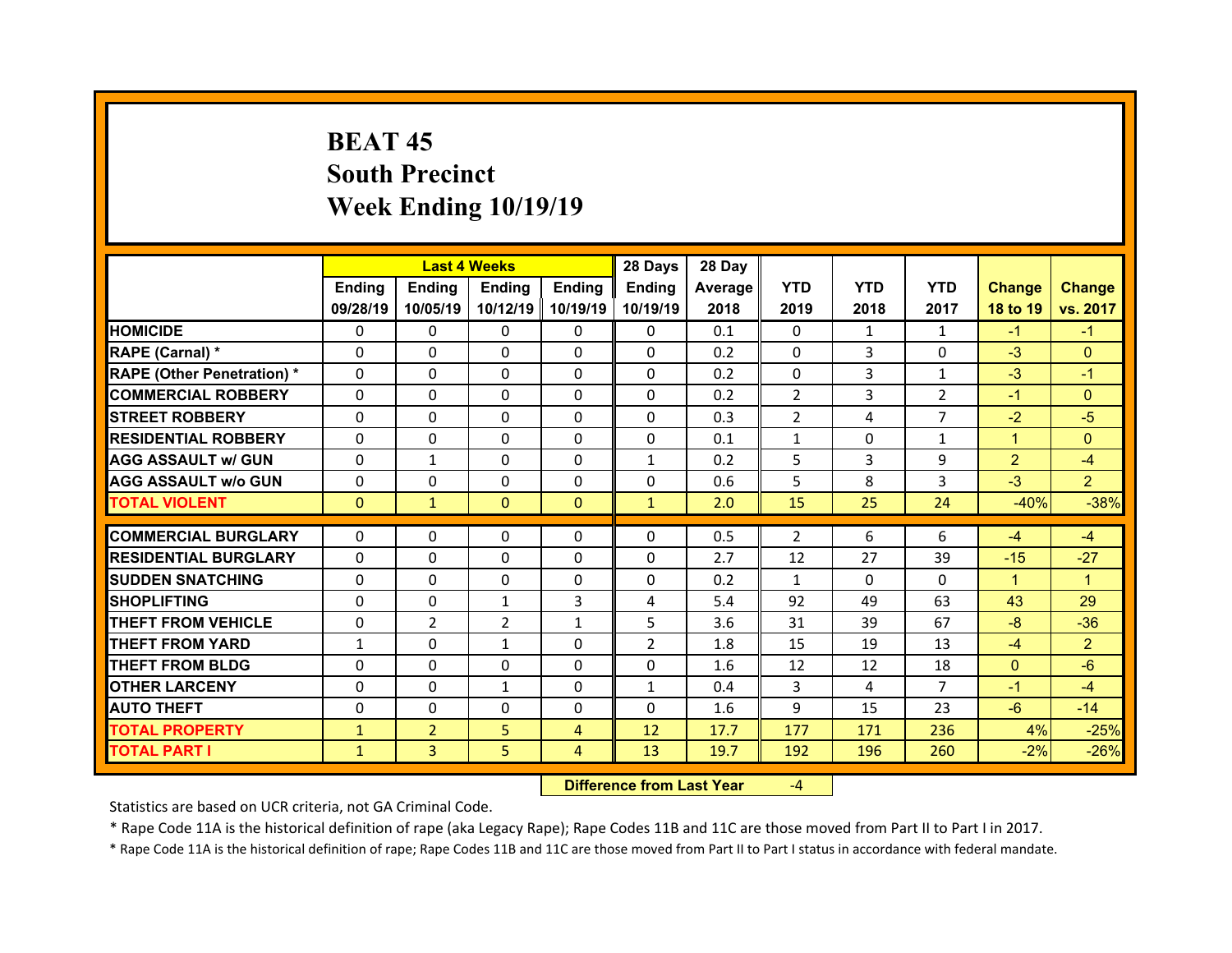# **BEAT 45South Precinct Week Ending 10/19/19**

|                                  |              | <b>Last 4 Weeks</b> |                |                | 28 Days        | 28 Day     |                |            |                |                |                |
|----------------------------------|--------------|---------------------|----------------|----------------|----------------|------------|----------------|------------|----------------|----------------|----------------|
|                                  | Ending       | <b>Ending</b>       | <b>Ending</b>  | Ending         | Ending         | Average II | <b>YTD</b>     | <b>YTD</b> | <b>YTD</b>     | <b>Change</b>  | <b>Change</b>  |
|                                  | 09/28/19     | 10/05/19            | 10/12/19       | 10/19/19       | 10/19/19       | 2018       | 2019           | 2018       | 2017           | 18 to 19       | vs. 2017       |
| <b>HOMICIDE</b>                  | $\mathbf{0}$ | 0                   | 0              | $\mathbf{0}$   | 0              | 0.1        | $\Omega$       | 1          | $\mathbf{1}$   | $-1$           | $-1$           |
| RAPE (Carnal) *                  | $\Omega$     | $\Omega$            | $\Omega$       | $\Omega$       | 0              | 0.2        | $\Omega$       | 3          | $\Omega$       | $-3$           | $\Omega$       |
| <b>RAPE (Other Penetration)*</b> | $\Omega$     | $\Omega$            | $\Omega$       | $\Omega$       | $\Omega$       | 0.2        | $\Omega$       | 3          | $\mathbf{1}$   | $-3$           | $-1$           |
| <b>COMMERCIAL ROBBERY</b>        | $\Omega$     | $\Omega$            | $\mathbf{0}$   | $\Omega$       | $\Omega$       | 0.2        | 2              | 3          | $\overline{2}$ | $-1$           | $\Omega$       |
| <b>STREET ROBBERY</b>            | $\Omega$     | $\Omega$            | $\mathbf{0}$   | $\Omega$       | $\Omega$       | 0.3        | $\overline{2}$ | 4          | $\overline{7}$ | $-2$           | $-5$           |
| <b>RESIDENTIAL ROBBERY</b>       | $\Omega$     | $\Omega$            | $\Omega$       | $\Omega$       | $\Omega$       | 0.1        | $\mathbf{1}$   | $\Omega$   | $\mathbf{1}$   | $\mathbf{1}$   | $\Omega$       |
| <b>AGG ASSAULT w/ GUN</b>        | $\Omega$     | $\mathbf{1}$        | $\Omega$       | $\Omega$       | $\mathbf{1}$   | 0.2        | 5              | 3          | 9              | $\overline{2}$ | $-4$           |
| <b>AGG ASSAULT w/o GUN</b>       | $\Omega$     | 0                   | 0              | $\Omega$       | 0              | 0.6        | 5              | 8          | 3              | $-3$           | $\overline{2}$ |
| <b>TOTAL VIOLENT</b>             | $\mathbf{0}$ | $\mathbf{1}$        | $\mathbf{0}$   | $\mathbf{0}$   | $\mathbf{1}$   | 2.0        | 15             | 25         | 24             | $-40%$         | $-38%$         |
| <b>COMMERCIAL BURGLARY</b>       | $\mathbf{0}$ | 0                   | 0              | $\mathbf{0}$   | 0              | 0.5        | 2              | 6          | 6              | $-4$           | $-4$           |
| <b>RESIDENTIAL BURGLARY</b>      | $\Omega$     | $\Omega$            | $\Omega$       | $\Omega$       | $\Omega$       | 2.7        | 12             | 27         | 39             | $-15$          | $-27$          |
| <b>SUDDEN SNATCHING</b>          | $\Omega$     | $\Omega$            | $\Omega$       | $\Omega$       | $\Omega$       | 0.2        | $\mathbf{1}$   | $\Omega$   | $\Omega$       | $\mathbf{1}$   | $\overline{1}$ |
| <b>SHOPLIFTING</b>               | $\Omega$     | 0                   | $\mathbf{1}$   | 3              | 4              | 5.4        | 92             | 49         | 63             | 43             | 29             |
| <b>THEFT FROM VEHICLE</b>        | $\Omega$     | $\overline{2}$      | $\overline{2}$ | $\mathbf{1}$   | 5              | 3.6        | 31             | 39         | 67             | $-8$           | $-36$          |
| <b>THEFT FROM YARD</b>           | $\mathbf{1}$ | $\Omega$            | $\mathbf{1}$   | $\Omega$       | $\overline{2}$ | 1.8        | 15             | 19         | 13             | $-4$           | $\overline{2}$ |
| <b>THEFT FROM BLDG</b>           | $\Omega$     | $\Omega$            | 0              | $\Omega$       | $\Omega$       | 1.6        | 12             | 12         | 18             | $\mathbf{0}$   | $-6$           |
| <b>OTHER LARCENY</b>             | 0            | 0                   | $\mathbf{1}$   | $\Omega$       | $\mathbf{1}$   | 0.4        | 3              | 4          | $\overline{7}$ | $-1$           | $-4$           |
| <b>AUTO THEFT</b>                | $\Omega$     | $\Omega$            | $\Omega$       | $\Omega$       | 0              | 1.6        | 9              | 15         | 23             | $-6$           | $-14$          |
| <b>TOTAL PROPERTY</b>            | $\mathbf{1}$ | $\overline{2}$      | 5              | $\overline{4}$ | 12             | 17.7       | 177            | 171        | 236            | 4%             | $-25%$         |
| <b>TOTAL PART I</b>              | $\mathbf{1}$ | 3                   | 5              | 4              | 13             | 19.7       | 192            | 196        | 260            | $-2%$          | $-26%$         |
|                                  |              |                     |                |                |                |            |                |            |                |                |                |

 **Difference from Last Year**‐4

Statistics are based on UCR criteria, not GA Criminal Code.

\* Rape Code 11A is the historical definition of rape (aka Legacy Rape); Rape Codes 11B and 11C are those moved from Part II to Part I in 2017.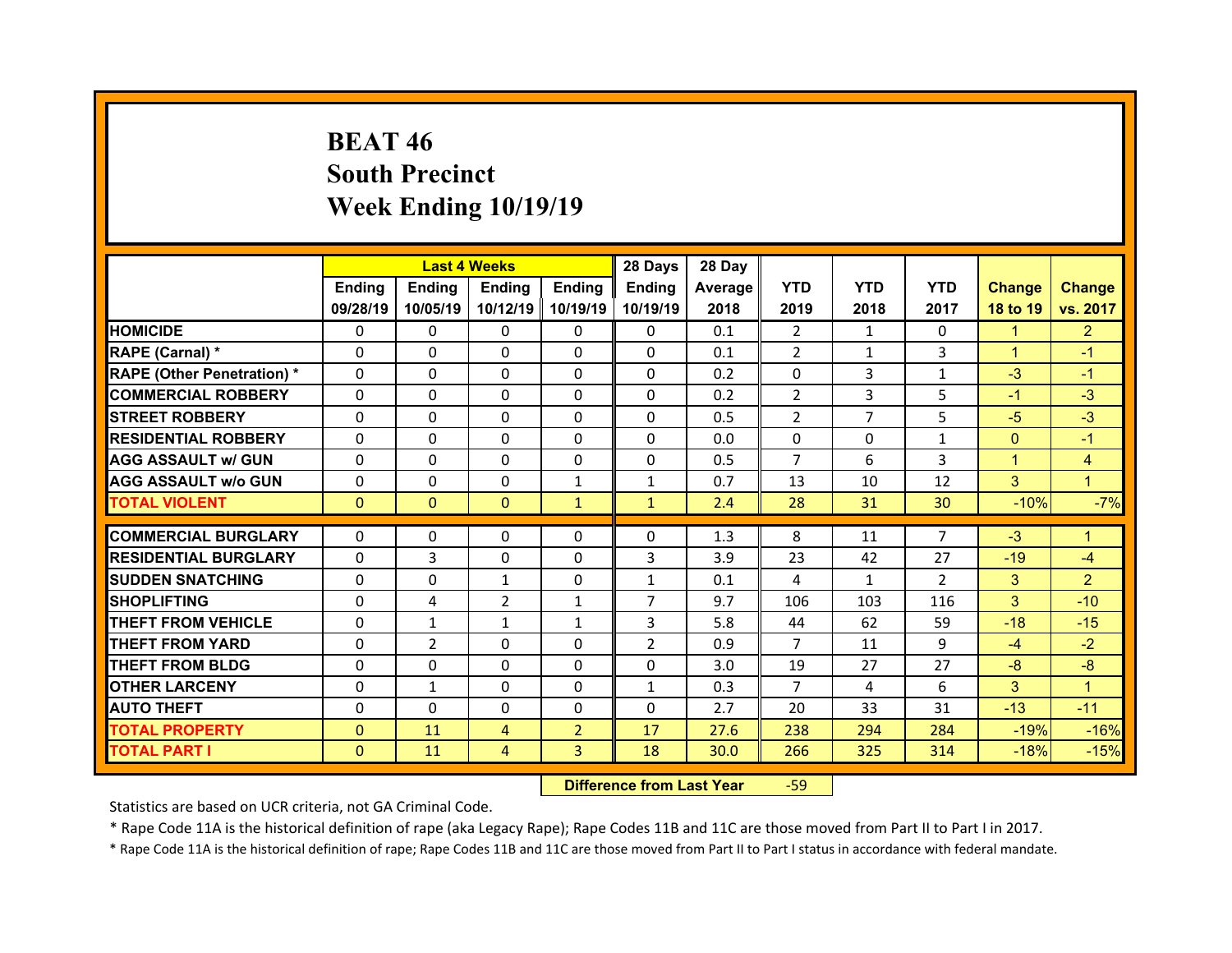# **BEAT 46 South Precinct Week Ending 10/19/19**

|                                   |              | <b>Last 4 Weeks</b> |                |                | 28 Days        | 28 Day  |                |                |                 |                |                         |
|-----------------------------------|--------------|---------------------|----------------|----------------|----------------|---------|----------------|----------------|-----------------|----------------|-------------------------|
|                                   | Ending       | <b>Ending</b>       | <b>Ending</b>  | Ending         | Ending         | Average | <b>YTD</b>     | <b>YTD</b>     | <b>YTD</b>      | <b>Change</b>  | <b>Change</b>           |
|                                   | 09/28/19     | 10/05/19            | 10/12/19       | 10/19/19       | 10/19/19       | 2018    | 2019           | 2018           | 2017            | 18 to 19       | vs. 2017                |
| <b>HOMICIDE</b>                   | $\Omega$     | $\Omega$            | $\Omega$       | $\Omega$       | $\Omega$       | 0.1     | 2              | $\mathbf{1}$   | $\Omega$        | $\mathbf{1}$   | $\overline{2}$          |
| RAPE (Carnal) *                   | $\Omega$     | $\Omega$            | $\Omega$       | $\Omega$       | $\Omega$       | 0.1     | $\overline{2}$ | $\mathbf{1}$   | 3               | $\mathbf{1}$   | $-1$                    |
| <b>RAPE (Other Penetration) *</b> | $\Omega$     | $\Omega$            | $\mathbf{0}$   | $\Omega$       | $\Omega$       | 0.2     | $\Omega$       | 3              | $\mathbf{1}$    | $-3$           | $-1$                    |
| <b>COMMERCIAL ROBBERY</b>         | $\Omega$     | $\Omega$            | $\mathbf{0}$   | $\Omega$       | $\Omega$       | 0.2     | $\overline{2}$ | 3              | 5               | $-1$           | $-3$                    |
| <b>STREET ROBBERY</b>             | $\Omega$     | $\Omega$            | $\Omega$       | $\Omega$       | 0              | 0.5     | 2              | $\overline{7}$ | 5               | $-5$           | $-3$                    |
| <b>RESIDENTIAL ROBBERY</b>        | $\Omega$     | $\Omega$            | $\mathbf{0}$   | $\Omega$       | $\Omega$       | 0.0     | $\Omega$       | $\Omega$       | $\mathbf{1}$    | $\overline{0}$ | $-1$                    |
| <b>AGG ASSAULT w/ GUN</b>         | $\Omega$     | 0                   | $\Omega$       | $\Omega$       | $\Omega$       | 0.5     | $\overline{7}$ | 6              | 3               | $\mathbf{1}$   | $\overline{\mathbf{4}}$ |
| <b>AGG ASSAULT w/o GUN</b>        | $\Omega$     | $\Omega$            | $\mathbf{0}$   | $\mathbf{1}$   | $\mathbf{1}$   | 0.7     | 13             | 10             | 12              | 3              | $\overline{1}$          |
| <b>TOTAL VIOLENT</b>              | $\mathbf{0}$ | $\mathbf{0}$        | $\mathbf{0}$   | $\mathbf{1}$   | $\mathbf{1}$   | 2.4     | 28             | 31             | 30 <sup>°</sup> | $-10%$         | $-7%$                   |
| <b>COMMERCIAL BURGLARY</b>        | 0            |                     |                |                |                |         |                |                | $\overline{7}$  | $-3$           |                         |
|                                   |              | 0                   | 0              | $\Omega$       | 0              | 1.3     | 8              | 11             |                 |                | 1.                      |
| <b>RESIDENTIAL BURGLARY</b>       | 0            | 3                   | $\Omega$       | $\Omega$       | 3              | 3.9     | 23             | 42             | 27              | $-19$          | $-4$                    |
| <b>SUDDEN SNATCHING</b>           | 0            | 0                   | $\mathbf{1}$   | $\Omega$       | $\mathbf{1}$   | 0.1     | 4              | $\mathbf{1}$   | $\overline{2}$  | 3              | $\overline{2}$          |
| <b>SHOPLIFTING</b>                | 0            | 4                   | $\overline{2}$ | $\mathbf{1}$   | $\overline{7}$ | 9.7     | 106            | 103            | 116             | 3              | $-10$                   |
| <b>THEFT FROM VEHICLE</b>         | 0            | $\mathbf{1}$        | $\mathbf{1}$   | 1              | 3              | 5.8     | 44             | 62             | 59              | $-18$          | $-15$                   |
| <b>THEFT FROM YARD</b>            |              |                     |                |                |                |         | $\overline{7}$ | 11             | 9               | $-4$           | $-2$                    |
|                                   | 0            | $\overline{2}$      | $\Omega$       | $\Omega$       | $\overline{2}$ | 0.9     |                |                |                 |                |                         |
| <b>THEFT FROM BLDG</b>            | $\Omega$     | 0                   | $\mathbf{0}$   | $\mathbf{0}$   | 0              | 3.0     | 19             | 27             | 27              | $-8$           | $-8$                    |
| <b>OTHER LARCENY</b>              | 0            | $\mathbf{1}$        | $\Omega$       | $\Omega$       | $\mathbf{1}$   | 0.3     | $\overline{7}$ | 4              | 6               | 3              | $\mathbf{1}$            |
| <b>AUTO THEFT</b>                 | $\mathbf{0}$ | $\Omega$            | $\mathbf{0}$   | $\mathbf{0}$   | 0              | 2.7     | 20             | 33             | 31              | $-13$          | $-11$                   |
| <b>TOTAL PROPERTY</b>             | $\Omega$     | 11                  | 4              | $\overline{2}$ | 17             | 27.6    | 238            | 294            | 284             | $-19%$         | $-16%$                  |
| <b>TOTAL PART I</b>               | $\mathbf{0}$ | 11                  | 4              | $\overline{3}$ | 18             | 30.0    | 266            | 325            | 314             | $-18%$         | $-15%$                  |

 **Difference from Last Year**‐59

Statistics are based on UCR criteria, not GA Criminal Code.

\* Rape Code 11A is the historical definition of rape (aka Legacy Rape); Rape Codes 11B and 11C are those moved from Part II to Part I in 2017.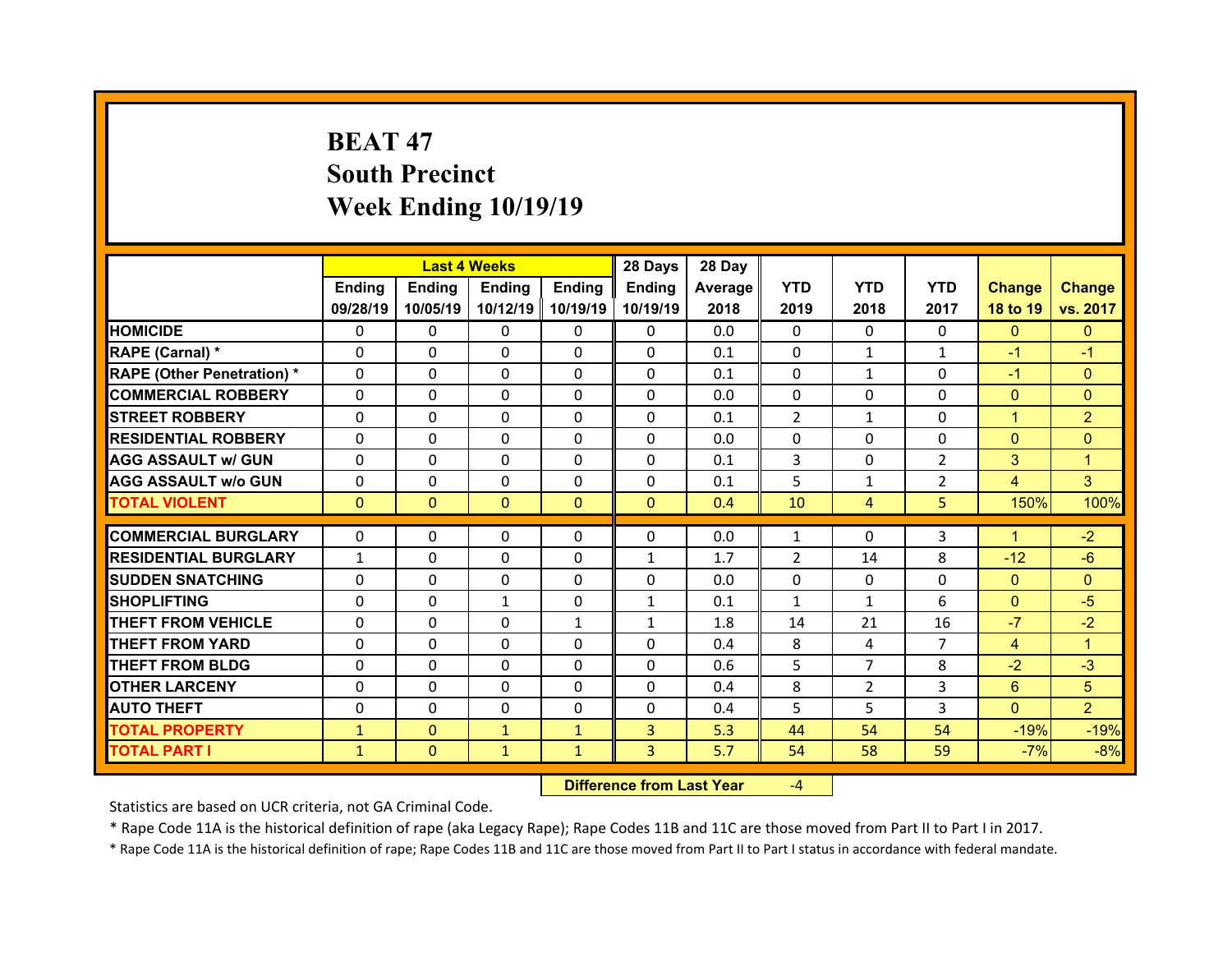# **BEAT 47South Precinct Week Ending 10/19/19**

|                                   |              | <b>Last 4 Weeks</b> |                   |                      | 28 Days                  | 28 Day  |                |                |                |                |                |
|-----------------------------------|--------------|---------------------|-------------------|----------------------|--------------------------|---------|----------------|----------------|----------------|----------------|----------------|
|                                   | Ending       | <b>Ending</b>       | <b>Ending</b>     | <b>Ending</b>        | <b>Ending</b>            | Average | <b>YTD</b>     | <b>YTD</b>     | <b>YTD</b>     | <b>Change</b>  | <b>Change</b>  |
|                                   | 09/28/19     | 10/05/19            | 10/12/19          | 10/19/19             | 10/19/19                 | 2018    | 2019           | 2018           | 2017           | 18 to 19       | vs. 2017       |
| <b>HOMICIDE</b>                   | $\Omega$     | 0                   | 0                 | $\Omega$             | $\Omega$                 | 0.0     | $\Omega$       | $\Omega$       | $\Omega$       | $\Omega$       | $\Omega$       |
| RAPE (Carnal) *                   | $\mathbf{0}$ | 0                   | $\mathbf{0}$      | $\mathbf{0}$         | $\Omega$                 | 0.1     | 0              | $\mathbf{1}$   | $\mathbf{1}$   | $-1$           | $-1$           |
| <b>RAPE (Other Penetration) *</b> | $\Omega$     | $\Omega$            | $\Omega$          | $\Omega$             | $\Omega$                 | 0.1     | $\Omega$       | $\mathbf{1}$   | $\Omega$       | $-1$           | $\Omega$       |
| <b>COMMERCIAL ROBBERY</b>         | $\Omega$     | $\Omega$            | $\mathbf{0}$      | $\Omega$             | $\Omega$                 | 0.0     | $\Omega$       | $\Omega$       | $\Omega$       | $\overline{0}$ | $\Omega$       |
| <b>STREET ROBBERY</b>             | $\Omega$     | 0                   | $\Omega$          | $\Omega$             | $\Omega$                 | 0.1     | $\overline{2}$ | $\mathbf{1}$   | $\Omega$       | $\mathbf{1}$   | $\overline{2}$ |
| <b>RESIDENTIAL ROBBERY</b>        | $\Omega$     | 0                   | $\mathbf{0}$      | $\Omega$             | $\Omega$                 | 0.0     | $\Omega$       | $\Omega$       | $\Omega$       | $\overline{0}$ | $\Omega$       |
| <b>AGG ASSAULT w/ GUN</b>         | $\Omega$     | $\Omega$            | $\Omega$          | $\Omega$             | $\Omega$                 | 0.1     | 3              | $\Omega$       | $\overline{2}$ | 3              | $\mathbf{1}$   |
| <b>AGG ASSAULT w/o GUN</b>        | 0            | 0                   | $\mathbf{0}$      | $\Omega$             | $\Omega$                 | 0.1     | 5              | $\mathbf{1}$   | $\overline{2}$ | $\overline{4}$ | $\overline{3}$ |
| <b>TOTAL VIOLENT</b>              | $\mathbf{0}$ | $\mathbf{0}$        | $\mathbf{0}$      | $\Omega$             | $\Omega$                 | 0.4     | 10             | 4              | 5              | 150%           | 100%           |
| <b>COMMERCIAL BURGLARY</b>        | 0            | 0                   | 0                 | $\mathbf{0}$         | 0                        | 0.0     | 1              | $\Omega$       | 3              | $\mathbf{1}$   | $-2$           |
|                                   |              |                     |                   |                      |                          |         |                |                |                |                | $-6$           |
| <b>RESIDENTIAL BURGLARY</b>       | $\mathbf{1}$ | 0<br>$\Omega$       | 0<br>$\mathbf{0}$ | $\Omega$<br>$\Omega$ | $\mathbf{1}$<br>$\Omega$ | 1.7     | 2<br>$\Omega$  | 14<br>$\Omega$ | 8<br>$\Omega$  | $-12$          |                |
| <b>SUDDEN SNATCHING</b>           | $\mathbf{0}$ |                     |                   |                      |                          |         |                |                |                |                | $\Omega$       |
|                                   |              |                     |                   |                      |                          | 0.0     |                |                |                | $\overline{0}$ |                |
| <b>SHOPLIFTING</b>                | 0            | $\Omega$            | $\mathbf{1}$      | $\Omega$             | $\mathbf{1}$             | 0.1     | $\mathbf{1}$   | $\mathbf{1}$   | 6              | $\overline{0}$ | $-5$           |
| <b>THEFT FROM VEHICLE</b>         | 0            | $\Omega$            | $\mathbf{0}$      | $\mathbf{1}$         | $\mathbf{1}$             | 1.8     | 14             | 21             | 16             | $-7$           | $-2$           |
| <b>THEFT FROM YARD</b>            | $\Omega$     | $\Omega$            | $\Omega$          | $\Omega$             | $\Omega$                 | 0.4     | 8              | 4              | $\overline{7}$ | $\overline{4}$ | 1              |
| <b>THEFT FROM BLDG</b>            | $\Omega$     | $\Omega$            | $\mathbf{0}$      | $\Omega$             | $\Omega$                 | 0.6     | 5              | $\overline{7}$ | 8              | $-2$           | $-3$           |
| <b>OTHER LARCENY</b>              | $\Omega$     | $\Omega$            | $\Omega$          | $\Omega$             | $\Omega$                 | 0.4     | 8              | $\overline{2}$ | 3              | 6              | 5              |
| <b>AUTO THEFT</b>                 | $\mathbf{0}$ | 0                   | $\mathbf{0}$      | $\mathbf{0}$         | $\Omega$                 | 0.4     | 5              | 5.             | 3              | $\Omega$       | $\overline{2}$ |
| <b>TOTAL PROPERTY</b>             | $\mathbf{1}$ | $\Omega$            | $\mathbf{1}$      | $\mathbf{1}$         | 3                        | 5.3     | 44             | 54             | 54             | $-19%$         | $-19%$         |
| <b>TOTAL PART I</b>               | $\mathbf{1}$ | $\mathbf{0}$        | $\mathbf{1}$      | $\mathbf{1}$         | 3 <sup>1</sup>           | 5.7     | 54             | 58             | 59             | $-7%$          | $-8%$          |

 **Difference from Last Year**‐4

Statistics are based on UCR criteria, not GA Criminal Code.

\* Rape Code 11A is the historical definition of rape (aka Legacy Rape); Rape Codes 11B and 11C are those moved from Part II to Part I in 2017.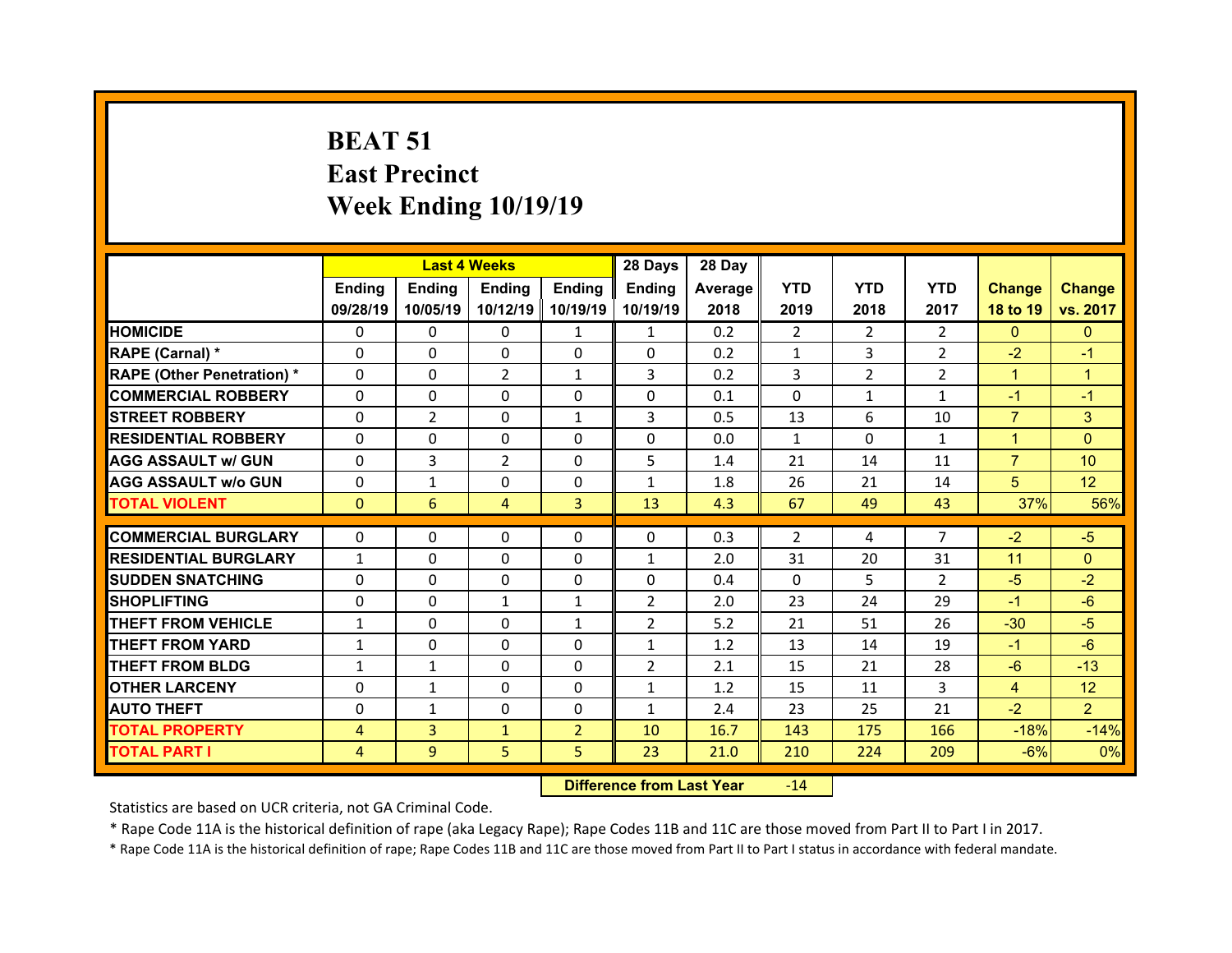# **BEAT 51 East Precinct Week Ending 10/19/19**

|                                                        |                          | <b>Last 4 Weeks</b> |                |                | 28 Days                  | 28 Day  |                |               |                |                |                 |
|--------------------------------------------------------|--------------------------|---------------------|----------------|----------------|--------------------------|---------|----------------|---------------|----------------|----------------|-----------------|
|                                                        | <b>Ending</b>            | <b>Ending</b>       | <b>Ending</b>  | <b>Endina</b>  | <b>Ending</b>            | Average | <b>YTD</b>     | <b>YTD</b>    | <b>YTD</b>     | <b>Change</b>  | <b>Change</b>   |
|                                                        | 09/28/19                 | 10/05/19            | 10/12/19       | 10/19/19       | 10/19/19                 | 2018    | 2019           | 2018          | 2017           | 18 to 19       | vs. 2017        |
| <b>HOMICIDE</b>                                        | $\Omega$                 | 0                   | $\Omega$       | $\mathbf{1}$   | $\mathbf{1}$             | 0.2     | $\overline{2}$ | $\mathcal{P}$ | $\mathcal{P}$  | $\Omega$       | $\Omega$        |
| RAPE (Carnal) *                                        | $\Omega$                 | $\Omega$            | $\Omega$       | $\Omega$       | $\Omega$                 | 0.2     | $\mathbf{1}$   | 3             | $\overline{2}$ | $-2$           | $-1$            |
| <b>RAPE (Other Penetration) *</b>                      | $\Omega$                 | 0                   | $\overline{2}$ | $\mathbf{1}$   | 3                        | 0.2     | 3              | $\mathcal{P}$ | $\mathcal{P}$  | $\mathbf{1}$   | $\mathbf{1}$    |
| <b>COMMERCIAL ROBBERY</b>                              | 0                        | 0                   | 0              | $\Omega$       | $\Omega$                 | 0.1     | $\mathbf{0}$   | $\mathbf{1}$  | $\mathbf{1}$   | $-1$           | $-1$            |
| <b>STREET ROBBERY</b>                                  | $\Omega$                 | $\overline{2}$      | $\Omega$       | $\mathbf{1}$   | 3                        | 0.5     | 13             | 6             | 10             | $\overline{7}$ | 3               |
| <b>RESIDENTIAL ROBBERY</b>                             | $\Omega$                 | $\Omega$            | $\Omega$       | $\Omega$       | $\Omega$                 | 0.0     | $\mathbf{1}$   | $\Omega$      | $\mathbf{1}$   | $\mathbf{1}$   | $\Omega$        |
| <b>AGG ASSAULT w/ GUN</b>                              | $\Omega$                 | 3                   | $\overline{2}$ | $\Omega$       | 5                        | 1.4     | 21             | 14            | 11             | $\overline{7}$ | 10 <sup>°</sup> |
| <b>AGG ASSAULT w/o GUN</b>                             | $\Omega$                 | $\mathbf{1}$        | $\Omega$       | $\Omega$       | $\mathbf{1}$             | 1.8     | 26             | 21            | 14             | 5              | 12              |
| <b>TOTAL VIOLENT</b>                                   | $\mathbf{0}$             | 6                   | $\overline{4}$ | 3              | 13                       | 4.3     | 67             | 49            | 43             | 37%            | 56%             |
| <b>COMMERCIAL BURGLARY</b>                             | $\Omega$                 | $\Omega$            | $\Omega$       | $\Omega$       | $\Omega$                 | 0.3     | 2              | 4             | $\overline{7}$ | $-2$           | $-5$            |
|                                                        |                          |                     | $\Omega$       | $\Omega$       |                          | 2.0     | 31             | 20            | 31             | 11             | $\Omega$        |
| <b>RESIDENTIAL BURGLARY</b><br><b>SUDDEN SNATCHING</b> | $\mathbf{1}$<br>$\Omega$ | 0<br>0              | $\Omega$       | $\Omega$       | $\mathbf{1}$<br>$\Omega$ | 0.4     | $\Omega$       | 5.            | $\mathcal{P}$  | $-5$           | $-2$            |
| <b>SHOPLIFTING</b>                                     | $\Omega$                 | 0                   | $\mathbf{1}$   | $\mathbf{1}$   | $\overline{2}$           | 2.0     | 23             | 24            | 29             | $-1$           | $-6$            |
| <b>THEFT FROM VEHICLE</b>                              | $\mathbf{1}$             | $\Omega$            | $\Omega$       | $\mathbf{1}$   | $\overline{2}$           | 5.2     | 21             | 51            | 26             | $-30$          | $-5$            |
| <b>THEFT FROM YARD</b>                                 | $\mathbf{1}$             | 0                   | $\Omega$       | $\Omega$       | $\mathbf{1}$             | 1.2     | 13             | 14            | 19             | $-1$           | $-6$            |
| <b>THEFT FROM BLDG</b>                                 |                          |                     | $\Omega$       | $\Omega$       | $\overline{2}$           | 2.1     | 15             | 21            | 28             | $-6$           | $-13$           |
|                                                        | $\mathbf{1}$             | $\mathbf{1}$        |                |                |                          |         |                |               |                |                |                 |
| <b>OTHER LARCENY</b>                                   | $\Omega$                 | $\mathbf{1}$        | $\Omega$       | $\Omega$       | $\mathbf{1}$             | 1.2     | 15             | 11            | 3              | $\overline{4}$ | 12              |
| <b>AUTO THEFT</b>                                      | 0                        | $\mathbf{1}$        | $\Omega$       | $\Omega$       | $\mathbf{1}$             | 2.4     | 23             | 25            | 21             | $-2$           | $\overline{2}$  |
| <b>TOTAL PROPERTY</b>                                  | $\overline{4}$           | 3                   | $\mathbf{1}$   | $\overline{2}$ | 10                       | 16.7    | 143            | 175           | 166            | $-18%$         | $-14%$          |
| <b>TOTAL PART I</b>                                    | $\overline{4}$           | 9                   | 5              | 5 <sup>1</sup> | 23                       | 21.0    | 210            | 224           | 209            | $-6%$          | 0%              |

 **Difference from Last Year**r -14

Statistics are based on UCR criteria, not GA Criminal Code.

\* Rape Code 11A is the historical definition of rape (aka Legacy Rape); Rape Codes 11B and 11C are those moved from Part II to Part I in 2017.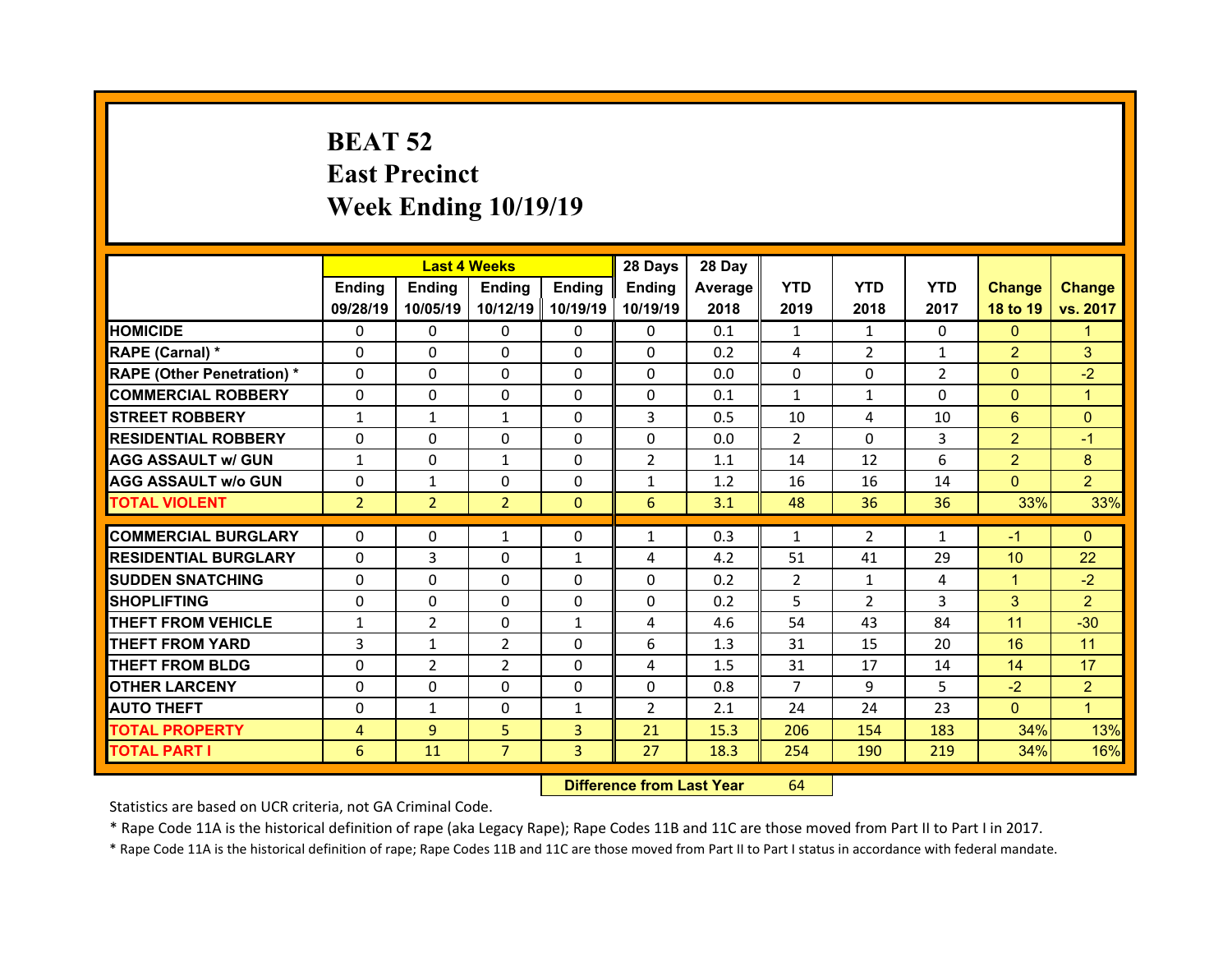# **BEAT 52 East Precinct Week Ending 10/19/19**

|                                  |                | <b>Last 4 Weeks</b> |                |                | 28 Days        | 28 Day  |                |                |                |                 |                |
|----------------------------------|----------------|---------------------|----------------|----------------|----------------|---------|----------------|----------------|----------------|-----------------|----------------|
|                                  | Ending         | Ending              | <b>Ending</b>  | <b>Ending</b>  | Ending         | Average | <b>YTD</b>     | <b>YTD</b>     | <b>YTD</b>     | <b>Change</b>   | <b>Change</b>  |
|                                  | 09/28/19       | 10/05/19            | 10/12/19       | 10/19/19       | 10/19/19       | 2018    | 2019           | 2018           | 2017           | 18 to 19        | vs. 2017       |
| <b>HOMICIDE</b>                  | $\Omega$       | 0                   | $\Omega$       | $\Omega$       | 0              | 0.1     | 1              | 1              | $\Omega$       | $\mathbf{0}$    | 1              |
| RAPE (Carnal) *                  | 0              | $\Omega$            | $\mathbf{0}$   | $\Omega$       | 0              | 0.2     | 4              | $\overline{2}$ | $\mathbf{1}$   | $\overline{2}$  | 3              |
| <b>RAPE (Other Penetration)*</b> | 0              | $\Omega$            | $\Omega$       | $\Omega$       | 0              | 0.0     | 0              | $\Omega$       | $\overline{2}$ | $\overline{0}$  | $-2$           |
| <b>COMMERCIAL ROBBERY</b>        | $\Omega$       | 0                   | $\mathbf{0}$   | $\Omega$       | 0              | 0.1     | $\mathbf{1}$   | 1              | $\Omega$       | $\mathbf{0}$    | $\mathbf{1}$   |
| <b>STREET ROBBERY</b>            | $\mathbf{1}$   | $\mathbf{1}$        | $\mathbf{1}$   | $\Omega$       | 3              | 0.5     | 10             | 4              | 10             | 6               | $\Omega$       |
| <b>RESIDENTIAL ROBBERY</b>       | $\Omega$       | $\Omega$            | $\mathbf{0}$   | $\Omega$       | $\Omega$       | 0.0     | $\mathcal{P}$  | $\Omega$       | 3              | $\overline{2}$  | $-1$           |
| <b>AGG ASSAULT w/ GUN</b>        | $\mathbf{1}$   | 0                   | $\mathbf{1}$   | $\Omega$       | $\overline{2}$ | 1.1     | 14             | 12             | 6              | $\overline{2}$  | 8              |
| <b>AGG ASSAULT w/o GUN</b>       | $\Omega$       | $\mathbf{1}$        | $\mathbf{0}$   | $\Omega$       | $\mathbf{1}$   | 1.2     | 16             | 16             | 14             | $\overline{0}$  | $\overline{2}$ |
| <b>TOTAL VIOLENT</b>             | $\overline{2}$ | $\overline{2}$      | $\overline{2}$ | $\mathbf{0}$   | 6              | 3.1     | 48             | 36             | 36             | 33%             | 33%            |
|                                  |                |                     |                |                |                |         |                |                |                |                 |                |
|                                  |                |                     |                |                |                |         |                |                |                |                 |                |
| <b>COMMERCIAL BURGLARY</b>       | 0              | 0                   | 1              | 0              | $\mathbf{1}$   | 0.3     | 1              | $\overline{2}$ | 1              | $-1$            | $\mathbf{0}$   |
| <b>RESIDENTIAL BURGLARY</b>      | $\Omega$       | 3                   | 0              | 1              | 4              | 4.2     | 51             | 41             | 29             | 10 <sup>°</sup> | 22             |
| <b>SUDDEN SNATCHING</b>          | 0              | $\Omega$            | $\Omega$       | $\Omega$       | 0              | 0.2     | $\overline{2}$ | $\mathbf{1}$   | 4              | $\mathbf{1}$    | $-2$           |
| <b>SHOPLIFTING</b>               | 0              | $\Omega$            | 0              | $\Omega$       | 0              | 0.2     | 5              | $\overline{2}$ | 3              | 3               | $\overline{2}$ |
| <b>THEFT FROM VEHICLE</b>        | $\mathbf{1}$   | $\overline{2}$      | 0              | $\mathbf{1}$   | 4              | 4.6     | 54             | 43             | 84             | 11              | $-30$          |
| <b>THEFT FROM YARD</b>           | 3              | $\mathbf{1}$        | 2              | $\Omega$       | 6              | 1.3     | 31             | 15             | 20             | 16              | 11             |
| <b>THEFT FROM BLDG</b>           | 0              | $\overline{2}$      | 2              | $\Omega$       | 4              | 1.5     | 31             | 17             | 14             | 14              | 17             |
| <b>OTHER LARCENY</b>             | 0              | 0                   | $\Omega$       | $\Omega$       | $\Omega$       | 0.8     | $\overline{7}$ | 9              | 5.             | $-2$            | $\overline{2}$ |
| <b>AUTO THEFT</b>                | 0              | $\mathbf{1}$        | $\mathbf{0}$   | 1              | $\overline{2}$ | 2.1     | 24             | 24             | 23             | $\mathbf{0}$    | $\mathbf{1}$   |
| <b>TOTAL PROPERTY</b>            | 4              | $\overline{9}$      | 5              | $\overline{3}$ | 21             | 15.3    | 206            | 154            | 183            | 34%             | 13%            |
| <b>TOTAL PART I</b>              | 6              | 11                  | $\overline{7}$ | 3              | 27             | 18.3    | 254            | 190            | 219            | 34%             | 16%            |

 **Difference from Last Year**r 64

Statistics are based on UCR criteria, not GA Criminal Code.

\* Rape Code 11A is the historical definition of rape (aka Legacy Rape); Rape Codes 11B and 11C are those moved from Part II to Part I in 2017.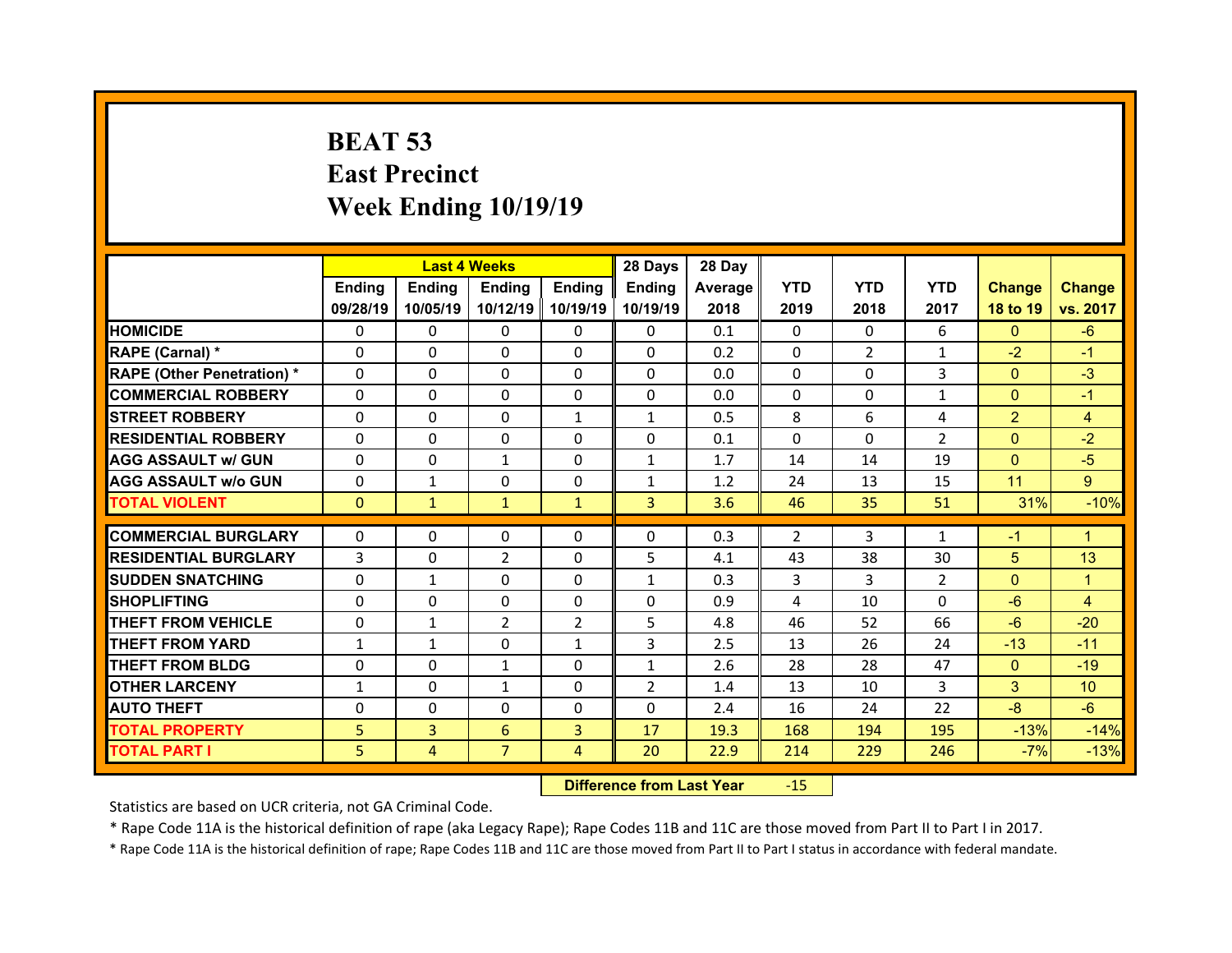# **BEAT 53 East Precinct Week Ending 10/19/19**

|                                  |              |                | <b>Last 4 Weeks</b> |                | 28 Days        | 28 Day  |                |                |                |                |                 |
|----------------------------------|--------------|----------------|---------------------|----------------|----------------|---------|----------------|----------------|----------------|----------------|-----------------|
|                                  | Ending       | Ending         | <b>Ending</b>       | <b>Ending</b>  | Ending         | Average | <b>YTD</b>     | <b>YTD</b>     | <b>YTD</b>     | <b>Change</b>  | <b>Change</b>   |
|                                  | 09/28/19     | 10/05/19       | 10/12/19            | 10/19/19       | 10/19/19       | 2018    | 2019           | 2018           | 2017           | 18 to 19       | vs. 2017        |
| <b>HOMICIDE</b>                  | $\Omega$     | 0              | $\Omega$            | $\Omega$       | 0              | 0.1     | $\Omega$       | $\Omega$       | 6              | $\mathbf{0}$   | $-6$            |
| RAPE (Carnal) *                  | 0            | $\Omega$       | $\mathbf{0}$        | $\Omega$       | 0              | 0.2     | $\Omega$       | $\overline{2}$ | $\mathbf{1}$   | $-2$           | $-1$            |
| <b>RAPE (Other Penetration)*</b> | 0            | $\Omega$       | $\Omega$            | $\Omega$       | $\Omega$       | 0.0     | $\Omega$       | $\Omega$       | 3              | $\overline{0}$ | $-3$            |
| <b>COMMERCIAL ROBBERY</b>        | $\Omega$     | 0              | $\Omega$            | $\Omega$       | 0              | 0.0     | $\Omega$       | $\Omega$       | $\mathbf{1}$   | $\mathbf{0}$   | $-1$            |
| <b>STREET ROBBERY</b>            | $\Omega$     | $\Omega$       | $\mathbf{0}$        | $\mathbf{1}$   | $\mathbf{1}$   | 0.5     | 8              | 6              | 4              | $\overline{2}$ | $\overline{4}$  |
| <b>RESIDENTIAL ROBBERY</b>       | $\Omega$     | $\Omega$       | $\mathbf{0}$        | $\Omega$       | $\Omega$       | 0.1     | $\Omega$       | $\Omega$       | $\overline{2}$ | $\overline{0}$ | $-2$            |
| <b>AGG ASSAULT w/ GUN</b>        | $\Omega$     | 0              | $\mathbf{1}$        | $\Omega$       | $\mathbf{1}$   | 1.7     | 14             | 14             | 19             | $\mathbf{0}$   | $-5$            |
| <b>AGG ASSAULT w/o GUN</b>       | $\Omega$     | $\mathbf{1}$   | $\mathbf{0}$        | $\Omega$       | $\mathbf{1}$   | 1.2     | 24             | 13             | 15             | 11             | 9 <sup>°</sup>  |
| <b>TOTAL VIOLENT</b>             | $\mathbf{0}$ | $\mathbf{1}$   | $\mathbf{1}$        | $\mathbf{1}$   | 3 <sup>1</sup> | 3.6     | 46             | 35             | 51             | 31%            | $-10%$          |
| <b>COMMERCIAL BURGLARY</b>       | 0            | 0              | 0                   | 0              | 0              | 0.3     | $\overline{2}$ | 3              | $\mathbf{1}$   | $-1$           | 1.              |
|                                  |              |                |                     |                |                |         |                |                |                |                |                 |
| <b>RESIDENTIAL BURGLARY</b>      | 3            | 0              | $\overline{2}$      | $\Omega$       | 5              | 4.1     | 43             | 38             | 30             | 5              | 13              |
| <b>SUDDEN SNATCHING</b>          | 0            | $\mathbf{1}$   | $\Omega$            | $\Omega$       | $\mathbf{1}$   | 0.3     | 3              | 3              | $\overline{2}$ | $\mathbf{0}$   | 1               |
| <b>SHOPLIFTING</b>               | 0            | $\Omega$       | 0                   | $\Omega$       | 0              | 0.9     | 4              | 10             | $\Omega$       | $-6$           | 4               |
| <b>THEFT FROM VEHICLE</b>        | 0            | $\mathbf{1}$   | 2                   | $\overline{2}$ | 5              | 4.8     | 46             | 52             | 66             | $-6$           | $-20$           |
| <b>THEFT FROM YARD</b>           | $\mathbf{1}$ | $\mathbf{1}$   | 0                   | 1              | 3              | 2.5     | 13             | 26             | 24             | $-13$          | $-11$           |
| <b>THEFT FROM BLDG</b>           | 0            | 0              | $\mathbf{1}$        | $\Omega$       | $\mathbf{1}$   | 2.6     | 28             | 28             | 47             | $\mathbf{0}$   | $-19$           |
|                                  |              |                |                     |                |                |         |                |                |                |                |                 |
| <b>OTHER LARCENY</b>             | $\mathbf{1}$ | 0              | $\mathbf{1}$        | $\Omega$       | $\overline{2}$ | 1.4     | 13             | 10             | 3              | 3              | 10 <sup>°</sup> |
| <b>AUTO THEFT</b>                | 0            | 0              | $\mathbf{0}$        | $\Omega$       | 0              | 2.4     | 16             | 24             | 22             | $-8$           | $-6$            |
| <b>TOTAL PROPERTY</b>            | 5            | $\overline{3}$ | 6                   | $\overline{3}$ | 17             | 19.3    | 168            | 194            | 195            | $-13%$         | $-14%$          |
| <b>TOTAL PART I</b>              | 5            | $\overline{4}$ | $\overline{7}$      | $\overline{4}$ | 20             | 22.9    | 214            | 229            | 246            | $-7%$          | $-13%$          |

 **Difference from Last Year**r - 15

Statistics are based on UCR criteria, not GA Criminal Code.

\* Rape Code 11A is the historical definition of rape (aka Legacy Rape); Rape Codes 11B and 11C are those moved from Part II to Part I in 2017.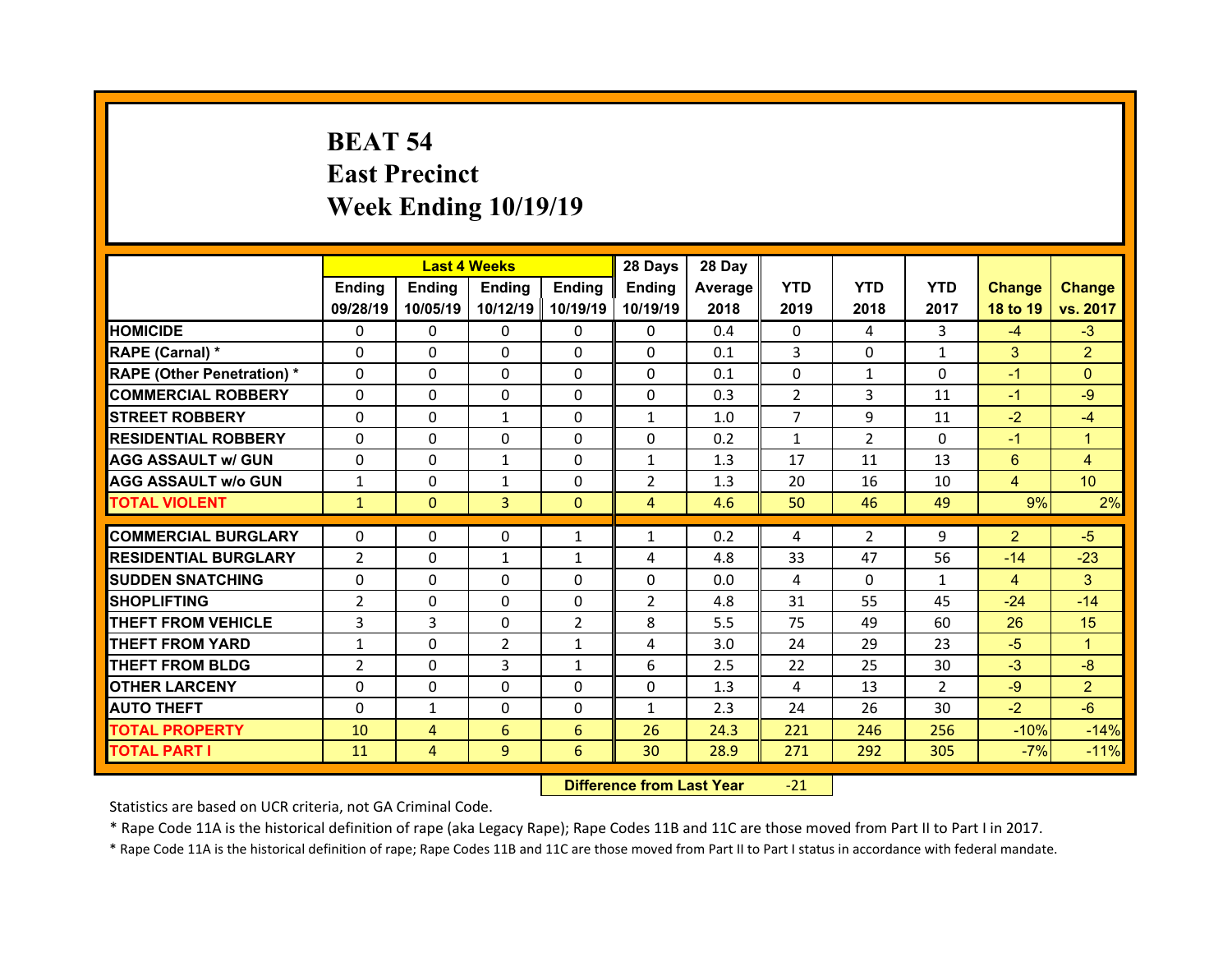# **BEAT 54 East Precinct Week Ending 10/19/19**

|                                  |                | <b>Last 4 Weeks</b> |               |                | 28 Days             | 28 Day  |                |                |               |                |                 |
|----------------------------------|----------------|---------------------|---------------|----------------|---------------------|---------|----------------|----------------|---------------|----------------|-----------------|
|                                  | Ending         | Ending              | <b>Ending</b> | <b>Ending</b>  | Ending              | Average | <b>YTD</b>     | <b>YTD</b>     | <b>YTD</b>    | <b>Change</b>  | <b>Change</b>   |
|                                  | 09/28/19       | 10/05/19            | 10/12/19      | 10/19/19       | 10/19/19            | 2018    | 2019           | 2018           | 2017          | 18 to 19       | vs. 2017        |
| <b>HOMICIDE</b>                  | $\Omega$       | 0                   | $\Omega$      | $\Omega$       | 0                   | 0.4     | $\Omega$       | 4              | 3             | $-4$           | $-3$            |
| RAPE (Carnal) *                  | 0              | $\Omega$            | $\mathbf{0}$  | $\Omega$       | 0                   | 0.1     | 3              | $\Omega$       | $\mathbf{1}$  | 3              | $\overline{2}$  |
| <b>RAPE (Other Penetration)*</b> | 0              | $\Omega$            | $\Omega$      | $\Omega$       | 0                   | 0.1     | 0              | $\mathbf{1}$   | $\Omega$      | $-1$           | $\Omega$        |
| <b>COMMERCIAL ROBBERY</b>        | $\Omega$       | 0                   | $\mathbf{0}$  | $\Omega$       | 0                   | 0.3     | 2              | 3              | 11            | $-1$           | $-9$            |
| <b>STREET ROBBERY</b>            | $\Omega$       | $\Omega$            | $\mathbf{1}$  | $\Omega$       | $\mathbf{1}$        | 1.0     | $\overline{7}$ | 9              | 11            | $-2$           | $-4$            |
| <b>RESIDENTIAL ROBBERY</b>       | $\Omega$       | $\Omega$            | $\mathbf{0}$  | $\Omega$       | $\Omega$            | 0.2     | $\mathbf{1}$   | $\mathcal{P}$  | $\Omega$      | $-1$           | $\mathbf{1}$    |
| <b>AGG ASSAULT w/ GUN</b>        | $\Omega$       | 0                   | $\mathbf{1}$  | $\Omega$       | $\mathbf{1}$        | 1.3     | 17             | 11             | 13            | 6              | 4               |
| <b>AGG ASSAULT w/o GUN</b>       | $\mathbf{1}$   | $\Omega$            | $\mathbf{1}$  | $\Omega$       | $\overline{2}$      | 1.3     | 20             | 16             | 10            | $\overline{4}$ | 10 <sup>°</sup> |
| <b>TOTAL VIOLENT</b>             | $\mathbf{1}$   | $\mathbf{0}$        | 3             | $\mathbf{0}$   | $\overline{4}$      | 4.6     | 50             | 46             | 49            | 9%             | 2%              |
| <b>COMMERCIAL BURGLARY</b>       | 0              | 0                   | 0             |                |                     | 0.2     |                | $\overline{2}$ | 9             | $\overline{2}$ | $-5$            |
|                                  |                |                     |               | 1              | $\mathbf{1}$        |         | 4              |                |               |                |                 |
| <b>RESIDENTIAL BURGLARY</b>      | $\overline{2}$ | 0                   | $\mathbf{1}$  | 1              | 4                   | 4.8     | 33             | 47             | 56            | $-14$          | $-23$           |
| <b>SUDDEN SNATCHING</b>          | 0              | $\Omega$            | $\mathbf{0}$  | $\Omega$       | 0<br>$\overline{2}$ | 0.0     | 4              | $\Omega$       | $\mathbf{1}$  | 4              | 3               |
| <b>SHOPLIFTING</b>               | $\overline{2}$ |                     |               |                |                     |         |                |                |               |                | $-14$           |
|                                  |                | $\Omega$            | 0             | $\Omega$       |                     | 4.8     | 31             | 55             | 45            | $-24$          |                 |
| <b>THEFT FROM VEHICLE</b>        | 3              | 3                   | 0             | $\overline{2}$ | 8                   | 5.5     | 75             | 49             | 60            | 26             | 15              |
| <b>THEFT FROM YARD</b>           | $\mathbf{1}$   | $\Omega$            | 2             | 1              | 4                   | 3.0     | 24             | 29             | 23            | $-5$           | 1               |
| <b>THEFT FROM BLDG</b>           | $\overline{2}$ | 0                   | 3             | $\mathbf{1}$   | 6                   | 2.5     | 22             | 25             | 30            | $-3$           | $-8$            |
| <b>OTHER LARCENY</b>             | 0              | 0                   | $\Omega$      | $\Omega$       | $\Omega$            | 1.3     | 4              | 13             | $\mathcal{P}$ | $-9$           | $\overline{2}$  |
| <b>AUTO THEFT</b>                | 0              | $\mathbf{1}$        | $\mathbf{0}$  | $\Omega$       | $\mathbf{1}$        | 2.3     | 24             | 26             | 30            | $-2$           | $-6$            |
| <b>TOTAL PROPERTY</b>            | 10             | $\overline{4}$      | 6             | 6              | 26                  | 24.3    | 221            | 246            | 256           | $-10%$         | $-14%$          |
| <b>TOTAL PART I</b>              | 11             | $\overline{4}$      | 9             | 6              | 30                  | 28.9    | 271            | 292            | 305           | $-7%$          | $-11%$          |

 **Difference from Last Year**‐21

Statistics are based on UCR criteria, not GA Criminal Code.

\* Rape Code 11A is the historical definition of rape (aka Legacy Rape); Rape Codes 11B and 11C are those moved from Part II to Part I in 2017.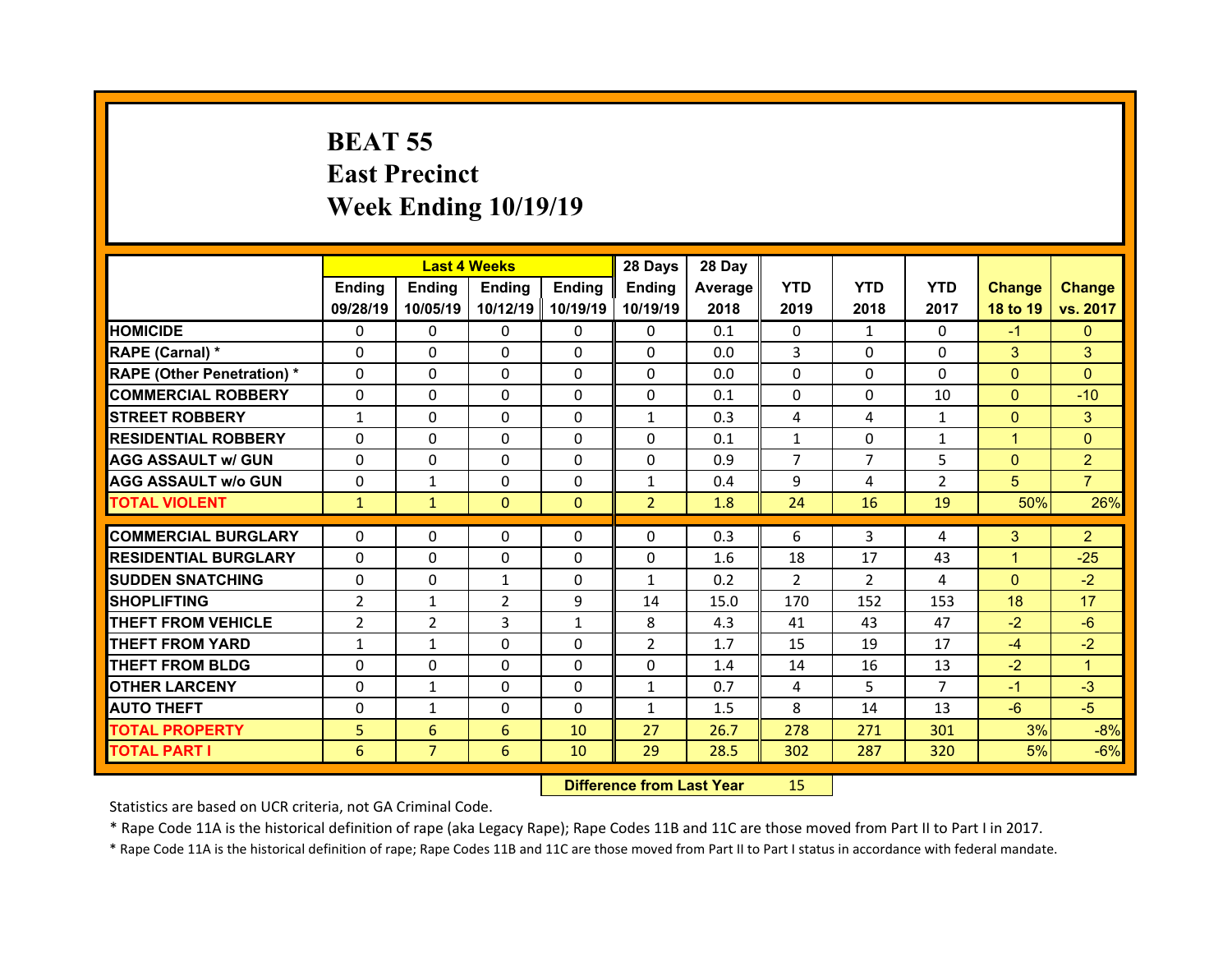## **BEAT 55 East Precinct Week Ending 10/19/19**

|                                   |                | <b>Last 4 Weeks</b> |               |              | 28 Days        | 28 Day  |                |                |                |                |                |
|-----------------------------------|----------------|---------------------|---------------|--------------|----------------|---------|----------------|----------------|----------------|----------------|----------------|
|                                   | Ending         | <b>Ending</b>       | <b>Ending</b> | Ending       | Ending         | Average | <b>YTD</b>     | <b>YTD</b>     | <b>YTD</b>     | <b>Change</b>  | <b>Change</b>  |
|                                   | 09/28/19       | 10/05/19            | 10/12/19      | 10/19/19     | 10/19/19       | 2018    | 2019           | 2018           | 2017           | 18 to 19       | vs. 2017       |
| <b>HOMICIDE</b>                   | $\Omega$       | 0                   | $\Omega$      | $\Omega$     | 0              | 0.1     | $\Omega$       | $\mathbf{1}$   | $\Omega$       | $-1$           | $\mathbf{0}$   |
| RAPE (Carnal) *                   | $\Omega$       | $\Omega$            | $\mathbf{0}$  | $\Omega$     | 0              | 0.0     | 3              | $\Omega$       | $\Omega$       | 3              | 3              |
| <b>RAPE (Other Penetration) *</b> | $\Omega$       | $\Omega$            | $\Omega$      | $\Omega$     | 0              | 0.0     | $\Omega$       | $\Omega$       | $\Omega$       | $\Omega$       | $\Omega$       |
| <b>COMMERCIAL ROBBERY</b>         | $\Omega$       | $\Omega$            | $\mathbf{0}$  | $\Omega$     | $\Omega$       | 0.1     | $\Omega$       | $\Omega$       | 10             | $\overline{0}$ | $-10$          |
| <b>STREET ROBBERY</b>             | $\mathbf{1}$   | $\Omega$            | $\Omega$      | $\Omega$     | $\mathbf{1}$   | 0.3     | 4              | 4              | $\mathbf{1}$   | $\mathbf{0}$   | 3              |
| <b>RESIDENTIAL ROBBERY</b>        | $\Omega$       | $\Omega$            | $\mathbf{0}$  | $\Omega$     | $\Omega$       | 0.1     | $\mathbf{1}$   | $\Omega$       | $\mathbf{1}$   | $\mathbf{1}$   | $\Omega$       |
| <b>AGG ASSAULT w/ GUN</b>         | $\Omega$       | $\Omega$            | $\Omega$      | $\Omega$     | $\Omega$       | 0.9     | $\overline{7}$ | $\overline{7}$ | 5              | $\overline{0}$ | $\overline{2}$ |
| <b>AGG ASSAULT w/o GUN</b>        | 0              | $\mathbf{1}$        | $\mathbf{0}$  | $\Omega$     | $\mathbf{1}$   | 0.4     | 9              | 4              | $\overline{2}$ | 5              | $\overline{7}$ |
| <b>TOTAL VIOLENT</b>              | $\mathbf{1}$   | $\mathbf{1}$        | $\mathbf{0}$  | $\mathbf{0}$ | $\overline{2}$ | 1.8     | 24             | 16             | 19             | 50%            | 26%            |
|                                   |                |                     |               |              |                |         |                |                |                |                |                |
|                                   |                |                     |               |              |                |         |                |                |                |                |                |
| <b>COMMERCIAL BURGLARY</b>        | 0              | 0                   | 0             | $\mathbf{0}$ | 0              | 0.3     | 6              | 3              | 4              | 3              | $\overline{2}$ |
| <b>RESIDENTIAL BURGLARY</b>       | 0              | $\Omega$            | 0             | $\Omega$     | 0              | 1.6     | 18             | 17             | 43             | $\mathbf{1}$   | $-25$          |
| <b>SUDDEN SNATCHING</b>           | $\mathbf{0}$   | 0                   | $\mathbf{1}$  | $\Omega$     | $\mathbf{1}$   | 0.2     | 2              | $\overline{2}$ | 4              | $\mathbf{0}$   | $-2$           |
| <b>SHOPLIFTING</b>                | $\overline{2}$ | $\mathbf{1}$        | 2             | 9            | 14             | 15.0    | 170            | 152            | 153            | 18             | 17             |
| <b>THEFT FROM VEHICLE</b>         | $\overline{2}$ | 2                   | 3             | $\mathbf{1}$ | 8              | 4.3     | 41             | 43             | 47             | $-2$           | $-6$           |
| <b>THEFT FROM YARD</b>            | $\mathbf{1}$   | $\mathbf{1}$        | $\Omega$      | $\Omega$     | $\overline{2}$ | 1.7     | 15             | 19             | 17             | $-4$           | $-2$           |
| <b>THEFT FROM BLDG</b>            | $\mathbf{0}$   | 0                   | $\mathbf{0}$  | $\Omega$     | 0              | 1.4     | 14             | 16             | 13             | $-2$           | $\mathbf{1}$   |
| <b>OTHER LARCENY</b>              | $\Omega$       | $\mathbf{1}$        | $\Omega$      | $\Omega$     | $\mathbf{1}$   | 0.7     | 4              | 5.             | $\overline{7}$ | $-1$           | $-3$           |
| <b>AUTO THEFT</b>                 | $\mathbf{0}$   | $\mathbf{1}$        | $\mathbf{0}$  | $\Omega$     | $\mathbf{1}$   | 1.5     | 8              | 14             | 13             | $-6$           | $-5$           |
| <b>TOTAL PROPERTY</b>             | 5              | 6                   | 6             | 10           | 27             | 26.7    | 278            | 271            | 301            | 3%             | $-8%$          |
| TOTAL PART I                      | 6              | $\overline{7}$      | 6             | 10           | 29             | 28.5    | 302            | 287            | 320            | 5%             | $-6%$          |

 **Difference from Last Year**r 15

Statistics are based on UCR criteria, not GA Criminal Code.

\* Rape Code 11A is the historical definition of rape (aka Legacy Rape); Rape Codes 11B and 11C are those moved from Part II to Part I in 2017.